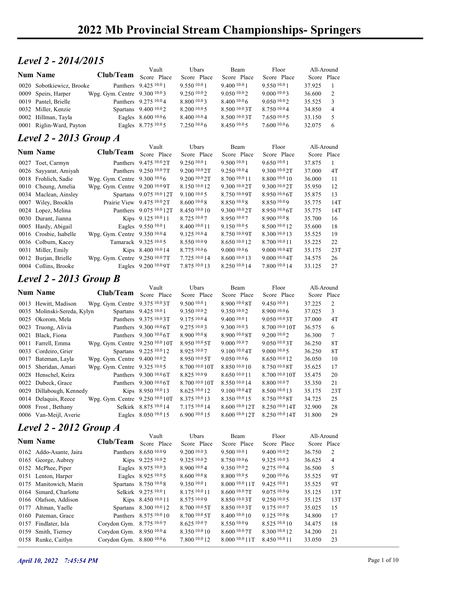#### Level 2 - 2014/2015

|                                                                                                                   | <b>2022 Mb Provincial Stream Championships-Springers</b> |                            |                            |                                |                                |                           |                |  |
|-------------------------------------------------------------------------------------------------------------------|----------------------------------------------------------|----------------------------|----------------------------|--------------------------------|--------------------------------|---------------------------|----------------|--|
|                                                                                                                   |                                                          |                            |                            |                                |                                |                           |                |  |
|                                                                                                                   |                                                          |                            |                            |                                |                                |                           |                |  |
|                                                                                                                   |                                                          |                            |                            |                                |                                |                           |                |  |
|                                                                                                                   |                                                          |                            |                            |                                |                                |                           |                |  |
|                                                                                                                   |                                                          |                            |                            |                                |                                |                           |                |  |
|                                                                                                                   |                                                          |                            |                            |                                |                                |                           |                |  |
|                                                                                                                   |                                                          |                            |                            |                                |                                |                           |                |  |
|                                                                                                                   |                                                          |                            |                            |                                |                                |                           |                |  |
|                                                                                                                   |                                                          |                            |                            |                                |                                |                           |                |  |
|                                                                                                                   |                                                          |                            |                            |                                |                                |                           |                |  |
|                                                                                                                   |                                                          |                            |                            |                                |                                |                           |                |  |
|                                                                                                                   |                                                          |                            |                            |                                |                                |                           |                |  |
|                                                                                                                   |                                                          |                            |                            |                                |                                |                           |                |  |
|                                                                                                                   |                                                          |                            |                            |                                |                                |                           |                |  |
|                                                                                                                   |                                                          |                            |                            |                                |                                |                           |                |  |
|                                                                                                                   |                                                          |                            |                            |                                |                                |                           |                |  |
|                                                                                                                   |                                                          |                            |                            |                                |                                |                           |                |  |
|                                                                                                                   |                                                          |                            |                            |                                |                                |                           |                |  |
| Level 2 - 2014/2015                                                                                               |                                                          |                            |                            |                                |                                |                           |                |  |
|                                                                                                                   |                                                          |                            |                            |                                |                                |                           |                |  |
| <b>Num Name</b>                                                                                                   | Club/Team                                                | Vault<br>Score Place       | Ubars<br>Score Place       | Beam<br>Score Place            | Floor<br>Score Place           | All-Around<br>Score Place |                |  |
| 0020 Sobotkiewicz, Brooke                                                                                         |                                                          | Panthers 9.425 10.0 1      | 9.550 10.0 1               | 9.400 10.0 1                   | 9.550 10.0 1                   | 37.925                    | -1             |  |
| 0009 Speirs, Harper                                                                                               | Wpg. Gym. Centre 9.300 10.03                             |                            | 9.250 10.02                | 9.050 10.02                    | 9.0001003                      | 36.600                    | 2              |  |
| 0019 Pantel, Brielle                                                                                              |                                                          | Panthers 9.275 10.04       | 8.800 10.03                | 8.400 10.0 6                   | 9.050 10.02                    | 35.525                    | 3              |  |
| 0032 Miller, Kenzie                                                                                               |                                                          | Spartans 9.400 10.02       | 8.200 10.0 5               | 8.500 10.0 3T                  | 8.750 10.04                    | 34.850                    | $\overline{4}$ |  |
| 0002 Hillman, Tayla                                                                                               |                                                          | Eagles 8.600 10.0 6        | 8.400 10.0 4               | 8.500 10.0 3T                  | 7.650 10.05                    | 33.150                    | 5              |  |
| 0001 Riglin-Ward, Payton                                                                                          |                                                          | Eagles 8.775 10.0 5        | 7.250 10.0 6               | 8.450 10.0 5                   | 7.600 10.06                    | 32.075                    | 6              |  |
|                                                                                                                   |                                                          |                            |                            |                                |                                |                           |                |  |
| <b>Level 2 - 2013 Group A</b>                                                                                     |                                                          |                            |                            |                                |                                |                           |                |  |
| <b>Num Name</b>                                                                                                   | Club/Team                                                | Vault                      | Ubars                      | Beam                           | Floor                          | All-Around                |                |  |
|                                                                                                                   |                                                          | Score Place                | Score Place                | Score Place                    | Score Place                    | Score Place               |                |  |
|                                                                                                                   |                                                          | Panthers 9.475 10.0 2T     | 9.250 10.0 1               | 9.500 10.01                    | 9.650 10.01                    | 37.875                    | $\mathbf{1}$   |  |
| 0027 Toet, Carmyn                                                                                                 |                                                          | Panthers 9.250 10.0 7T     | 9.20010.02T                | 9.250 10.04                    | 9.300 10.0 2T                  | 37.000                    | 4T             |  |
| 0026 Sayyarat, Amiyah                                                                                             |                                                          |                            | 9.200 <sup>10.0</sup> 2T   | 8.700 10.0 11                  | 8.800 10.0 10                  | 36.000                    | -11            |  |
| 0018 Frohlich, Sadie                                                                                              | Wpg. Gym. Centre 9.300 10.06                             |                            |                            | 9.300 10.0 2T                  | 9.300 10.0 2T                  | 35.950                    | 12             |  |
| 0010 Cheung, Amelia                                                                                               | Wpg. Gym. Centre 9.200 10.0 9T                           |                            | 8.150 10.0 12              |                                | 8.950 10.0 6T                  | 35.875                    | 13             |  |
|                                                                                                                   |                                                          | Spartans 9.075 10.0 12T    | 9.100 10.0 5               | 8.750 10.0 9T                  |                                |                           | 14T            |  |
| 0034 Maclean, Ainsley<br>0007 Wiley, Brookln                                                                      |                                                          | Prairie View 9.475 10.0 2T | 8.600 10.0 8               | 8.850 10.0 8                   | 8.850 10.09                    | 35.775                    |                |  |
|                                                                                                                   |                                                          | Panthers 9.075 10.0 12T    | 8.450 10.0 10              | 9.300 10.0 2T                  | 8.950 10.0 6T                  | 35.775                    | 14T            |  |
|                                                                                                                   |                                                          | Kips 9.125 10.0 11         | 8.725 10.07                | 8.950 10.07                    | 8.900 10.08                    | 35.700                    | 16             |  |
|                                                                                                                   |                                                          | Eagles 9.550 10.0 1        | 8.400 10.0 11              | 9.150 10.05                    | 8.500 10.0 12                  | 35.600                    | 18             |  |
| 0024 Lopez, Melina<br>0030 Durant, Jianna<br>0005 Hardy, Abigail<br>0016 Crosbie, Isabelle<br>0036 Colburn, Kacey | Wpg. Gym. Centre 9.350 10.04                             | Tamarack 9.325 10.0 5      | 9.125 10.04<br>8.550 10.09 | 8.750 10.0 9T<br>8.650 10.0 12 | 8.300 10.0 13<br>8.700 10.0 11 | 35.525<br>35.225          | 19<br>22       |  |

|                               | <b>2022 Mb Provincial Stream Championships- Springers</b> |                            |                           |                 |                |             |                 |
|-------------------------------|-----------------------------------------------------------|----------------------------|---------------------------|-----------------|----------------|-------------|-----------------|
|                               |                                                           |                            |                           |                 |                |             |                 |
| Level 2 - 2014/2015           |                                                           |                            |                           |                 |                |             |                 |
| Num Name                      |                                                           | Vault                      | Ubars                     | Beam            | Floor          | All-Around  |                 |
|                               | <b>Club/Team</b>                                          | Score Place                | Score Place               | Score Place     | Score Place    | Score Place |                 |
| 0020 Sobotkiewicz, Brooke     |                                                           | Panthers 9.425 10.0 1      | 9.550 10.0 1              | 9.400 10.0 1    | 9.550 10.01    | 37.925      | -1              |
| 0009 Speirs, Harper           | Wpg. Gym. Centre 9.300 10.03                              |                            | 9.250 10.02               | 9.050 10.02     | 9.000 10.03    | 36.600      | $\overline{2}$  |
| 0019 Pantel, Brielle          |                                                           | Panthers 9.275 10.04       | 8.800 10.03               | 8.40010.06      | 9.050 10.02    | 35.525      | 3               |
| 0032 Miller, Kenzie           |                                                           | Spartans 9.400 10.02       | 8.200 10.0 5              | 8.500 10.0 3T   | 8.750 10.04    | 34.850      | $\overline{4}$  |
| 0002 Hillman, Tayla           |                                                           | Eagles 8.600 10.0 6        | 8.400 10.0 4              | 8.500 10.0 3T   | 7.650 10.05    | 33.150      | 5               |
| 0001 Riglin-Ward, Payton      |                                                           | Eagles 8.775 10.0 5        | 7.2501006                 | 8.450 10.05     | 7.600 10.06    | 32.075      | 6               |
| <b>Level 2 - 2013 Group A</b> |                                                           |                            |                           |                 |                |             |                 |
|                               |                                                           | Vault                      | Ubars                     | Beam            | Floor          | All-Around  |                 |
| <b>Num Name</b>               | <b>Club/Team</b>                                          | Score Place                | Score Place               | Score Place     | Score Place    | Score Place |                 |
| 0027 Toet, Carmyn             |                                                           | Panthers 9.475 10.0 2T     | 9.250 10.0 1              | 9.500 10.01     | 9.650 10.0 1   | 37.875      | -1              |
| 0026 Sayyarat, Amiyah         |                                                           | Panthers 9.250 10.0 7T     | 9.200 <sup>10.0</sup> 2T  | 9.250 10.04     | 9.300 10.0 2T  | 37.000      | 4T              |
| 0018 Frohlich, Sadie          | Wpg. Gym. Centre 9.300 10.0 6                             |                            | 9.200 <sup>10.0</sup> 2T  | 8.700 10.0 11   | 8.800 10.0 10  | 36.000      | 11              |
| 0010 Cheung, Amelia           | Wpg. Gym. Centre 9.200 10.0 9T                            |                            | 8.150 10.0 12             | 9.300 10.0 2T   | 9.300 10.0 2T  | 35.950      | 12              |
| 0034 Maclean, Ainsley         |                                                           | Spartans 9.075 10.0 12T    | 9.100 10.0 5              | 8.750 10.0 9T   | 8.950 10.0 6T  | 35.875      | 13              |
| 0007 Wiley, Brookln           |                                                           | Prairie View 9.475 10.0 2T | 8.60010.08                | 8.850 10.08     | 8.850 10.09    | 35.775      | 14T             |
| 0024 Lopez, Melina            |                                                           | Panthers 9.075 10.0 12T    | 8.450 10.0 10             | 9.300 10.0 2T   | 8.950 10.0 6T  | 35.775      | 14T             |
| 0030 Durant, Jianna           |                                                           | Kips 9.125 10.0 11         | 8.725 10.07               | 8.950 10.07     | 8.900 10.08    | 35.700      | 16              |
| 0005 Hardy, Abigail           |                                                           | Eagles 9.550 10.0 1        | 8.400 10.0 11             | 9.150 10.05     | 8.500 10.0 12  | 35.600      | 18              |
| 0016 Crosbie, Isabelle        | Wpg. Gym. Centre 9.350 10.04                              |                            | 9.125 10.04               | 8.750 10.0 9T   | 8.300 10.0 13  | 35.525      | 19              |
| 0036 Colburn, Kacey           |                                                           | Tamarack 9.325 10.0 5      | 8.550 10.09               | 8.650 10.0 12   | 8.700 10.0 11  | 35.225      | 22              |
| 0031 Miller, Emily            |                                                           | Kips 8.400 10.0 14         | 8.775 10.0 6              | 9.000 10.06     | 9.000 10.0 4T  | 35.175      | 23T             |
| 0012 Burjan, Brielle          | Wpg. Gym. Centre 9.250 10.0 7T                            |                            | 7.725 10.0 14             | 8.600 10.0 13   | 9.000 10.0 4T  | 34.575      | 26              |
| 0004 Collins, Brooke          |                                                           | Eagles 9.200 10.0 9T       | 7.875 10.0 13             | 8.250 10.0 14   | 7.800 10.0 14  | 33.125      | 27              |
|                               |                                                           |                            |                           |                 |                |             |                 |
| Level 2 - 2013 Group B        |                                                           |                            |                           |                 |                |             |                 |
| <b>Num Name</b>               | Club/Team                                                 | Vault<br>Score Place       | Ubars                     | Beam            | Floor          | All-Around  |                 |
|                               |                                                           |                            | Score Place               | Score Place     | Score Place    | Score Place |                 |
| 0013 Hewitt, Madison          | Wpg. Gym. Centre 9.375 10.03T                             |                            | 9.500 10.0 1              | 8.900 10.0 8T   | 9.450 10.0 1   | 37.225      | 2               |
| 0035 Molinski-Sereda, Kylyn   |                                                           | Spartans 9.425 10.0 1      | 9.350 10.02               | 9.350 10.02     | 8.900 10.06    | 37.025      | $\mathbf{3}$    |
| 0025 Okorom, Mela             |                                                           | Panthers 9.375 10.0 3T     | 9.175 10.04               | 9.400 10.0 1    | 9.050 10.03T   | 37.000      | 4T              |
| 0023 Truong, Alivia           |                                                           | Panthers 9.300 10.0 6T     | 9.275 10.03               | 9.300 10.03     | 8.700 10.0 10T | 36.575      | 6               |
| 0021 Black, Fiona             |                                                           | Panthers 9.300 10.0 6T     | 8.90010.08                | 8.900 10.0 8T   | 9.200 10.02    | 36.300      | $7\phantom{.0}$ |
| 0011 Farrell, Emma            | Wpg. Gym. Centre 9.250 10.0 10T                           |                            | 8.950 10.0 5T             | 9.000 10.07     | 9.050 10.03T   | 36.250      | 8T              |
| 0033 Cordeiro, Grier          |                                                           | Spartans 9.225 10.0 12     | 8.925 10.07               | 9.100 10.0 4T   | 9.000 10.0 5   | 36.250      | <b>8T</b>       |
| 0017 Bateman, Layla           | Wpg. Gym. Centre 9.400 10.02                              |                            | 8.950 10.0 5T             | 9.05010.06      | 8.650 10.0 12  | 36.050      | 10              |
| 0015 Sheridan, Amari          | Wpg. Gym. Centre 9.325 10.0 5                             |                            | 8.700 10.0 10T            | $8.850\,10.010$ | 8.750 10.0 8T  | 35.625      | 17              |
| 0028 Henschel, Keira          |                                                           | Panthers 9.300 10.0 6T     | 8.825 10.09               | 8.650 10.0 11   | 8.700 10.0 10T | 35.475      | 20              |
| 0022 Dubeck, Grace            |                                                           | Panthers 9.300 10.0 6T     | 8.700 <sup>10.0</sup> 10T | $8.550\,10.014$ | 8.800 10.07    | 35.350      | 21              |
| 0029 Dillabough, Kennedy      |                                                           | Kips 8.950 10.0 13         | 8.625 10.0 12             | 9.100 10.0 4T   | 8.500 10.0 13  | 35.175      | 23T             |

#### Level 2 - 2013 Group B

| гчин гуанне                                   | CIUD/ Feam                      | Score Place                                      | Score Place               | Score Place                  | Score Place      | Score Place      |                |  |
|-----------------------------------------------|---------------------------------|--------------------------------------------------|---------------------------|------------------------------|------------------|------------------|----------------|--|
| 0027 Toet, Carmyn                             |                                 | Panthers 9.475 10.0 2T                           | 9.250 10.0 1              | 9.500 10.0 1                 | 9.650 10.01      | 37.875           |                |  |
| 0026 Sayyarat, Amiyah                         |                                 | Panthers 9.250 10.0 7T                           | 9.200 <sup>10.0</sup> 2T  | 9.250 10.04                  | 9.300 10.0 2T    | 37.000           | 4T             |  |
| 0018 Frohlich, Sadie                          | Wpg. Gym. Centre 9.300 10.06    |                                                  | $9.200\,10.02$ T          | 8.700 10.0 11                | 8.800 10.0 10    | 36.000           | 11             |  |
| 0010 Cheung, Amelia                           | Wpg. Gym. Centre 9.200 10.0 9T  |                                                  | 8.150 10.0 12             | 9.300 10.0 2T                | 9.300 10.0 2T    | 35.950           | 12             |  |
| 0034 Maclean, Ainsley                         |                                 | Spartans 9.075 10.0 12T                          | $9.100\,10.05$            | 8.750 10.0 9T                | $8.950\,10.06$ T | 35.875           | 13             |  |
| 0007 Wiley, Brookln                           |                                 | Prairie View 9.475 10.0 2T                       | 8.60010.08                | 8.850 10.08                  | 8.850 10.09      | 35.775           | 14T            |  |
| 0024 Lopez, Melina                            |                                 | Panthers 9.075 10.0 12T                          | $8.450\;^{10.0}\,10$      | 9.300 10.0 2T                | $8.950\,10.06$ T | 35.775           | 14T            |  |
| 0030 Durant, Jianna                           |                                 | Kips 9.125 10.0 11                               | 8.725 10.07               | 8.950 10.07                  | 8.900 10.0 8     | 35.700           | 16             |  |
| 0005 Hardy, Abigail                           |                                 | Eagles 9.550 10.0 1                              | 8.400 10.0 11             | 9.150 10.05                  | 8.500 10.0 12    | 35.600           | 18             |  |
| 0016 Crosbie, Isabelle                        | Wpg. Gym. Centre 9.350 10.04    |                                                  | 9.125 10.04               | 8.750 10.0 9T                | 8.300 10.0 13    | 35.525           | 19             |  |
| 0036 Colburn, Kacey                           |                                 | Tamarack 9.325 10.0 5                            | 8.550 10.09               | 8.650 10.0 12                | 8.700 10.0 11    | 35.225           | 22             |  |
| 0031 Miller, Emily                            |                                 | Kips 8.400 10.0 14                               | 8.77510.06                | 9.0001006                    | 9.0001004        | 35.175           | 23T            |  |
| 0012 Burjan, Brielle                          | Wpg. Gym. Centre 9.250 10.0 7T  |                                                  | 7.725 10.0 14             | 8.600 10.0 13                | 9.0001004        | 34.575           | 26             |  |
| 0004 Collins, Brooke                          |                                 | Eagles 9.200 10.0 9T                             | 7.875 10.0 13             | 8.250 10.0 14                | 7.800 10.0 14    | 33.125           | 27             |  |
| <b>Level 2 - 2013 Group B</b>                 |                                 |                                                  |                           |                              |                  |                  |                |  |
|                                               |                                 | Vault                                            | Ubars                     | Beam                         | Floor            | All-Around       |                |  |
| <b>Num Name</b>                               | Club/Team                       | Score Place                                      | Score Place               | Score Place                  | Score Place      | Score Place      |                |  |
| 0013 Hewitt, Madison                          | Wpg. Gym. Centre 9.375 10.03T   |                                                  | 9.500 10.0 1              | 8.900 10.0 8T                | 9.450 10.0 1     | 37.225           | 2              |  |
| 0035 Molinski-Sereda, Kylyn                   |                                 | Spartans 9.425 10.0 1                            | 9.350 10.02               | 9.350 10.02                  | 8.900 10.06      | 37.025           | $\mathbf{3}$   |  |
| 0025 Okorom, Mela                             |                                 | Panthers 9.375 10.0 3T                           | 9.175 10.04               | 9.400 10.0 1                 | 9.0501003        | 37.000           | 4T             |  |
| 0023 Truong, Alivia                           |                                 | Panthers 9.300 10.0 6T                           | 9.275 10.03               | 9.300 10.03                  | 8.700 10.0 10T   | 36.575           | 6              |  |
| 0021 Black, Fiona                             |                                 | Panthers 9.300 10.0 6T                           | 8.900 10.0 8              | 8.900 10.0 8T                | 9.200 10.0 2     | 36.300           | 7              |  |
| 0011 Farrell, Emma                            | Wpg. Gym. Centre 9.250 10.0 10T |                                                  | 8.950 10.0 5T             | 9.000 10.07                  | 9.050 10.03T     | 36.250           | <b>8T</b>      |  |
| 0033 Cordeiro, Grier                          |                                 | Spartans 9.225 10.0 12                           | 8.925 10.07               | $9.100\,10.04$ T             | 9.00010005       | 36.250           | <b>8T</b>      |  |
| 0017 Bateman, Layla                           | Wpg. Gym. Centre 9.400 10.02    |                                                  | 8.950 10.0 5T             | 9.0501006                    | 8.650 10.0 12    | 36.050           | 10             |  |
| 0015 Sheridan, Amari                          | Wpg. Gym. Centre 9.325 10.0 5   |                                                  | 8.700 <sup>10.0</sup> 10T | $8.850\,10.010$              | 8.750 10.0 8T    | 35.625           | 17             |  |
| 0028 Henschel, Keira                          |                                 | Panthers 9.300 10.0 6T                           | 8.825 10.09               | 8.650 10.0 11                | 8.700 10.0 10T   | 35.475           | 20             |  |
| 0022 Dubeck, Grace                            |                                 | Panthers 9.300 10.0 6T                           | 8.700 <sup>10.0</sup> 10T | 8.550 10.0 14                | 8.800 10.07      | 35.350           | 21             |  |
| 0029 Dillabough, Kennedy                      |                                 | Kips 8.950 10.0 13                               | 8.625 10.0 12             | $9.100\,10.04$ T             | 8.500 10.0 13    | 35.175           | 23T            |  |
| 0014 Delaquis, Reece                          | Wpg. Gym. Centre 9.250 10.0 10T |                                                  | 8.375 10.0 13             | 8.350 10.0 15                | $8.750\,10.08$ T | 34.725           | 25             |  |
| 0008 Frost, Bethany                           |                                 | Selkirk 8.875 10.014                             | 7.175 10.0 14             | 8.600 <sup>10.0</sup> 12T    | 8.250 10.0 14T   | 32.900           | 28             |  |
| 0006 Van-Meijl, Averie                        |                                 | Eagles 8.050 10.0 15                             | 6.900 10.0 15             | 8.600 <sup>10.0</sup> 12T    | 8.250 10.0 14T   | 31.800           | 29             |  |
|                                               |                                 |                                                  |                           |                              |                  |                  |                |  |
| Level 2 - 2012 Group A                        |                                 | Vault                                            | Ubars                     | Beam                         | Floor            | All-Around       |                |  |
| <b>Num Name</b>                               | Club/Team                       | Score Place                                      | Score Place               | Score Place                  | Score Place      | Score Place      |                |  |
| 0162 Addo-Asante, Jaira                       |                                 | Panthers 8.650 10.09                             | 9.200 10.0 3              | 9.500 10.0 1                 | 9.400 10.02      | 36.750           | $\overline{2}$ |  |
| 0165 George, Aubrey                           |                                 | Kips 9.225 10.02                                 | 9.325 10.02               | 8.7501006                    | 9.325 10.03      | 36.625           | 4              |  |
| 0152 McPhee, Piper                            |                                 | Eagles 8.975 10.03                               | 8.900 10.04               | 9.350 10.02                  | 9.275 10.04      | 36.500           | 5              |  |
|                                               |                                 | Eagles 8.925 10.0 5                              | 8.6001008                 | 8.800 10.0 5                 | $9.200\,10.06$   |                  | 9T             |  |
| 0151 Lenton, Harper<br>0175 Manitowich, Marin |                                 | Spartans 8.750 10.0 8                            | 9.350 10.0 1              | 8.000 10.0 11T               | 9.42510.01       | 35.525<br>35.525 | 9T             |  |
|                                               |                                 |                                                  |                           |                              |                  |                  |                |  |
| 0164 Simard, Charlotte                        |                                 | Selkirk 9.275 10.0 1                             | 8.175 10.0 11             | $8.600\,$ $10.0\,7$ $\rm{T}$ | 9.075 10.09      | 35.125 13T       |                |  |
| 0166 Olafson, Addison                         |                                 | Kips 8.450 10.0 11                               | 8.575 10.09               | 8.850 10.0 3T                | $9.250\,10.05$   | 35.125           | 13T            |  |
| 0177 Altman, Yaelle                           |                                 | Spartans 8.300 10.0 12<br>Panthers 8.575 10.0 10 | 8.700 10.0 5T             | 8.850 10.0 3T                | 9.175 10.07      | 35.025           | 15             |  |
| 0160 Pateman, Grace                           |                                 |                                                  | 8.700 10.0 5T             | 8.400 10.0 10                | 9.125 10.08      | 34.800           | 17             |  |
| 0157 Findlater, Isla                          | Corydon Gym. 8.775 10.07        |                                                  | 8.625 10.07               | 8.550 10.09                  | 8.525 10.0 10    | 34.475           | 18             |  |
| 0159 Smith, Tierney                           | Corydon Gym. 8.950 10.04        |                                                  | 8.350 10.0 10             | 8.600 10.0 7T                | 8.300 10.0 12    | 34.200           | 21             |  |
| 0158 Runke, Caitlyn                           | Corydon Gym. 8.800 10.06        |                                                  | 7.800 10.0 12             | 8.000 10.0 11T               | 8.450 10.0 11    | 33.050           | 23             |  |
|                                               |                                 |                                                  |                           |                              |                  |                  |                |  |

#### Level 2 - 2012 Group A

| 0035 Molinski-Sereda, Kylyn |                                 | Spartans 9.425 10.0 1  | 9.350 10.02     | 9.350 10.02               | 8.9001006      | 37.025      | 3   |              |
|-----------------------------|---------------------------------|------------------------|-----------------|---------------------------|----------------|-------------|-----|--------------|
| 0025 Okorom, Mela           |                                 | Panthers 9.375 10.0 3T | 9.175 10.04     | 9.400 10.0 1              | 9.050 10.03T   | 37.000      | 4T  |              |
| 0023 Truong, Alivia         |                                 | Panthers 9.300 10.0 6T | 9.275 10.03     | 9.300 10.03               | 8.700 10.0 10T | 36.575      | 6   |              |
| 0021 Black, Fiona           |                                 | Panthers 9.300 10.0 6T | 8.900 10.0 8    | 8.900 10.0 8T             | 9.200 10.0 2   | 36.300      |     |              |
| 0011 Farrell, Emma          | Wpg. Gym. Centre 9.250 10.0 10T |                        | 8.950 10.0 5T   | 9.000 10.07               | 9.050 10.03T   | 36.250      | 8T  |              |
| 0033 Cordeiro, Grier        |                                 | Spartans 9.225 10.0 12 | 8.925 10.07     | $9.100\ 10.04$ T          | 9.0001005      | 36.250      | 8T  |              |
| 0017 Bateman, Layla         | Wpg. Gym. Centre 9.400 10.02    |                        | 8.950 10.0 5T   | 9.0501006                 | 8.650 10.0 12  | 36.050      | 10  |              |
| 0015 Sheridan, Amari        | Wpg. Gym. Centre 9.325 10.0 5   |                        | 8.700 10.0 101  | 8.850 10.0 10             | 8.750 10.0 8T  | 35.625      | 17  |              |
| 0028 Henschel, Keira        |                                 | Panthers 9.300 10.0 6T | 8.825 10.09     | 8.650 10.0 11             | 8.700 10.0 10T | 35.475      | 20  |              |
| 0022 Dubeck, Grace          |                                 | Panthers 9.300 10.0 6T | $8.700\,10.010$ | $8.550\,10.014$           | 8.800 10.07    | 35.350      | 21  |              |
| 0029 Dillabough, Kennedy    |                                 | Kips 8.950 10.0 13     | 8.625 10.0 12   | 9.100 10.0 4T             | 8.500 10.0 13  | 35.175      | 23T |              |
| 0014 Delaquis, Reece        | Wpg. Gym. Centre 9.250 10.0 10T |                        | 8.375 10.0 13   | 8.350 10.0 15             | 8.750 10.0 8T  | 34.725      | 25  |              |
| 0008 Frost, Bethany         |                                 | Selkirk 8.875 10.0 14  | 7.175 10.0 14   | 8.600 10.0 12T            | 8.250 10.0 14T | 32.900      | 28  |              |
| 0006 Van-Meijl, Averie      |                                 | Eagles 8.050 10.0 15   | 6.900 10.0 15   | 8.600 <sup>10.0</sup> 12T | 8.250 10.0 14T | 31.800      | 29  |              |
|                             |                                 |                        |                 |                           |                |             |     |              |
| Level 2 - 2012 Group A      |                                 |                        |                 |                           |                |             |     |              |
| Num Name                    | Club/Team                       | Vault                  | Ubars           | Beam                      | Floor          | All-Around  |     |              |
|                             |                                 | Score Place            | Score Place     | Score Place               | Score Place    | Score Place |     |              |
| 0162 Addo-Asante, Jaira     |                                 | Panthers 8.650 10.09   | 9.200 10.0 3    | 9.500 10.0 1              | 9.400 10.02    | 36.750      | 2   |              |
| 0165 George, Aubrey         |                                 | Kips 9.225 10.02       | 9.325 10.02     | 8.750 10.06               | 9.325 10.03    | 36.625      | 4   |              |
| 0152 McPhee, Piper          |                                 | Eagles 8.975 10.03     | 8.900 10.04     | 9.350 10.02               | 9.275 10.04    | 36.500      | 5   |              |
| 0151 Lenton, Harper         |                                 | Eagles 8.925 10.0 5    | 8.600 10.0 8    | 8.800 10.0 5              | 9.2001006      | 35.525      | 9T  |              |
| 0175 Manitowich, Marin      |                                 | Spartans 8.750 10.08   | 9.350 10.0 1    | 8.000 10.0 11T            | 9.42510.01     | 35.525      | 9T  |              |
| 0164 Simard, Charlotte      |                                 | Selkirk 9.275 10.01    | 8.175 10.0 11   | 8.600 10.0 7T             | 9.075 10.09    | 35.125      | 13T |              |
| 0166 Olafson, Addison       |                                 | Kips 8.450 10.0 11     | 8.575 10.09     | 8.850 10.0 3T             | 9.250 10.05    | 35.125      | 13T |              |
| 0177 Altman, Yaelle         |                                 | Spartans 8.300 10.0 12 | 8.700 10.0 5T   | 8.850 10.0 3T             | 9.175 10.07    | 35.025      | 15  |              |
| 0160 Pateman, Grace         |                                 | Panthers 8.575 10.0 10 | 8.700 10.0 5T   | 8.400 10.0 10             | 9.125 10.08    | 34.800      | 17  |              |
| 0157 Findlater, Isla        | Corydon Gym. 8.775 10.07        |                        | 8.625 10.07     | 8.550 10.09               | 8.525 10.0 10  | 34.475      | 18  |              |
| 0159 Smith, Tierney         | Corydon Gym. 8.950 10.04        |                        | 8.350 10.0 10   | 8.600 10.0 7T             | 8.300 10.0 12  | 34.200      | 21  |              |
| 0158 Runke, Caitlyn         | Corydon Gym. 8.800 10.0 6       |                        | 7.800 10.0 12   | 8.000 10.0 11T            | 8.450 10.0 11  | 33.050      | 23  |              |
|                             |                                 |                        |                 |                           |                |             |     |              |
| April 10, 2022 7:45:54 PM   |                                 |                        |                 |                           |                |             |     | Page 1 of 10 |
|                             |                                 |                        |                 |                           |                |             |     |              |
|                             |                                 |                        |                 |                           |                |             |     |              |
|                             |                                 |                        |                 |                           |                |             |     |              |
|                             |                                 |                        |                 |                           |                |             |     |              |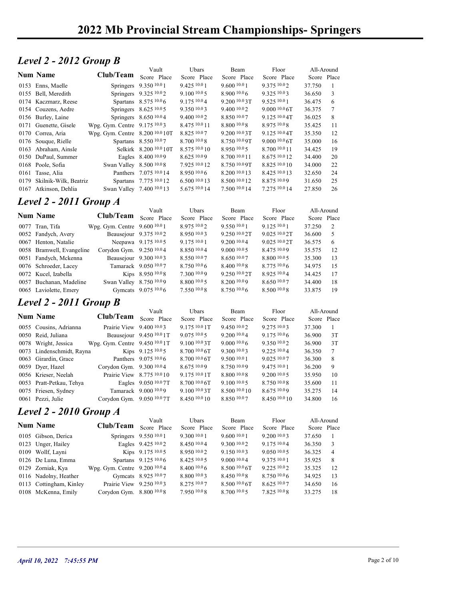#### Level 2 - 2012 Group B

|                               | 2022 Mb Provincial Stream Championships-Springers |                           |                |                          |                  |             |    |
|-------------------------------|---------------------------------------------------|---------------------------|----------------|--------------------------|------------------|-------------|----|
|                               |                                                   |                           |                |                          |                  |             |    |
|                               |                                                   |                           |                |                          |                  |             |    |
| Level 2 - 2012 Group B        |                                                   |                           |                |                          |                  |             |    |
|                               |                                                   | Vault                     | Ubars          | Beam                     | Floor            | All-Around  |    |
| <b>Num Name</b>               | Club/Team                                         | Score Place               | Score Place    | Score Place              | Score Place      | Score Place |    |
| 0153 Enns, Maelle             |                                                   | Springers 9.350 10.0 1    | 9.425 10.0 1   | 9.600 10.0 1             | 9.375 10.02      | 37.750      | -1 |
| 0155 Bell, Meredith           |                                                   | Springers 9.325 10.02     | $9.100\,10.05$ | 8.900 10.06              | 9.325 10.03      | 36.650      | 3  |
| 0174 Kaczmarz, Reese          |                                                   | Spartans 8.575 10.0 6     | 9.175 10.04    | 9.200 10.0 3T            | 9.52510.01       | 36.475      | 6  |
| 0154 Couzens, Aedre           |                                                   | Springers 8.625 10.0 5    | 9.35010.03     | 9.400 10.02              | 9.0001006        | 36.375      | 7  |
| 0156 Burley, Laine            |                                                   | Springers 8.650 10.04     | 9.40010.02     | 8.850 10.07              | $9.125\,10.04$ T | 36.025      | 8  |
| 0171 Guenette, Gisele         | Wpg. Gym. Centre 9.175 10.03                      |                           | 8.475 10.0 11  | 8.800 10.08              | 8.975 10.08      | 35.425      | 11 |
| 0170 Correa, Aria             | Wpg. Gym. Centre 8.200 10.0 10T                   |                           | 8.825 10.07    | 9.200 <sup>10.0</sup> 3T | $9.125\,10.04$ T | 35.350      | 12 |
| 0176 Souque, Rielle           |                                                   | Spartans 8.550 10.07      | 8.700 10.0 8   | 8.750 10.0 9T            | 9.0001006        | 35.000      | 16 |
| 0163 Abraham, Ainsle          |                                                   | Selkirk 8.200 10.0 10T    | 8.575 10.0 10  | 8.950 10.05              | 8.700 10.0 11    | 34.425      | 19 |
| 0150 DuPaul, Summer           |                                                   | Eagles 8.400 10.09        | 8.625 10.09    | 8.700 10.0 11            | 8.675 10.0 12    | 34.400      | 20 |
| 0168 Poole, Sofia             | Swan Valley 8.500 10.08                           |                           | 7.925 10.0 12  | 8.750 10.0 9T            | 8.825 10.0 10    | 34.000      | 22 |
| 0161 Tasse, Alia              |                                                   | Panthers 7.075 10.0 14    | 8.95010.06     | 8.200 10.0 13            | 8.425 10.0 13    | 32.650      | 24 |
| 0179 Skilnik-Wilk, Beatriz    |                                                   | Spartans 7.775 10.0 12    | 6.500 10.0 13  | 8.500 10.0 12            | 8.875 10.09      | 31.650      | 25 |
| 0167 Atkinson, Dehlia         |                                                   | Swan Valley 7.400 10.0 13 | 5.675 10.0 14  | 7.500 10.0 14            | 7.275 10.0 14    | 27.850      | 26 |
|                               |                                                   |                           |                |                          |                  |             |    |
| <b>Level 2 - 2011 Group A</b> |                                                   |                           |                |                          |                  |             |    |
|                               |                                                   | Vault                     | Ubars          | Beam                     | Floor            | All-Around  |    |
| <b>Num Name</b>               | Club/Team Score Place                             |                           | Score Place    | Score Place              | Score Place      | Score Place |    |
| 0077 Tran, Tifa               | Wpg. Gym. Centre 9.600 10.0 1                     |                           | 8.975 10.02    | 9.550 10.0 1             | 9.125 10.0 1     | 37.250      | 2  |
| 0052 Fandych, Avery           |                                                   | Beausejour 9.375 10.02    | 8.950 10.03    | 9.250 10.0 2T            | 9.025 10.0 2T    | 36.600      | 5  |
| 0067 Henton, Natalie          |                                                   | Neepawa 9.175 10.05       | 9.175 10.0 1   | 9.200 10.04              | 9.025 10.0 2T    | 36.575      | 6  |
| 0058 Bramwell, Evangeline     | Corydon Gym. 9.250 10.04                          |                           | 8.850 10.04    | 9.000 10.0 5             | 8.475 10.09      | 35.575      | 12 |
| 0051 Fandych, Mckenna         |                                                   | Beausejour 9.300 10.03    | 8.550 10.07    | 8.650 10.07              | 8.800 10.0 5     | 35.300      | 13 |
| 0076 Schroeder, Lacey         |                                                   | Tamarack 9.050 10.07      | 8.75010.06     | 8.400 10.08              | 8.775 10.0 6     | 34.975      | 15 |
| 0072 Kucel, Izabella          |                                                   | Kips 8.950 10.08          | 7.300 10.09    | 9.250 10.0 2T            | 8.925 10.04      | 34.425      | 17 |
| 0057 Buchanan, Madeline       | Swan Valley 8.750 10.09                           |                           | 8.800 10.0 5   | 8.200 10.09              | 8.650 10.07      | 34.400      | 18 |
| 0065 Laviolette, Emery        |                                                   | Gymcats 9.075 10.06       | 7.550 10.0 8   | 8.750 10.06              | 8.500 10.0 8     | 33.875      | 19 |
|                               |                                                   |                           |                |                          |                  |             |    |
| Level 2 - 2011 Group B        |                                                   |                           |                |                          |                  |             |    |
|                               |                                                   | Vault                     | Ubars          | Beam                     | Floor            | All-Around  |    |
| <b>Num Name</b>               | Club/Team Score Place                             |                           | Score Place    | Score Place              | Score Place      | Score Place |    |
| 0055 Cousins, Adrianna        | Prairie View 9.400 10.03                          |                           | 9.175 10.0 1T  | 9.450 10.02              | 9.275 10.03      | 37.300      | -1 |

#### Level 2 - 2011 Group A

| 0156 Burley, Laine                                |                                 | Springers 8.650 10.04      | 9.400 10.02                 | 8.850 10.07         | 9.125 10.0 4T                  | 36.025                    | 8        |
|---------------------------------------------------|---------------------------------|----------------------------|-----------------------------|---------------------|--------------------------------|---------------------------|----------|
| 0171 Guenette, Gisele                             | Wpg. Gym. Centre 9.175 10.03    |                            | 8.475 10.0 11               | 8.800 10.08         | 8.975 10.08                    | 35.425                    | 11       |
| 0170 Correa, Aria                                 | Wpg. Gym. Centre 8.200 10.0 10T |                            | 8.825 10.07                 | 9.200 10.0 3T       | 9.125 10.0 4T                  | 35.350                    | 12       |
| 0176 Souque, Rielle                               |                                 | Spartans 8.550 10.07       | 8.700 10.0 8                | 8.750 10.0 9T       | 9.0001006                      | 35.000                    | 16       |
| 0163 Abraham, Ainsle                              |                                 | Selkirk 8.200 10.0 10T     | 8.575 10.0 10               | 8.950 10.05         | 8.700 10.0 11                  | 34.425                    | 19       |
| 0150 DuPaul, Summer                               |                                 | Eagles 8.400 10.09         | 8.625 10.09                 | 8.700 10.0 11       | 8.675 10.0 12                  | 34.400                    | 20       |
| 0168 Poole, Sofia                                 | Swan Valley 8.500 10.08         |                            | 7.925 10.0 12               | 8.750 10.0 9T       | 8.825 10.0 10                  | 34.000                    | 22       |
| 0161 Tasse, Alia                                  |                                 | Panthers 7.075 10.0 14     | 8.950 10.0 6                | 8.200 10.0 13       | 8.425 10.0 13                  | 32.650                    | 24       |
| 0179 Skilnik-Wilk, Beatriz                        |                                 | Spartans 7.775 10.0 12     | 6.50010013                  | 8.500 10.0 12       | 8.875 10.09                    | 31.650                    | 25       |
| 0167 Atkinson, Dehlia                             |                                 | Swan Valley 7.400 10.0 13  | 5.675 10.0 14               | 7.500 10.0 14       | 7.275 10.0 14                  | 27.850                    | 26       |
| <b>Level 2 - 2011 Group A</b>                     |                                 |                            |                             |                     |                                |                           |          |
| Num Name                                          | Club/Team                       | Vault<br>Score Place       | Ubars<br>Score Place        | Beam<br>Score Place | Floor<br>Score Place           | All-Around<br>Score Place |          |
|                                                   |                                 |                            | 8.975 10.02                 | 9.550 10.0 1        |                                |                           |          |
| 0077 Tran, Tifa                                   | Wpg. Gym. Centre 9.600 10.0 1   |                            |                             | 9.250 10.0 2T       | 9.125 10.0 1                   | 37.250                    | 2        |
| 0052 Fandych, Avery                               |                                 | Beausejour 9.375 10.02     | 8.950 10.03<br>9.175 10.0 1 | 9.200 10.04         | 9.025 10.0 2T<br>9.025 10.0 2T | 36.600                    | 5        |
| 0067 Henton, Natalie<br>0058 Bramwell, Evangeline | Corydon Gym. 9.250 10.04        | Neepawa 9.175 10.05        | 8.850 10.04                 | 9.000 10.0 5        | 8.475 10.09                    | 36.575<br>35.575          | 6        |
| 0051 Fandych, Mckenna                             |                                 | Beausejour 9.300 10.03     | 8.550 10.07                 | 8.650 10.07         | 8.800 10.0 5                   | 35.300                    | 12<br>13 |
| 0076 Schroeder, Lacey                             |                                 | Tamarack 9.050 10.07       | 8.75010.06                  | 8.400 10.08         | $8.775\ 10.06$                 | 34.975                    | 15       |
| 0072 Kucel, Izabella                              |                                 | Kips 8.950 10.08           | 7.300 10.09                 | 9.250 10.0 2T       | 8.925 10.04                    | 34.425                    | 17       |
| 0057 Buchanan, Madeline                           | Swan Valley 8.750 10.09         |                            | 8.800 10.0 5                | 8.200 10.09         | 8.650 10.07                    | 34.400                    | 18       |
| 0065 Laviolette, Emery                            |                                 | Gymcats 9.075 10.0 6       | 7.550 10.0 8                | 8.750 10.06         | 8.500 10.0 8                   | 33.875                    | 19       |
|                                                   |                                 |                            |                             |                     |                                |                           |          |
| Level 2 - 2011 Group B                            |                                 |                            |                             |                     |                                |                           |          |
|                                                   |                                 | Vault                      | Ubars                       | Beam                | Floor                          | All-Around                |          |
| <b>Num Name</b>                                   | Club/Team                       | Score Place                | Score Place                 | Score Place         | Score Place                    | Score Place               |          |
| 0055 Cousins, Adrianna                            | Prairie View 9.400 10.03        |                            | 9.175 10.0 1T               | 9.450 10.02         | 9.275 10.03                    | 37.300                    |          |
| 0050 Reid, Juliana                                |                                 | Beausejour 9.450 10.0 1T   | 9.0751005                   | 9.200 10.0 4        | $9.175\ 10.06$                 | 36.900                    | 3T       |
| 0078 Wright, Jessica                              | Wpg. Gym. Centre 9.450 10.0 1T  |                            | 9.100 10.0 3T               | 9.000 10.06         | 9.350 10.02                    | 36.900                    | 3T       |
| 0073 Lindenschmidt, Rayna                         |                                 | Kips 9.125 10.0 5          | 8.700 10.0 6T               | 9.300 10.03         | 9.225 10.04                    | 36.350                    |          |
| 0063 Girardin, Grace                              |                                 | Panthers 9.075 10.0 6      | 8.700 10.0 6T               | 9.500 10.0 1        | 9.025 10.07                    | 36.300                    | 8        |
| 0059 Dyer, Hazel                                  | Corydon Gym. 9.300 10.04        |                            | 8.675 10.09                 | 8.750 10.09         | $9.475\ 10.01$                 | 36.200                    | 9        |
| 0056 Krieser, Neelah                              |                                 | Prairie View 8.775 10.0 10 | 9.175 10.0 1T               | 8.800 10.08         | 9.20010005                     | 35.950                    | 10       |
| 0053 Pratt-Petkau, Tehya                          |                                 | Eagles 9.050 10.0 7T       | 8.700 <sup>10.0</sup> 6T    | $9.100\,10.05$      | $8.750\,10.08$                 | 35.600                    | 11       |
| 0075 Friesen, Sydney                              |                                 | Tamarack 9.000 10.09       | 9.100 10.0 3T               | 8.500 10.0 10       | 8.675 10.09                    | 35.275                    | 14       |

#### Level 2 - 2011 Group B

| 0150 DuPaul, Summer        |                                | Eagles 8.400 10.09         | 8.625 10.09              | 8.700 10.0 11            | 8.675 10.0 12 | 34.400      | 20              |
|----------------------------|--------------------------------|----------------------------|--------------------------|--------------------------|---------------|-------------|-----------------|
| 0168 Poole, Sofia          | Swan Valley 8.500 10.08        |                            | 7.925 10.0 12            | 8.750 10.0 9T            | 8.825 10.0 10 | 34.000      | 22              |
| 0161 Tasse, Alia           |                                | Panthers 7.075 10.0 14     | 8.950 10.0 6             | 8.200 10.0 13            | 8.425 10.0 13 | 32.650      | 24              |
| 0179 Skilnik-Wilk, Beatriz |                                | Spartans 7.775 10.0 12     | 6.500 10.0 13            | 8.500 10.0 12            | 8.875 10.09   | 31.650      | 25              |
| 0167 Atkinson, Dehlia      |                                | Swan Valley 7.400 10.0 13  | 5.675 10.0 14            | 7.500 10.0 14            | 7.275 10.0 14 | 27.850      | 26              |
|                            |                                |                            |                          |                          |               |             |                 |
| Level 2 - 2011 Group A     |                                |                            |                          |                          |               |             |                 |
| Num Name                   | Club/Team                      | Vault                      | Ubars                    | Beam                     | Floor         | All-Around  |                 |
|                            |                                | Score Place                | Score Place              | Score Place              | Score Place   | Score Place |                 |
| 0077 Tran, Tifa            | Wpg. Gym. Centre 9.600 10.0 1  |                            | 8.975 10.02              | 9.550 10.0 1             | 9.125 10.0 1  | 37.250      | 2               |
| 0052 Fandych, Avery        |                                | Beausejour 9.375 10.02     | 8.950 10.03              | 9.250 10.0 2T            | 9.025 10.0 2T | 36.600      | 5               |
| 0067 Henton, Natalie       |                                | Neepawa 9.175 10.05        | 9.175 10.0 1             | 9.200 10.04              | 9.025 10.0 2T | 36.575      | 6               |
| 0058 Bramwell, Evangeline  | Corydon Gym. 9.250 10.04       |                            | 8.850 10.04              | 9.00010.05               | 8.475 10.09   | 35.575      | 12              |
| 0051 Fandych, Mckenna      |                                | Beausejour 9.300 10.03     | 8.550 10.07              | 8.650 10.07              | 8.800 10.0 5  | 35.300      | 13              |
| 0076 Schroeder, Lacey      |                                | Tamarack 9.050 10.07       | 8.750 10.0 6             | 8.400 10.0 8             | 8.775 10.06   | 34.975      | 15              |
| 0072 Kucel, Izabella       |                                | Kips 8.950 10.08           | 7.300 10.09              | 9.250 <sup>10.0</sup> 2T | 8.925 10.04   | 34.425      | 17              |
| 0057 Buchanan, Madeline    | Swan Valley 8.750 10.09        |                            | $8.800\;^{10.0}\;5$      | 8.200 10.09              | 8.650 10.07   | 34.400      | 18              |
| 0065 Laviolette, Emery     |                                | Gymcats 9.075 10.0 6       | 7.550 10.0 8             | 8.750 10.06              | 8.500 10.08   | 33.875      | 19              |
|                            |                                |                            |                          |                          |               |             |                 |
| Level 2 - 2011 Group B     |                                |                            |                          |                          |               |             |                 |
| <b>Num Name</b>            | Club/Team                      | Vault                      | Ubars                    | Beam                     | Floor         | All-Around  |                 |
|                            |                                | Score Place                | Score Place              | Score Place              | Score Place   | Score Place |                 |
| 0055 Cousins, Adrianna     | Prairie View 9.400 10.03       |                            | 9.175 10.0 1T            | 9.450 10.02              | 9.275 10.03   | 37.300      | -1              |
| 0050 Reid, Juliana         |                                | Beausejour 9.450 10.0 1T   | 9.075 10.0 5             | 9.200 10.04              | 9.175 10.06   | 36.900      | 3T              |
| 0078 Wright, Jessica       | Wpg. Gym. Centre 9.450 10.0 1T |                            | 9.1001003                | 9.0001006                | 9.350 10.02   | 36.900      | 3T              |
| 0073 Lindenschmidt, Rayna  |                                | Kips 9.125 10.05           | 8.700 10.0 6T            | 9.300 10.03              | 9.225 10.04   | 36.350      | $7\phantom{.0}$ |
| 0063 Girardin, Grace       |                                | Panthers 9.075 10.0 6      | $8.70010.06$ T           | 9.500 10.0 1             | 9.025 10.07   | 36.300      | 8               |
| 0059 Dyer, Hazel           | Corydon Gym. 9.300 10.04       |                            | 8.67510.09               | 8.750 10.09              | 9.475 10.0 1  | 36.200      | 9               |
| 0056 Krieser, Neelah       |                                | Prairie View 8.775 10.0 10 | 9.175 10.0 1T            | 8.800 10.08              | 9.200 10.0 5  | 35.950      | 10              |
| 0053 Pratt-Petkau, Tehya   |                                | Eagles 9.050 10.07T        | 8.700 <sup>10.0</sup> 6T | $9.100\,10.05$           | 8.750 10.08   | 35.600      | 11              |
| 0075 Friesen, Sydney       |                                | Tamarack 9.000 10.09       | $9.100\,10.03$ T         | 8.500 10.0 10            | 8.675 10.09   | 35.275      | 14              |
| 0061 Pezzi, Julie          | Corydon Gym. 9.050 10.0 7T     |                            | 8.450 10.0 10            | 8.850 10.07              | 8.450 10.0 10 | 34.800      | 16              |
|                            |                                |                            |                          |                          |               |             |                 |
| Level 2 - 2010 Group A     |                                |                            |                          |                          |               |             |                 |
| Num Name                   | Club/Team                      | Vault                      | Ubars                    | Beam                     | Floor         | All-Around  |                 |
|                            |                                | Score Place                | Score Place              | Score Place              | Score Place   | Score Place |                 |
| 0105 Gibson, Derica        |                                | Springers 9.550 10.0 1     | 9.300 10.0 1             | 9.60010.01               | 9.200 10.03   | 37.650      | - 1             |
| 0123 Unger, Hailey         |                                | Eagles 9.425 10.02         | 8.450 10.04              | 9.300 10.02              | 9.175 10.04   | 36.350      | 3               |
| 0109 Wollf, Layni          |                                | Kips 9.175 10.05           | 8.950 10.02              | 9.150 10.03              | 9.050 10.05   | 36.325      | $\overline{4}$  |
| 0126 De Luna, Emma         |                                | Spartans 9.125 10.0 6      | 8.425 10.0 5             | 9.000 10.04              | 9.375 10.0 1  | 35.925      | 8               |
| 0129 Zorniak, Kya          | Wpg. Gym. Centre 9.200 10.04   |                            | 8.400 10.0 6             | 8.500 10.0 6T            | 9.225 10.02   | 35.325      | 12              |
| 0116 Nadolny, Heather      |                                | Gymcats 8.925 10.07        | 8.800 10.03              | 8.450 10.08              | 8.750 10.06   | 34.925      | 13              |
| 0113 Cottingham, Kinley    | Prairie View 9.250 10.03       |                            | 8.275 10.07              | 8.500 10.0 6T            | 8.625 10.07   | 34.650      | 16              |
| 0108 McKenna, Emily        | Corydon Gym. 8.800 10.08       |                            | 7.950 10.08              | 8.700 10.0 5             | 7.825 10.08   | 33.275      | 18              |
|                            |                                |                            |                          |                          |               |             |                 |
|                            |                                |                            |                          |                          |               |             |                 |
|                            |                                |                            |                          |                          |               |             |                 |
|                            |                                |                            |                          |                          |               |             |                 |
|                            |                                |                            |                          |                          |               |             |                 |
|                            |                                |                            |                          |                          |               |             |                 |
|                            |                                |                            |                          |                          |               |             |                 |

#### Level 2 - 2010 Group A

|                         |                              | Vault                  | <b>U</b> bars | <b>Beam</b>   | Floor        | All-Around  |                |
|-------------------------|------------------------------|------------------------|---------------|---------------|--------------|-------------|----------------|
| <b>Num Name</b>         | Club/Team                    | Score Place            | Score Place   | Score Place   | Score Place  | Score Place |                |
| 0105 Gibson, Derica     |                              | Springers 9.550 10.0 1 | 9,30010.01    | 9,60010.01    | 9.2001003    | 37.650      |                |
| 0123 Unger, Hailey      |                              | Eagles 9.425 10.0 2    | 8.45010.04    | 9.30010.02    | 9.17510.04   | 36.350      | -3             |
| 0109 Wollf, Layni       |                              | Kips 9.175 10.0 5      | 8.950 10.02   | 9.1501003     | 9.0501005    | 36.325      | $\overline{4}$ |
| 0126 De Luna, Emma      |                              | Spartans 9.125 10.0 6  | 8.425 10.0 5  | 9,00010.04    | 9.37510.01   | 35.925      | 8              |
| 0129 Zorniak, Kya       | Wpg. Gym. Centre 9.200 10.04 |                        | 8,40010.06    | 8.500 10.0 6T | 9.22510.02   | 35.325      | 12             |
| 0116 Nadolny, Heather   |                              | Gymcats 8.925 10.07    | 8.800 10.03   | 8.450 10.0 8  | 8.750 10.06  | 34.925      | 13             |
| 0113 Cottingham, Kinley | Prairie View $9.250\,10.03$  |                        | 8.275 10.07   | 8.500 10.0 6T | 8.625 10.07  | 34.650      | 16             |
| 0108 McKenna, Emily     | Corydon Gym. 8.800 10.08     |                        | 7.950 10.0 8  | 8.700 10.0 5  | 7.825 10.0 8 | 33.275      | 18             |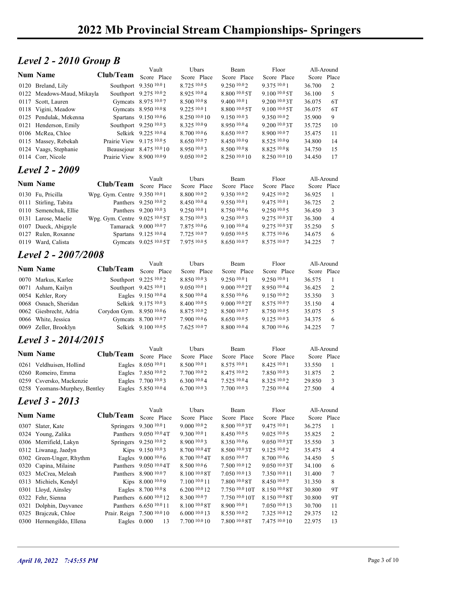## **Level 2 - 2010 Group B**

| Level 2 - 2010 Group B<br>Floor<br>Vault<br>Ubars<br>Beam<br>All-Around<br><b>Num Name</b><br>Club/Team<br>Score Place<br>Score Place<br>Score Place<br>Score Place<br>Score Place<br>Southport 9.350 10.0 1<br>8.725 10.0 5<br>9.250 10.02<br>9.375 10.0 1<br>36.700<br>2<br>0120 Breland, Lily<br>Southport 9.275 10.02<br>8.925 10.04<br>$8.800\,10.05$<br>$9.100\,10.05$ T<br>5<br>0122 Meadows-Maud, Mikayla<br>36.100<br>0117 Scott, Lauren<br>Gymcats 8.975 10.07<br>8.500 10.0 8<br>9.400 10.0 1<br>$9.200\,10.03$ T<br>6T<br>36.075<br>Gymcats 8.950 10.08<br>9.22510.01<br>$8.800\text{ }^{10.0}\text{ }5\text{T}$<br>$9.100\,10.05$ T<br>6T<br>0118 Vigini, Meadow<br>36.075<br>0125 Pendulak, Mekenna<br>Spartans 9.150 10.0 6<br>8.250 10.0 10<br>9.150 10.03<br>9.350 10.02<br>35.900<br>9<br>Southport 9.250 10.03<br>8.325 10.09<br>8.950 10.04<br>9.200 10.0 3T<br>10<br>0121 Henderson, Emily<br>35.725<br>0106 McRea, Chloe<br>Selkirk 9.225 10.04<br>8.7001006<br>8.650 10.07<br>8.900 10.07<br>35.475<br>11<br>Prairie View $9.175\,^{10.0}5$<br>8.650 10.07<br>8.450 10.09<br>8.525 10.09<br>34.800<br>14<br>0115 Massey, Rebekah<br>$8.500\;^{10.0}\,8$<br>8.825 10.08<br>15<br>0124 Vaags, Stephanie<br>Beausejour 8.475 10.0 10<br>8.950 10.03<br>34.750<br>0114 Corr, Nicole<br>Prairie View 8.900 10.09<br>9.050 10.02<br>8.250 10.0 10<br>8.250 10.0 10<br>17<br>34.450<br><b>Level 2 - 2009</b><br>Vault<br>Ubars<br>Beam<br>Floor<br>All-Around<br><b>Num Name</b><br>Club/Team<br>Score Place<br>Score Place<br>Score Place<br>Score Place<br>Score Place<br>8.800 10.02<br>9.425 10.02<br>0130 Fu, Pricilla<br>Wpg. Gym. Centre 9.350 10.01<br>9.350 10.0 2<br>36.925<br>-1<br>Panthers 9.250 10.02<br>8.450 10.04<br>9.475 10.0 1<br>0111 Stirling, Tabita<br>9.550 10.0 1<br>36.725<br>2<br>9.250 10.05<br>Panthers 9.200 10.03<br>9.250 10.0 1<br>8.750 10.06<br>3<br>0110 Semenchuk, Ellie<br>36.450<br>Wpg. Gym. Centre 9.025 10.0 5T<br>9.250 10.03<br>9.275 10.0 3T<br>36.300<br>0131 Larose, Maelie<br>8.750 10.03<br>$\overline{4}$<br>Tamarack 9.000 10.07<br>0107 Dueck, Abigayle<br>7.875 10.0 6<br>9.100 10.04<br>9.275 10.0 3T<br>5<br>35.250<br>Spartans 9.125 10.04<br>0127 Rulen, Roxanne<br>7.725 10.07<br>9.050 10.05<br>$8.775\ 10.06$<br>34.675<br>6<br>0119 Ward, Calista<br>Gymcats 9.025 10.0 5T<br>7.975 10.0 5<br>8.650 10.07<br>8.575 10.07<br>34.225<br>$\tau$<br>Level 2 - 2007/2008<br>Ubars<br>Floor<br>All-Around<br>Vault<br>Beam<br><b>Num Name</b><br>Club/Team<br>Score Place<br>Score Place<br>Score Place<br>Score Place<br>Score Place<br>Southport 9.225 10.02<br>0070 Markus, Karlee<br>8.850 10.03<br>9.250 10.0 1<br>9.250 10.0 1<br>36.575<br>-1<br>Southport 9.425 10.0 1<br>9.050 10.0 1<br>9.000 10.0 2T<br>8.950 10.04<br>2<br>0071 Asham, Kailyn<br>36.425<br>Eagles 9.150 10.04<br>8.500 10.0 4<br>8.550 10.0 6<br>9.150 10.02<br>35.350<br>3<br>0054 Kehler, Rory<br>0068 Osnach, Sheridan<br>Selkirk 9.175 10.03<br>8.400 10.0 5<br>9.000 10.0 2T<br>8.575 10.07<br>35.150<br>$\overline{4}$<br>Corydon Gym. 8.950 10.06<br>8.875 10.02<br>8.500 10.07<br>8.750 10.05<br>35.075<br>5<br>0062 Giesbrecht, Adria<br>0066 White, Jessica<br>Gymcats 8.700 10.07<br>7.9001006<br>8.650 10.05<br>9.125 10.03<br>34.375<br>6<br>0069 Zeller, Brooklyn<br>Selkirk 9.100 10.0 5<br>7.625 10.07<br>8.800 10.04<br>8.700 10.06<br>34.225<br>$\tau$<br>Level 3 - 2014/2015<br>Vault<br>Ubars<br>Floor<br>All-Around<br>Beam<br><b>Num Name</b><br>Club/Team<br>Score Place<br>Score Place<br>Score Place<br>Score Place<br>Score Place<br>Eagles 8.050 10.0 1<br>8.500 10.0 1<br>0261 Veldhuisen, Hollind<br>8.575 10.0 1<br>$8.425\;^{10.0}1$<br>33.550<br>0260 Romeiro, Emma<br>Eagles 7.850 10.02<br>8.475 10.02<br>7.850 10.03<br>31.875<br>2<br>7.700 10.0 2<br>Eagles 7.700 10.03<br>$6.300\, {}^{10.0}4$<br>7.525 10.04<br>8.325 10.02<br>$\mathfrak{Z}$<br>0259 Csversko, Mackenzie<br>29.850<br>Eagles 5.850 10.04<br>6.700 10.03<br>7.700 10.03<br>7.250 10.04<br>0258 Yeomans-Murphey, Bentley<br>27.500<br>$\overline{4}$<br>Level 3 - 2013<br>Floor<br>Vault<br>Ubars<br>Beam<br>All-Around<br><b>Num Name</b><br>Club/Team<br>Score Place<br>Score Place<br>Score Place<br>Score Place<br>Score Place<br>Springers 9.300 10.0 1<br>9.000 10.0 2<br>8.500 10.0 3T<br>9.475 10.0 1<br>0307 Slater, Kate<br>36.275<br>-1<br>0324 Young, Zalika<br>Panthers 9.050 10.0 4T<br>9.300 10.0 1<br>8.450 10.0 5<br>35.825<br>2<br>9.02510005<br>0306 Merrifield, Lakyn<br>Springers 9.250 10.02<br>3<br>8.900 10.0 3<br>8.350 10.06<br>$9.050\,10.03$ T<br>35.550<br>Kips 9.150 10.03<br>8.700 10.0 4T<br>9.125 10.02<br>35.475<br>0312 Liwanag, Jaedyn<br>8.500 10.0 3T<br>$\overline{4}$<br>0302 Green-Unger, Rhythm<br>Eagles 9.000 10.0 6<br>8.700 10.0 4T<br>8.700 10.0 6<br>5<br>8.050 10.07<br>34.450<br>0320 Capina, Milaine<br>Panthers 9.050 10.0 4T<br>8.500 10.0 6<br>9.050 10.0 3T<br>7.500 10.0 12<br>34.100<br>6<br>Panthers 8.900 10.07<br>8.100 10.0 8T<br>7.350 10.0 11<br>$\tau$<br>0323 McCrea, Meleah<br>7.050 10.0 13<br>31.400<br>Kips 8.000 10.09<br>0313 Michiels, Kendyl<br>$7.100$ $10.0$ $11$<br>7.800 10.0 8T<br>8.450 10.07<br>8<br>31.350<br>0301 Lloyd, Ainsley<br>Eagles 8.700 10.0 8<br>6.200 10.0 12<br>7.750 10.0 10T<br>8.150 10.0 8T<br>9T<br>30.800<br>0322 Fehr, Sienna<br>Panthers 6.600 10.0 12<br>8.300 10.07<br>8.150 10.0 8T<br>9T<br>7.750 10.0 10T<br>30.800 |                        |                           |               |              |               |        |    |              |
|------------------------------------------------------------------------------------------------------------------------------------------------------------------------------------------------------------------------------------------------------------------------------------------------------------------------------------------------------------------------------------------------------------------------------------------------------------------------------------------------------------------------------------------------------------------------------------------------------------------------------------------------------------------------------------------------------------------------------------------------------------------------------------------------------------------------------------------------------------------------------------------------------------------------------------------------------------------------------------------------------------------------------------------------------------------------------------------------------------------------------------------------------------------------------------------------------------------------------------------------------------------------------------------------------------------------------------------------------------------------------------------------------------------------------------------------------------------------------------------------------------------------------------------------------------------------------------------------------------------------------------------------------------------------------------------------------------------------------------------------------------------------------------------------------------------------------------------------------------------------------------------------------------------------------------------------------------------------------------------------------------------------------------------------------------------------------------------------------------------------------------------------------------------------------------------------------------------------------------------------------------------------------------------------------------------------------------------------------------------------------------------------------------------------------------------------------------------------------------------------------------------------------------------------------------------------------------------------------------------------------------------------------------------------------------------------------------------------------------------------------------------------------------------------------------------------------------------------------------------------------------------------------------------------------------------------------------------------------------------------------------------------------------------------------------------------------------------------------------------------------------------------------------------------------------------------------------------------------------------------------------------------------------------------------------------------------------------------------------------------------------------------------------------------------------------------------------------------------------------------------------------------------------------------------------------------------------------------------------------------------------------------------------------------------------------------------------------------------------------------------------------------------------------------------------------------------------------------------------------------------------------------------------------------------------------------------------------------------------------------------------------------------------------------------------------------------------------------------------------------------------------------------------------------------------------------------------------------------------------------------------------------------------------------------------------------------------------------------------------------------------------------------------------------------------------------------------------------------------------------------------------------------------------------------------------------------------------------------------------------------------------------------------------------------------------------------------------------------------------------------------------------------------------------------------------------------------------------------------------------------------------------------------------------------------------------------------------------------------------------------------------------------------------------------------------------------------------------------------------------------------------------------------------------------------------------------------------------------------------------------------------------------------------------------------------------------------------------------------------------------------------------------------------------------------------------------------------------------------------|------------------------|---------------------------|---------------|--------------|---------------|--------|----|--------------|
|                                                                                                                                                                                                                                                                                                                                                                                                                                                                                                                                                                                                                                                                                                                                                                                                                                                                                                                                                                                                                                                                                                                                                                                                                                                                                                                                                                                                                                                                                                                                                                                                                                                                                                                                                                                                                                                                                                                                                                                                                                                                                                                                                                                                                                                                                                                                                                                                                                                                                                                                                                                                                                                                                                                                                                                                                                                                                                                                                                                                                                                                                                                                                                                                                                                                                                                                                                                                                                                                                                                                                                                                                                                                                                                                                                                                                                                                                                                                                                                                                                                                                                                                                                                                                                                                                                                                                                                                                                                                                                                                                                                                                                                                                                                                                                                                                                                                                                                                                                                                                                                                                                                                                                                                                                                                                                                                                                                                                                                                                          |                        |                           |               |              |               |        |    |              |
|                                                                                                                                                                                                                                                                                                                                                                                                                                                                                                                                                                                                                                                                                                                                                                                                                                                                                                                                                                                                                                                                                                                                                                                                                                                                                                                                                                                                                                                                                                                                                                                                                                                                                                                                                                                                                                                                                                                                                                                                                                                                                                                                                                                                                                                                                                                                                                                                                                                                                                                                                                                                                                                                                                                                                                                                                                                                                                                                                                                                                                                                                                                                                                                                                                                                                                                                                                                                                                                                                                                                                                                                                                                                                                                                                                                                                                                                                                                                                                                                                                                                                                                                                                                                                                                                                                                                                                                                                                                                                                                                                                                                                                                                                                                                                                                                                                                                                                                                                                                                                                                                                                                                                                                                                                                                                                                                                                                                                                                                                          |                        |                           |               |              |               |        |    |              |
|                                                                                                                                                                                                                                                                                                                                                                                                                                                                                                                                                                                                                                                                                                                                                                                                                                                                                                                                                                                                                                                                                                                                                                                                                                                                                                                                                                                                                                                                                                                                                                                                                                                                                                                                                                                                                                                                                                                                                                                                                                                                                                                                                                                                                                                                                                                                                                                                                                                                                                                                                                                                                                                                                                                                                                                                                                                                                                                                                                                                                                                                                                                                                                                                                                                                                                                                                                                                                                                                                                                                                                                                                                                                                                                                                                                                                                                                                                                                                                                                                                                                                                                                                                                                                                                                                                                                                                                                                                                                                                                                                                                                                                                                                                                                                                                                                                                                                                                                                                                                                                                                                                                                                                                                                                                                                                                                                                                                                                                                                          |                        |                           |               |              |               |        |    |              |
|                                                                                                                                                                                                                                                                                                                                                                                                                                                                                                                                                                                                                                                                                                                                                                                                                                                                                                                                                                                                                                                                                                                                                                                                                                                                                                                                                                                                                                                                                                                                                                                                                                                                                                                                                                                                                                                                                                                                                                                                                                                                                                                                                                                                                                                                                                                                                                                                                                                                                                                                                                                                                                                                                                                                                                                                                                                                                                                                                                                                                                                                                                                                                                                                                                                                                                                                                                                                                                                                                                                                                                                                                                                                                                                                                                                                                                                                                                                                                                                                                                                                                                                                                                                                                                                                                                                                                                                                                                                                                                                                                                                                                                                                                                                                                                                                                                                                                                                                                                                                                                                                                                                                                                                                                                                                                                                                                                                                                                                                                          |                        |                           |               |              |               |        |    |              |
|                                                                                                                                                                                                                                                                                                                                                                                                                                                                                                                                                                                                                                                                                                                                                                                                                                                                                                                                                                                                                                                                                                                                                                                                                                                                                                                                                                                                                                                                                                                                                                                                                                                                                                                                                                                                                                                                                                                                                                                                                                                                                                                                                                                                                                                                                                                                                                                                                                                                                                                                                                                                                                                                                                                                                                                                                                                                                                                                                                                                                                                                                                                                                                                                                                                                                                                                                                                                                                                                                                                                                                                                                                                                                                                                                                                                                                                                                                                                                                                                                                                                                                                                                                                                                                                                                                                                                                                                                                                                                                                                                                                                                                                                                                                                                                                                                                                                                                                                                                                                                                                                                                                                                                                                                                                                                                                                                                                                                                                                                          |                        |                           |               |              |               |        |    |              |
|                                                                                                                                                                                                                                                                                                                                                                                                                                                                                                                                                                                                                                                                                                                                                                                                                                                                                                                                                                                                                                                                                                                                                                                                                                                                                                                                                                                                                                                                                                                                                                                                                                                                                                                                                                                                                                                                                                                                                                                                                                                                                                                                                                                                                                                                                                                                                                                                                                                                                                                                                                                                                                                                                                                                                                                                                                                                                                                                                                                                                                                                                                                                                                                                                                                                                                                                                                                                                                                                                                                                                                                                                                                                                                                                                                                                                                                                                                                                                                                                                                                                                                                                                                                                                                                                                                                                                                                                                                                                                                                                                                                                                                                                                                                                                                                                                                                                                                                                                                                                                                                                                                                                                                                                                                                                                                                                                                                                                                                                                          |                        |                           |               |              |               |        |    |              |
|                                                                                                                                                                                                                                                                                                                                                                                                                                                                                                                                                                                                                                                                                                                                                                                                                                                                                                                                                                                                                                                                                                                                                                                                                                                                                                                                                                                                                                                                                                                                                                                                                                                                                                                                                                                                                                                                                                                                                                                                                                                                                                                                                                                                                                                                                                                                                                                                                                                                                                                                                                                                                                                                                                                                                                                                                                                                                                                                                                                                                                                                                                                                                                                                                                                                                                                                                                                                                                                                                                                                                                                                                                                                                                                                                                                                                                                                                                                                                                                                                                                                                                                                                                                                                                                                                                                                                                                                                                                                                                                                                                                                                                                                                                                                                                                                                                                                                                                                                                                                                                                                                                                                                                                                                                                                                                                                                                                                                                                                                          |                        |                           |               |              |               |        |    |              |
|                                                                                                                                                                                                                                                                                                                                                                                                                                                                                                                                                                                                                                                                                                                                                                                                                                                                                                                                                                                                                                                                                                                                                                                                                                                                                                                                                                                                                                                                                                                                                                                                                                                                                                                                                                                                                                                                                                                                                                                                                                                                                                                                                                                                                                                                                                                                                                                                                                                                                                                                                                                                                                                                                                                                                                                                                                                                                                                                                                                                                                                                                                                                                                                                                                                                                                                                                                                                                                                                                                                                                                                                                                                                                                                                                                                                                                                                                                                                                                                                                                                                                                                                                                                                                                                                                                                                                                                                                                                                                                                                                                                                                                                                                                                                                                                                                                                                                                                                                                                                                                                                                                                                                                                                                                                                                                                                                                                                                                                                                          |                        |                           |               |              |               |        |    |              |
|                                                                                                                                                                                                                                                                                                                                                                                                                                                                                                                                                                                                                                                                                                                                                                                                                                                                                                                                                                                                                                                                                                                                                                                                                                                                                                                                                                                                                                                                                                                                                                                                                                                                                                                                                                                                                                                                                                                                                                                                                                                                                                                                                                                                                                                                                                                                                                                                                                                                                                                                                                                                                                                                                                                                                                                                                                                                                                                                                                                                                                                                                                                                                                                                                                                                                                                                                                                                                                                                                                                                                                                                                                                                                                                                                                                                                                                                                                                                                                                                                                                                                                                                                                                                                                                                                                                                                                                                                                                                                                                                                                                                                                                                                                                                                                                                                                                                                                                                                                                                                                                                                                                                                                                                                                                                                                                                                                                                                                                                                          |                        |                           |               |              |               |        |    |              |
|                                                                                                                                                                                                                                                                                                                                                                                                                                                                                                                                                                                                                                                                                                                                                                                                                                                                                                                                                                                                                                                                                                                                                                                                                                                                                                                                                                                                                                                                                                                                                                                                                                                                                                                                                                                                                                                                                                                                                                                                                                                                                                                                                                                                                                                                                                                                                                                                                                                                                                                                                                                                                                                                                                                                                                                                                                                                                                                                                                                                                                                                                                                                                                                                                                                                                                                                                                                                                                                                                                                                                                                                                                                                                                                                                                                                                                                                                                                                                                                                                                                                                                                                                                                                                                                                                                                                                                                                                                                                                                                                                                                                                                                                                                                                                                                                                                                                                                                                                                                                                                                                                                                                                                                                                                                                                                                                                                                                                                                                                          |                        |                           |               |              |               |        |    |              |
|                                                                                                                                                                                                                                                                                                                                                                                                                                                                                                                                                                                                                                                                                                                                                                                                                                                                                                                                                                                                                                                                                                                                                                                                                                                                                                                                                                                                                                                                                                                                                                                                                                                                                                                                                                                                                                                                                                                                                                                                                                                                                                                                                                                                                                                                                                                                                                                                                                                                                                                                                                                                                                                                                                                                                                                                                                                                                                                                                                                                                                                                                                                                                                                                                                                                                                                                                                                                                                                                                                                                                                                                                                                                                                                                                                                                                                                                                                                                                                                                                                                                                                                                                                                                                                                                                                                                                                                                                                                                                                                                                                                                                                                                                                                                                                                                                                                                                                                                                                                                                                                                                                                                                                                                                                                                                                                                                                                                                                                                                          |                        |                           |               |              |               |        |    |              |
|                                                                                                                                                                                                                                                                                                                                                                                                                                                                                                                                                                                                                                                                                                                                                                                                                                                                                                                                                                                                                                                                                                                                                                                                                                                                                                                                                                                                                                                                                                                                                                                                                                                                                                                                                                                                                                                                                                                                                                                                                                                                                                                                                                                                                                                                                                                                                                                                                                                                                                                                                                                                                                                                                                                                                                                                                                                                                                                                                                                                                                                                                                                                                                                                                                                                                                                                                                                                                                                                                                                                                                                                                                                                                                                                                                                                                                                                                                                                                                                                                                                                                                                                                                                                                                                                                                                                                                                                                                                                                                                                                                                                                                                                                                                                                                                                                                                                                                                                                                                                                                                                                                                                                                                                                                                                                                                                                                                                                                                                                          |                        |                           |               |              |               |        |    |              |
|                                                                                                                                                                                                                                                                                                                                                                                                                                                                                                                                                                                                                                                                                                                                                                                                                                                                                                                                                                                                                                                                                                                                                                                                                                                                                                                                                                                                                                                                                                                                                                                                                                                                                                                                                                                                                                                                                                                                                                                                                                                                                                                                                                                                                                                                                                                                                                                                                                                                                                                                                                                                                                                                                                                                                                                                                                                                                                                                                                                                                                                                                                                                                                                                                                                                                                                                                                                                                                                                                                                                                                                                                                                                                                                                                                                                                                                                                                                                                                                                                                                                                                                                                                                                                                                                                                                                                                                                                                                                                                                                                                                                                                                                                                                                                                                                                                                                                                                                                                                                                                                                                                                                                                                                                                                                                                                                                                                                                                                                                          |                        |                           |               |              |               |        |    |              |
|                                                                                                                                                                                                                                                                                                                                                                                                                                                                                                                                                                                                                                                                                                                                                                                                                                                                                                                                                                                                                                                                                                                                                                                                                                                                                                                                                                                                                                                                                                                                                                                                                                                                                                                                                                                                                                                                                                                                                                                                                                                                                                                                                                                                                                                                                                                                                                                                                                                                                                                                                                                                                                                                                                                                                                                                                                                                                                                                                                                                                                                                                                                                                                                                                                                                                                                                                                                                                                                                                                                                                                                                                                                                                                                                                                                                                                                                                                                                                                                                                                                                                                                                                                                                                                                                                                                                                                                                                                                                                                                                                                                                                                                                                                                                                                                                                                                                                                                                                                                                                                                                                                                                                                                                                                                                                                                                                                                                                                                                                          |                        |                           |               |              |               |        |    |              |
|                                                                                                                                                                                                                                                                                                                                                                                                                                                                                                                                                                                                                                                                                                                                                                                                                                                                                                                                                                                                                                                                                                                                                                                                                                                                                                                                                                                                                                                                                                                                                                                                                                                                                                                                                                                                                                                                                                                                                                                                                                                                                                                                                                                                                                                                                                                                                                                                                                                                                                                                                                                                                                                                                                                                                                                                                                                                                                                                                                                                                                                                                                                                                                                                                                                                                                                                                                                                                                                                                                                                                                                                                                                                                                                                                                                                                                                                                                                                                                                                                                                                                                                                                                                                                                                                                                                                                                                                                                                                                                                                                                                                                                                                                                                                                                                                                                                                                                                                                                                                                                                                                                                                                                                                                                                                                                                                                                                                                                                                                          |                        |                           |               |              |               |        |    |              |
|                                                                                                                                                                                                                                                                                                                                                                                                                                                                                                                                                                                                                                                                                                                                                                                                                                                                                                                                                                                                                                                                                                                                                                                                                                                                                                                                                                                                                                                                                                                                                                                                                                                                                                                                                                                                                                                                                                                                                                                                                                                                                                                                                                                                                                                                                                                                                                                                                                                                                                                                                                                                                                                                                                                                                                                                                                                                                                                                                                                                                                                                                                                                                                                                                                                                                                                                                                                                                                                                                                                                                                                                                                                                                                                                                                                                                                                                                                                                                                                                                                                                                                                                                                                                                                                                                                                                                                                                                                                                                                                                                                                                                                                                                                                                                                                                                                                                                                                                                                                                                                                                                                                                                                                                                                                                                                                                                                                                                                                                                          |                        |                           |               |              |               |        |    |              |
|                                                                                                                                                                                                                                                                                                                                                                                                                                                                                                                                                                                                                                                                                                                                                                                                                                                                                                                                                                                                                                                                                                                                                                                                                                                                                                                                                                                                                                                                                                                                                                                                                                                                                                                                                                                                                                                                                                                                                                                                                                                                                                                                                                                                                                                                                                                                                                                                                                                                                                                                                                                                                                                                                                                                                                                                                                                                                                                                                                                                                                                                                                                                                                                                                                                                                                                                                                                                                                                                                                                                                                                                                                                                                                                                                                                                                                                                                                                                                                                                                                                                                                                                                                                                                                                                                                                                                                                                                                                                                                                                                                                                                                                                                                                                                                                                                                                                                                                                                                                                                                                                                                                                                                                                                                                                                                                                                                                                                                                                                          |                        |                           |               |              |               |        |    |              |
|                                                                                                                                                                                                                                                                                                                                                                                                                                                                                                                                                                                                                                                                                                                                                                                                                                                                                                                                                                                                                                                                                                                                                                                                                                                                                                                                                                                                                                                                                                                                                                                                                                                                                                                                                                                                                                                                                                                                                                                                                                                                                                                                                                                                                                                                                                                                                                                                                                                                                                                                                                                                                                                                                                                                                                                                                                                                                                                                                                                                                                                                                                                                                                                                                                                                                                                                                                                                                                                                                                                                                                                                                                                                                                                                                                                                                                                                                                                                                                                                                                                                                                                                                                                                                                                                                                                                                                                                                                                                                                                                                                                                                                                                                                                                                                                                                                                                                                                                                                                                                                                                                                                                                                                                                                                                                                                                                                                                                                                                                          |                        |                           |               |              |               |        |    |              |
|                                                                                                                                                                                                                                                                                                                                                                                                                                                                                                                                                                                                                                                                                                                                                                                                                                                                                                                                                                                                                                                                                                                                                                                                                                                                                                                                                                                                                                                                                                                                                                                                                                                                                                                                                                                                                                                                                                                                                                                                                                                                                                                                                                                                                                                                                                                                                                                                                                                                                                                                                                                                                                                                                                                                                                                                                                                                                                                                                                                                                                                                                                                                                                                                                                                                                                                                                                                                                                                                                                                                                                                                                                                                                                                                                                                                                                                                                                                                                                                                                                                                                                                                                                                                                                                                                                                                                                                                                                                                                                                                                                                                                                                                                                                                                                                                                                                                                                                                                                                                                                                                                                                                                                                                                                                                                                                                                                                                                                                                                          |                        |                           |               |              |               |        |    |              |
|                                                                                                                                                                                                                                                                                                                                                                                                                                                                                                                                                                                                                                                                                                                                                                                                                                                                                                                                                                                                                                                                                                                                                                                                                                                                                                                                                                                                                                                                                                                                                                                                                                                                                                                                                                                                                                                                                                                                                                                                                                                                                                                                                                                                                                                                                                                                                                                                                                                                                                                                                                                                                                                                                                                                                                                                                                                                                                                                                                                                                                                                                                                                                                                                                                                                                                                                                                                                                                                                                                                                                                                                                                                                                                                                                                                                                                                                                                                                                                                                                                                                                                                                                                                                                                                                                                                                                                                                                                                                                                                                                                                                                                                                                                                                                                                                                                                                                                                                                                                                                                                                                                                                                                                                                                                                                                                                                                                                                                                                                          |                        |                           |               |              |               |        |    |              |
|                                                                                                                                                                                                                                                                                                                                                                                                                                                                                                                                                                                                                                                                                                                                                                                                                                                                                                                                                                                                                                                                                                                                                                                                                                                                                                                                                                                                                                                                                                                                                                                                                                                                                                                                                                                                                                                                                                                                                                                                                                                                                                                                                                                                                                                                                                                                                                                                                                                                                                                                                                                                                                                                                                                                                                                                                                                                                                                                                                                                                                                                                                                                                                                                                                                                                                                                                                                                                                                                                                                                                                                                                                                                                                                                                                                                                                                                                                                                                                                                                                                                                                                                                                                                                                                                                                                                                                                                                                                                                                                                                                                                                                                                                                                                                                                                                                                                                                                                                                                                                                                                                                                                                                                                                                                                                                                                                                                                                                                                                          |                        |                           |               |              |               |        |    |              |
|                                                                                                                                                                                                                                                                                                                                                                                                                                                                                                                                                                                                                                                                                                                                                                                                                                                                                                                                                                                                                                                                                                                                                                                                                                                                                                                                                                                                                                                                                                                                                                                                                                                                                                                                                                                                                                                                                                                                                                                                                                                                                                                                                                                                                                                                                                                                                                                                                                                                                                                                                                                                                                                                                                                                                                                                                                                                                                                                                                                                                                                                                                                                                                                                                                                                                                                                                                                                                                                                                                                                                                                                                                                                                                                                                                                                                                                                                                                                                                                                                                                                                                                                                                                                                                                                                                                                                                                                                                                                                                                                                                                                                                                                                                                                                                                                                                                                                                                                                                                                                                                                                                                                                                                                                                                                                                                                                                                                                                                                                          |                        |                           |               |              |               |        |    |              |
|                                                                                                                                                                                                                                                                                                                                                                                                                                                                                                                                                                                                                                                                                                                                                                                                                                                                                                                                                                                                                                                                                                                                                                                                                                                                                                                                                                                                                                                                                                                                                                                                                                                                                                                                                                                                                                                                                                                                                                                                                                                                                                                                                                                                                                                                                                                                                                                                                                                                                                                                                                                                                                                                                                                                                                                                                                                                                                                                                                                                                                                                                                                                                                                                                                                                                                                                                                                                                                                                                                                                                                                                                                                                                                                                                                                                                                                                                                                                                                                                                                                                                                                                                                                                                                                                                                                                                                                                                                                                                                                                                                                                                                                                                                                                                                                                                                                                                                                                                                                                                                                                                                                                                                                                                                                                                                                                                                                                                                                                                          |                        |                           |               |              |               |        |    |              |
|                                                                                                                                                                                                                                                                                                                                                                                                                                                                                                                                                                                                                                                                                                                                                                                                                                                                                                                                                                                                                                                                                                                                                                                                                                                                                                                                                                                                                                                                                                                                                                                                                                                                                                                                                                                                                                                                                                                                                                                                                                                                                                                                                                                                                                                                                                                                                                                                                                                                                                                                                                                                                                                                                                                                                                                                                                                                                                                                                                                                                                                                                                                                                                                                                                                                                                                                                                                                                                                                                                                                                                                                                                                                                                                                                                                                                                                                                                                                                                                                                                                                                                                                                                                                                                                                                                                                                                                                                                                                                                                                                                                                                                                                                                                                                                                                                                                                                                                                                                                                                                                                                                                                                                                                                                                                                                                                                                                                                                                                                          |                        |                           |               |              |               |        |    |              |
|                                                                                                                                                                                                                                                                                                                                                                                                                                                                                                                                                                                                                                                                                                                                                                                                                                                                                                                                                                                                                                                                                                                                                                                                                                                                                                                                                                                                                                                                                                                                                                                                                                                                                                                                                                                                                                                                                                                                                                                                                                                                                                                                                                                                                                                                                                                                                                                                                                                                                                                                                                                                                                                                                                                                                                                                                                                                                                                                                                                                                                                                                                                                                                                                                                                                                                                                                                                                                                                                                                                                                                                                                                                                                                                                                                                                                                                                                                                                                                                                                                                                                                                                                                                                                                                                                                                                                                                                                                                                                                                                                                                                                                                                                                                                                                                                                                                                                                                                                                                                                                                                                                                                                                                                                                                                                                                                                                                                                                                                                          |                        |                           |               |              |               |        |    |              |
|                                                                                                                                                                                                                                                                                                                                                                                                                                                                                                                                                                                                                                                                                                                                                                                                                                                                                                                                                                                                                                                                                                                                                                                                                                                                                                                                                                                                                                                                                                                                                                                                                                                                                                                                                                                                                                                                                                                                                                                                                                                                                                                                                                                                                                                                                                                                                                                                                                                                                                                                                                                                                                                                                                                                                                                                                                                                                                                                                                                                                                                                                                                                                                                                                                                                                                                                                                                                                                                                                                                                                                                                                                                                                                                                                                                                                                                                                                                                                                                                                                                                                                                                                                                                                                                                                                                                                                                                                                                                                                                                                                                                                                                                                                                                                                                                                                                                                                                                                                                                                                                                                                                                                                                                                                                                                                                                                                                                                                                                                          |                        |                           |               |              |               |        |    |              |
|                                                                                                                                                                                                                                                                                                                                                                                                                                                                                                                                                                                                                                                                                                                                                                                                                                                                                                                                                                                                                                                                                                                                                                                                                                                                                                                                                                                                                                                                                                                                                                                                                                                                                                                                                                                                                                                                                                                                                                                                                                                                                                                                                                                                                                                                                                                                                                                                                                                                                                                                                                                                                                                                                                                                                                                                                                                                                                                                                                                                                                                                                                                                                                                                                                                                                                                                                                                                                                                                                                                                                                                                                                                                                                                                                                                                                                                                                                                                                                                                                                                                                                                                                                                                                                                                                                                                                                                                                                                                                                                                                                                                                                                                                                                                                                                                                                                                                                                                                                                                                                                                                                                                                                                                                                                                                                                                                                                                                                                                                          |                        |                           |               |              |               |        |    |              |
|                                                                                                                                                                                                                                                                                                                                                                                                                                                                                                                                                                                                                                                                                                                                                                                                                                                                                                                                                                                                                                                                                                                                                                                                                                                                                                                                                                                                                                                                                                                                                                                                                                                                                                                                                                                                                                                                                                                                                                                                                                                                                                                                                                                                                                                                                                                                                                                                                                                                                                                                                                                                                                                                                                                                                                                                                                                                                                                                                                                                                                                                                                                                                                                                                                                                                                                                                                                                                                                                                                                                                                                                                                                                                                                                                                                                                                                                                                                                                                                                                                                                                                                                                                                                                                                                                                                                                                                                                                                                                                                                                                                                                                                                                                                                                                                                                                                                                                                                                                                                                                                                                                                                                                                                                                                                                                                                                                                                                                                                                          |                        |                           |               |              |               |        |    |              |
|                                                                                                                                                                                                                                                                                                                                                                                                                                                                                                                                                                                                                                                                                                                                                                                                                                                                                                                                                                                                                                                                                                                                                                                                                                                                                                                                                                                                                                                                                                                                                                                                                                                                                                                                                                                                                                                                                                                                                                                                                                                                                                                                                                                                                                                                                                                                                                                                                                                                                                                                                                                                                                                                                                                                                                                                                                                                                                                                                                                                                                                                                                                                                                                                                                                                                                                                                                                                                                                                                                                                                                                                                                                                                                                                                                                                                                                                                                                                                                                                                                                                                                                                                                                                                                                                                                                                                                                                                                                                                                                                                                                                                                                                                                                                                                                                                                                                                                                                                                                                                                                                                                                                                                                                                                                                                                                                                                                                                                                                                          |                        |                           |               |              |               |        |    |              |
|                                                                                                                                                                                                                                                                                                                                                                                                                                                                                                                                                                                                                                                                                                                                                                                                                                                                                                                                                                                                                                                                                                                                                                                                                                                                                                                                                                                                                                                                                                                                                                                                                                                                                                                                                                                                                                                                                                                                                                                                                                                                                                                                                                                                                                                                                                                                                                                                                                                                                                                                                                                                                                                                                                                                                                                                                                                                                                                                                                                                                                                                                                                                                                                                                                                                                                                                                                                                                                                                                                                                                                                                                                                                                                                                                                                                                                                                                                                                                                                                                                                                                                                                                                                                                                                                                                                                                                                                                                                                                                                                                                                                                                                                                                                                                                                                                                                                                                                                                                                                                                                                                                                                                                                                                                                                                                                                                                                                                                                                                          |                        |                           |               |              |               |        |    |              |
|                                                                                                                                                                                                                                                                                                                                                                                                                                                                                                                                                                                                                                                                                                                                                                                                                                                                                                                                                                                                                                                                                                                                                                                                                                                                                                                                                                                                                                                                                                                                                                                                                                                                                                                                                                                                                                                                                                                                                                                                                                                                                                                                                                                                                                                                                                                                                                                                                                                                                                                                                                                                                                                                                                                                                                                                                                                                                                                                                                                                                                                                                                                                                                                                                                                                                                                                                                                                                                                                                                                                                                                                                                                                                                                                                                                                                                                                                                                                                                                                                                                                                                                                                                                                                                                                                                                                                                                                                                                                                                                                                                                                                                                                                                                                                                                                                                                                                                                                                                                                                                                                                                                                                                                                                                                                                                                                                                                                                                                                                          |                        |                           |               |              |               |        |    |              |
|                                                                                                                                                                                                                                                                                                                                                                                                                                                                                                                                                                                                                                                                                                                                                                                                                                                                                                                                                                                                                                                                                                                                                                                                                                                                                                                                                                                                                                                                                                                                                                                                                                                                                                                                                                                                                                                                                                                                                                                                                                                                                                                                                                                                                                                                                                                                                                                                                                                                                                                                                                                                                                                                                                                                                                                                                                                                                                                                                                                                                                                                                                                                                                                                                                                                                                                                                                                                                                                                                                                                                                                                                                                                                                                                                                                                                                                                                                                                                                                                                                                                                                                                                                                                                                                                                                                                                                                                                                                                                                                                                                                                                                                                                                                                                                                                                                                                                                                                                                                                                                                                                                                                                                                                                                                                                                                                                                                                                                                                                          |                        |                           |               |              |               |        |    |              |
|                                                                                                                                                                                                                                                                                                                                                                                                                                                                                                                                                                                                                                                                                                                                                                                                                                                                                                                                                                                                                                                                                                                                                                                                                                                                                                                                                                                                                                                                                                                                                                                                                                                                                                                                                                                                                                                                                                                                                                                                                                                                                                                                                                                                                                                                                                                                                                                                                                                                                                                                                                                                                                                                                                                                                                                                                                                                                                                                                                                                                                                                                                                                                                                                                                                                                                                                                                                                                                                                                                                                                                                                                                                                                                                                                                                                                                                                                                                                                                                                                                                                                                                                                                                                                                                                                                                                                                                                                                                                                                                                                                                                                                                                                                                                                                                                                                                                                                                                                                                                                                                                                                                                                                                                                                                                                                                                                                                                                                                                                          |                        |                           |               |              |               |        |    |              |
|                                                                                                                                                                                                                                                                                                                                                                                                                                                                                                                                                                                                                                                                                                                                                                                                                                                                                                                                                                                                                                                                                                                                                                                                                                                                                                                                                                                                                                                                                                                                                                                                                                                                                                                                                                                                                                                                                                                                                                                                                                                                                                                                                                                                                                                                                                                                                                                                                                                                                                                                                                                                                                                                                                                                                                                                                                                                                                                                                                                                                                                                                                                                                                                                                                                                                                                                                                                                                                                                                                                                                                                                                                                                                                                                                                                                                                                                                                                                                                                                                                                                                                                                                                                                                                                                                                                                                                                                                                                                                                                                                                                                                                                                                                                                                                                                                                                                                                                                                                                                                                                                                                                                                                                                                                                                                                                                                                                                                                                                                          |                        |                           |               |              |               |        |    |              |
|                                                                                                                                                                                                                                                                                                                                                                                                                                                                                                                                                                                                                                                                                                                                                                                                                                                                                                                                                                                                                                                                                                                                                                                                                                                                                                                                                                                                                                                                                                                                                                                                                                                                                                                                                                                                                                                                                                                                                                                                                                                                                                                                                                                                                                                                                                                                                                                                                                                                                                                                                                                                                                                                                                                                                                                                                                                                                                                                                                                                                                                                                                                                                                                                                                                                                                                                                                                                                                                                                                                                                                                                                                                                                                                                                                                                                                                                                                                                                                                                                                                                                                                                                                                                                                                                                                                                                                                                                                                                                                                                                                                                                                                                                                                                                                                                                                                                                                                                                                                                                                                                                                                                                                                                                                                                                                                                                                                                                                                                                          |                        |                           |               |              |               |        |    |              |
|                                                                                                                                                                                                                                                                                                                                                                                                                                                                                                                                                                                                                                                                                                                                                                                                                                                                                                                                                                                                                                                                                                                                                                                                                                                                                                                                                                                                                                                                                                                                                                                                                                                                                                                                                                                                                                                                                                                                                                                                                                                                                                                                                                                                                                                                                                                                                                                                                                                                                                                                                                                                                                                                                                                                                                                                                                                                                                                                                                                                                                                                                                                                                                                                                                                                                                                                                                                                                                                                                                                                                                                                                                                                                                                                                                                                                                                                                                                                                                                                                                                                                                                                                                                                                                                                                                                                                                                                                                                                                                                                                                                                                                                                                                                                                                                                                                                                                                                                                                                                                                                                                                                                                                                                                                                                                                                                                                                                                                                                                          |                        |                           |               |              |               |        |    |              |
|                                                                                                                                                                                                                                                                                                                                                                                                                                                                                                                                                                                                                                                                                                                                                                                                                                                                                                                                                                                                                                                                                                                                                                                                                                                                                                                                                                                                                                                                                                                                                                                                                                                                                                                                                                                                                                                                                                                                                                                                                                                                                                                                                                                                                                                                                                                                                                                                                                                                                                                                                                                                                                                                                                                                                                                                                                                                                                                                                                                                                                                                                                                                                                                                                                                                                                                                                                                                                                                                                                                                                                                                                                                                                                                                                                                                                                                                                                                                                                                                                                                                                                                                                                                                                                                                                                                                                                                                                                                                                                                                                                                                                                                                                                                                                                                                                                                                                                                                                                                                                                                                                                                                                                                                                                                                                                                                                                                                                                                                                          |                        |                           |               |              |               |        |    |              |
|                                                                                                                                                                                                                                                                                                                                                                                                                                                                                                                                                                                                                                                                                                                                                                                                                                                                                                                                                                                                                                                                                                                                                                                                                                                                                                                                                                                                                                                                                                                                                                                                                                                                                                                                                                                                                                                                                                                                                                                                                                                                                                                                                                                                                                                                                                                                                                                                                                                                                                                                                                                                                                                                                                                                                                                                                                                                                                                                                                                                                                                                                                                                                                                                                                                                                                                                                                                                                                                                                                                                                                                                                                                                                                                                                                                                                                                                                                                                                                                                                                                                                                                                                                                                                                                                                                                                                                                                                                                                                                                                                                                                                                                                                                                                                                                                                                                                                                                                                                                                                                                                                                                                                                                                                                                                                                                                                                                                                                                                                          |                        |                           |               |              |               |        |    |              |
|                                                                                                                                                                                                                                                                                                                                                                                                                                                                                                                                                                                                                                                                                                                                                                                                                                                                                                                                                                                                                                                                                                                                                                                                                                                                                                                                                                                                                                                                                                                                                                                                                                                                                                                                                                                                                                                                                                                                                                                                                                                                                                                                                                                                                                                                                                                                                                                                                                                                                                                                                                                                                                                                                                                                                                                                                                                                                                                                                                                                                                                                                                                                                                                                                                                                                                                                                                                                                                                                                                                                                                                                                                                                                                                                                                                                                                                                                                                                                                                                                                                                                                                                                                                                                                                                                                                                                                                                                                                                                                                                                                                                                                                                                                                                                                                                                                                                                                                                                                                                                                                                                                                                                                                                                                                                                                                                                                                                                                                                                          |                        |                           |               |              |               |        |    |              |
|                                                                                                                                                                                                                                                                                                                                                                                                                                                                                                                                                                                                                                                                                                                                                                                                                                                                                                                                                                                                                                                                                                                                                                                                                                                                                                                                                                                                                                                                                                                                                                                                                                                                                                                                                                                                                                                                                                                                                                                                                                                                                                                                                                                                                                                                                                                                                                                                                                                                                                                                                                                                                                                                                                                                                                                                                                                                                                                                                                                                                                                                                                                                                                                                                                                                                                                                                                                                                                                                                                                                                                                                                                                                                                                                                                                                                                                                                                                                                                                                                                                                                                                                                                                                                                                                                                                                                                                                                                                                                                                                                                                                                                                                                                                                                                                                                                                                                                                                                                                                                                                                                                                                                                                                                                                                                                                                                                                                                                                                                          |                        |                           |               |              |               |        |    |              |
|                                                                                                                                                                                                                                                                                                                                                                                                                                                                                                                                                                                                                                                                                                                                                                                                                                                                                                                                                                                                                                                                                                                                                                                                                                                                                                                                                                                                                                                                                                                                                                                                                                                                                                                                                                                                                                                                                                                                                                                                                                                                                                                                                                                                                                                                                                                                                                                                                                                                                                                                                                                                                                                                                                                                                                                                                                                                                                                                                                                                                                                                                                                                                                                                                                                                                                                                                                                                                                                                                                                                                                                                                                                                                                                                                                                                                                                                                                                                                                                                                                                                                                                                                                                                                                                                                                                                                                                                                                                                                                                                                                                                                                                                                                                                                                                                                                                                                                                                                                                                                                                                                                                                                                                                                                                                                                                                                                                                                                                                                          |                        |                           |               |              |               |        |    |              |
|                                                                                                                                                                                                                                                                                                                                                                                                                                                                                                                                                                                                                                                                                                                                                                                                                                                                                                                                                                                                                                                                                                                                                                                                                                                                                                                                                                                                                                                                                                                                                                                                                                                                                                                                                                                                                                                                                                                                                                                                                                                                                                                                                                                                                                                                                                                                                                                                                                                                                                                                                                                                                                                                                                                                                                                                                                                                                                                                                                                                                                                                                                                                                                                                                                                                                                                                                                                                                                                                                                                                                                                                                                                                                                                                                                                                                                                                                                                                                                                                                                                                                                                                                                                                                                                                                                                                                                                                                                                                                                                                                                                                                                                                                                                                                                                                                                                                                                                                                                                                                                                                                                                                                                                                                                                                                                                                                                                                                                                                                          |                        |                           |               |              |               |        |    |              |
|                                                                                                                                                                                                                                                                                                                                                                                                                                                                                                                                                                                                                                                                                                                                                                                                                                                                                                                                                                                                                                                                                                                                                                                                                                                                                                                                                                                                                                                                                                                                                                                                                                                                                                                                                                                                                                                                                                                                                                                                                                                                                                                                                                                                                                                                                                                                                                                                                                                                                                                                                                                                                                                                                                                                                                                                                                                                                                                                                                                                                                                                                                                                                                                                                                                                                                                                                                                                                                                                                                                                                                                                                                                                                                                                                                                                                                                                                                                                                                                                                                                                                                                                                                                                                                                                                                                                                                                                                                                                                                                                                                                                                                                                                                                                                                                                                                                                                                                                                                                                                                                                                                                                                                                                                                                                                                                                                                                                                                                                                          |                        |                           |               |              |               |        |    |              |
|                                                                                                                                                                                                                                                                                                                                                                                                                                                                                                                                                                                                                                                                                                                                                                                                                                                                                                                                                                                                                                                                                                                                                                                                                                                                                                                                                                                                                                                                                                                                                                                                                                                                                                                                                                                                                                                                                                                                                                                                                                                                                                                                                                                                                                                                                                                                                                                                                                                                                                                                                                                                                                                                                                                                                                                                                                                                                                                                                                                                                                                                                                                                                                                                                                                                                                                                                                                                                                                                                                                                                                                                                                                                                                                                                                                                                                                                                                                                                                                                                                                                                                                                                                                                                                                                                                                                                                                                                                                                                                                                                                                                                                                                                                                                                                                                                                                                                                                                                                                                                                                                                                                                                                                                                                                                                                                                                                                                                                                                                          |                        |                           |               |              |               |        |    |              |
| Panthers 6.650 10.0 11                                                                                                                                                                                                                                                                                                                                                                                                                                                                                                                                                                                                                                                                                                                                                                                                                                                                                                                                                                                                                                                                                                                                                                                                                                                                                                                                                                                                                                                                                                                                                                                                                                                                                                                                                                                                                                                                                                                                                                                                                                                                                                                                                                                                                                                                                                                                                                                                                                                                                                                                                                                                                                                                                                                                                                                                                                                                                                                                                                                                                                                                                                                                                                                                                                                                                                                                                                                                                                                                                                                                                                                                                                                                                                                                                                                                                                                                                                                                                                                                                                                                                                                                                                                                                                                                                                                                                                                                                                                                                                                                                                                                                                                                                                                                                                                                                                                                                                                                                                                                                                                                                                                                                                                                                                                                                                                                                                                                                                                                   | 0321 Dolphin, Dayvanee |                           | 8.100 10.0 8T | 8.900 10.0 1 | 7.050 10.0 13 | 30.700 | 11 |              |
| 0325 Brajczuk, Chloe<br>Prair. Reign 7.500 10.0 10<br>6.000 10.0 13<br>8.550 10.02<br>7.325 10.0 12<br>12<br>29.375                                                                                                                                                                                                                                                                                                                                                                                                                                                                                                                                                                                                                                                                                                                                                                                                                                                                                                                                                                                                                                                                                                                                                                                                                                                                                                                                                                                                                                                                                                                                                                                                                                                                                                                                                                                                                                                                                                                                                                                                                                                                                                                                                                                                                                                                                                                                                                                                                                                                                                                                                                                                                                                                                                                                                                                                                                                                                                                                                                                                                                                                                                                                                                                                                                                                                                                                                                                                                                                                                                                                                                                                                                                                                                                                                                                                                                                                                                                                                                                                                                                                                                                                                                                                                                                                                                                                                                                                                                                                                                                                                                                                                                                                                                                                                                                                                                                                                                                                                                                                                                                                                                                                                                                                                                                                                                                                                                      |                        |                           |               |              |               |        |    |              |
| 13<br>$7.700\;^{10.0}\,10$<br>7.800 10.0 8T<br>7.475 10.0 10<br>0300 Hermengildo, Ellena<br>Eagles 0.000<br>13<br>22.975                                                                                                                                                                                                                                                                                                                                                                                                                                                                                                                                                                                                                                                                                                                                                                                                                                                                                                                                                                                                                                                                                                                                                                                                                                                                                                                                                                                                                                                                                                                                                                                                                                                                                                                                                                                                                                                                                                                                                                                                                                                                                                                                                                                                                                                                                                                                                                                                                                                                                                                                                                                                                                                                                                                                                                                                                                                                                                                                                                                                                                                                                                                                                                                                                                                                                                                                                                                                                                                                                                                                                                                                                                                                                                                                                                                                                                                                                                                                                                                                                                                                                                                                                                                                                                                                                                                                                                                                                                                                                                                                                                                                                                                                                                                                                                                                                                                                                                                                                                                                                                                                                                                                                                                                                                                                                                                                                                 |                        |                           |               |              |               |        |    |              |
|                                                                                                                                                                                                                                                                                                                                                                                                                                                                                                                                                                                                                                                                                                                                                                                                                                                                                                                                                                                                                                                                                                                                                                                                                                                                                                                                                                                                                                                                                                                                                                                                                                                                                                                                                                                                                                                                                                                                                                                                                                                                                                                                                                                                                                                                                                                                                                                                                                                                                                                                                                                                                                                                                                                                                                                                                                                                                                                                                                                                                                                                                                                                                                                                                                                                                                                                                                                                                                                                                                                                                                                                                                                                                                                                                                                                                                                                                                                                                                                                                                                                                                                                                                                                                                                                                                                                                                                                                                                                                                                                                                                                                                                                                                                                                                                                                                                                                                                                                                                                                                                                                                                                                                                                                                                                                                                                                                                                                                                                                          |                        | April 10, 2022 7:45:55 PM |               |              |               |        |    | Page 3 of 10 |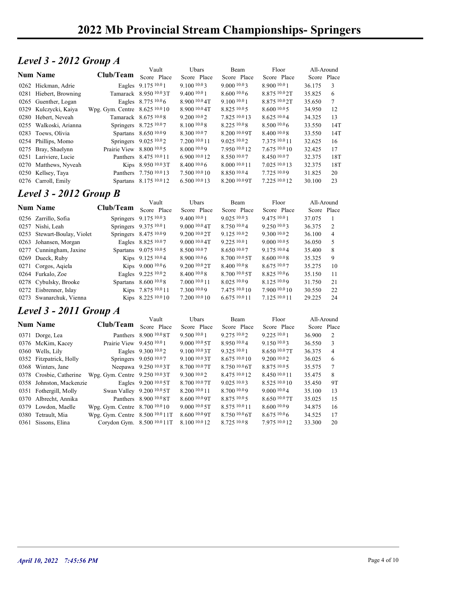### Level 3 - 2012 Group A

|                               | 2022 Mb Provincial Stream Championships-Springers |                        |                          |                     |                      |                           |                         |
|-------------------------------|---------------------------------------------------|------------------------|--------------------------|---------------------|----------------------|---------------------------|-------------------------|
|                               |                                                   |                        |                          |                     |                      |                           |                         |
|                               |                                                   |                        |                          |                     |                      |                           |                         |
|                               |                                                   |                        |                          |                     |                      |                           |                         |
| <b>Level 3 - 2012 Group A</b> |                                                   |                        |                          |                     |                      |                           |                         |
| <b>Num Name</b>               | Club/Team                                         | Vault<br>Score Place   | Ubars<br>Score Place     | Beam<br>Score Place | Floor<br>Score Place | All-Around<br>Score Place |                         |
|                               |                                                   |                        |                          |                     |                      |                           |                         |
| 0262 Hickman, Adrie           |                                                   | Eagles 9.175 10.0 1    | 9.1001003                | 9.000 10.03         | 8.900 10.0 1         | 36.175                    | $\overline{\mathbf{3}}$ |
| 0281 Hiebert, Browning        |                                                   | Tamarack 8.950 10.03T  | 9.400 10.0 1             | 8.60010.06          | 8.875 10.0 2T        | 35.825                    | 6                       |
| 0265 Guenther, Logan          |                                                   | Eagles 8.775 10.0 6    | 8.900 10.0 4T            | 9.100 10.0 1        | 8.875 10.0 2T        | 35.650                    | 7                       |
| 0329 Kulczycki, Kaiya         | Wpg. Gym. Centre 8.625 10.0 10                    |                        | 8.900 10.0 4T            | 8.825 10.0 5        | 8.60010005           | 34.950                    | 12                      |
| 0280 Hebert, Neveah           |                                                   | Tamarack 8.675 10.0 8  | 9.2001002                | 7.825 10.0 13       | 8.625 10.04          | 34.325                    | 13                      |
| 0255 Walkoski, Arianna        |                                                   | Springers 8.725 10.07  | 8.100 10.0 8             | 8.225 10.0 8        | $8.500\,10.06$       | 33.550                    | 14T                     |
| 0283 Toews, Olivia            |                                                   | Spartans 8.650 10.09   | 8.300 10.07              | 8.200 10.0 9T       | 8.400 10.0 8         | 33.550                    | 14T                     |
| 0254 Phillips, Momo           |                                                   | Springers 9.025 10.02  | 7.200 10.0 11            | 9.0251002           | 7.375 10.0 11        | 32.625                    | 16                      |
| 0275 Bray, Shaelynn           | Prairie View $8.800\,10.05$                       |                        | 8.000 10.09              | 7.950 10.0 12       | 7.675 10.0 10        | 32.425                    | 17                      |
| 0251 Lariviere, Lucie         |                                                   | Panthers 8.475 10.0 11 | 6.900 10.0 12            | 8.550 10.07         | 8.450 10.07          | 32.375                    | 18T                     |
| 0270 Matthews, Nyveah         |                                                   | Kips 8.950 10.03T      | $8.400\,10.06$           | 8.000 10.0 11       | 7.025 10.0 13        | 32.375                    | 18T                     |
| 0250 Kellsey, Taya            |                                                   | Panthers 7.750 10.0 13 | 7.500 10.0 10            | 8.850 10.04         | 7.725 10.09          | 31.825                    | 20                      |
| 0276 Carroll, Emily           |                                                   | Spartans 8.175 10.0 12 | 6.500 10.0 13            | 8.200 10.0 9T       | 7.225 10.0 12        | 30.100                    | 23                      |
| <b>Level 3 - 2012 Group B</b> |                                                   |                        |                          |                     |                      |                           |                         |
|                               |                                                   | Vault                  | Ubars                    | Beam                | Floor                | All-Around                |                         |
| Num Name                      | Club/Team                                         | Score Place            | Score Place              | Score Place         | Score Place          | Score Place               |                         |
| 0256 Zarrillo, Sofia          |                                                   | Springers 9.175 10.03  | 9.400 10.0 1             | 9.025 10.03         | 9.475 10.0 1         | 37.075                    | - 1                     |
| 0257 Nishi, Leah              |                                                   | Springers 9.375 10.0 1 | 9.000 10.0 4T            | 8.750 10.04         | 9.250 10.03          | 36.375                    | 2                       |
| 0253 Stewart-Boulay, Violet   |                                                   | Springers 8.475 10.09  | 9.200 <sup>10.0</sup> 2T | 9.125 10.02         | 9.300 10.02          | 36.100                    | $\overline{4}$          |
| 0263 Johansen, Morgan         |                                                   | Eagles 8.825 10.07     | 9.000 10.0 4T            | 9.225 10.0 1        | 9.000 10.0 5         | 36.050                    | 5                       |
| 0277 Cunningham, Jaxine       |                                                   | Spartans 9.075 10.05   | 8.500 10.07              | 8.650 10.07         | 9.175 10.04          | 35.400                    | 8                       |
| 0269 Dueck, Ruby              |                                                   | Kips 9.125 10.04       | 8.900 10.0 6             | 8.700 10.0 5T       | 8.600 10.08          | 35.325                    | 9                       |
| 0271 Corgos, Aqiela           |                                                   | Kips 9.000 10.06       | 9.200 10.0 2T            | 8.400 10.0 8        | 8.675 10.07          | 35.275                    | 10                      |
| 0264 Furkalo, Zoe             |                                                   | Eagles 9.225 10.02     | 8.400 10.0 8             | 8.700 10.0 5T       | 8.825 10.0 6         | 35.150                    | 11                      |
| 0278 Cybulsky, Brooke         |                                                   | Spartans 8.600 10.0 8  | 7.000 10.0 11            | 8.025 10.09         | 8.125 10.09          | 31.750                    | 21                      |
| 0272 Eisbrenner, Islay        |                                                   | Kips 7.875 10.0 11     | 7.300 10.09              | 7.475 10.0 10       | 7.900 10.0 10        | 30.550                    | 22                      |
| 0273 Swanarchuk, Vienna       |                                                   | Kips 8.225 10.0 10     | 7.200 10.0 10            | 6.675 10.0 11       | 7.125 10.0 11        | 29.225                    | 24                      |
|                               |                                                   |                        |                          |                     |                      |                           |                         |
| <b>Level 3 - 2011 Group A</b> |                                                   |                        |                          |                     |                      |                           |                         |
| <b>Num Name</b>               | Club/Team                                         | Vault                  | Ubars                    | Beam                | Floor                | All-Around                |                         |
|                               |                                                   | Score Place            | Score Place              | Score Place         | Score Place          | Score Place               |                         |

#### Level 3 - 2012 Group B

|                                                                                                                                                                                                                                                                                                                                                                                                                                                                                                                                                                                                                                                                                                                                                                   |                                                                                                                                                                                 | 9.400 10.0 1                                                                                                                                                                                                                                                                                                                                                                                                                                                                                                                                                                                                                                                                                                                                                                                                                                                                                                                     | 8.600 10.06                                                                              | 8.875 10.0 2T                      | 35.825                                                             | 6                                                       |
|-------------------------------------------------------------------------------------------------------------------------------------------------------------------------------------------------------------------------------------------------------------------------------------------------------------------------------------------------------------------------------------------------------------------------------------------------------------------------------------------------------------------------------------------------------------------------------------------------------------------------------------------------------------------------------------------------------------------------------------------------------------------|---------------------------------------------------------------------------------------------------------------------------------------------------------------------------------|----------------------------------------------------------------------------------------------------------------------------------------------------------------------------------------------------------------------------------------------------------------------------------------------------------------------------------------------------------------------------------------------------------------------------------------------------------------------------------------------------------------------------------------------------------------------------------------------------------------------------------------------------------------------------------------------------------------------------------------------------------------------------------------------------------------------------------------------------------------------------------------------------------------------------------|------------------------------------------------------------------------------------------|------------------------------------|--------------------------------------------------------------------|---------------------------------------------------------|
|                                                                                                                                                                                                                                                                                                                                                                                                                                                                                                                                                                                                                                                                                                                                                                   |                                                                                                                                                                                 | 8.900 10.0 4T                                                                                                                                                                                                                                                                                                                                                                                                                                                                                                                                                                                                                                                                                                                                                                                                                                                                                                                    | 9.100 10.0 1                                                                             | 8.875 10.0 2T                      | 35.650                                                             | 7                                                       |
|                                                                                                                                                                                                                                                                                                                                                                                                                                                                                                                                                                                                                                                                                                                                                                   |                                                                                                                                                                                 | 8.900 10.0 4T                                                                                                                                                                                                                                                                                                                                                                                                                                                                                                                                                                                                                                                                                                                                                                                                                                                                                                                    | 8.825 10.0 5                                                                             | 8.600 10.0 5                       | 34.950                                                             | 12                                                      |
|                                                                                                                                                                                                                                                                                                                                                                                                                                                                                                                                                                                                                                                                                                                                                                   |                                                                                                                                                                                 | 9.200 10.0 2                                                                                                                                                                                                                                                                                                                                                                                                                                                                                                                                                                                                                                                                                                                                                                                                                                                                                                                     | 7.825 10.0 13                                                                            | 8.625 10.04                        | 34.325                                                             | 13                                                      |
|                                                                                                                                                                                                                                                                                                                                                                                                                                                                                                                                                                                                                                                                                                                                                                   |                                                                                                                                                                                 | 8.100 10.0 8                                                                                                                                                                                                                                                                                                                                                                                                                                                                                                                                                                                                                                                                                                                                                                                                                                                                                                                     | 8.225 10.08                                                                              | 8.500 10.06                        | 33.550                                                             | 14T                                                     |
|                                                                                                                                                                                                                                                                                                                                                                                                                                                                                                                                                                                                                                                                                                                                                                   |                                                                                                                                                                                 | 8.300 10.07                                                                                                                                                                                                                                                                                                                                                                                                                                                                                                                                                                                                                                                                                                                                                                                                                                                                                                                      | 8.200 10.0 9T                                                                            | 8.400 10.08                        | 33.550                                                             | 14T                                                     |
|                                                                                                                                                                                                                                                                                                                                                                                                                                                                                                                                                                                                                                                                                                                                                                   |                                                                                                                                                                                 | 7.200 10.0 11                                                                                                                                                                                                                                                                                                                                                                                                                                                                                                                                                                                                                                                                                                                                                                                                                                                                                                                    | 9.025 10.02                                                                              | 7.375 10.0 11                      | 32.625                                                             | 16                                                      |
|                                                                                                                                                                                                                                                                                                                                                                                                                                                                                                                                                                                                                                                                                                                                                                   |                                                                                                                                                                                 | 8.000 10.09                                                                                                                                                                                                                                                                                                                                                                                                                                                                                                                                                                                                                                                                                                                                                                                                                                                                                                                      | 7.950 10.0 12                                                                            | 7.675 10.0 10                      | 32.425                                                             | 17                                                      |
|                                                                                                                                                                                                                                                                                                                                                                                                                                                                                                                                                                                                                                                                                                                                                                   |                                                                                                                                                                                 | 6.900 10.0 12                                                                                                                                                                                                                                                                                                                                                                                                                                                                                                                                                                                                                                                                                                                                                                                                                                                                                                                    | 8.550 10.07                                                                              | 8.450 10.07                        |                                                                    | 18T                                                     |
|                                                                                                                                                                                                                                                                                                                                                                                                                                                                                                                                                                                                                                                                                                                                                                   |                                                                                                                                                                                 | 8.400 10.0 6                                                                                                                                                                                                                                                                                                                                                                                                                                                                                                                                                                                                                                                                                                                                                                                                                                                                                                                     | 8.000 10.0 11                                                                            | 7.025 10.0 13                      | 32.375                                                             | 18T                                                     |
|                                                                                                                                                                                                                                                                                                                                                                                                                                                                                                                                                                                                                                                                                                                                                                   |                                                                                                                                                                                 | 7.500 10.0 10                                                                                                                                                                                                                                                                                                                                                                                                                                                                                                                                                                                                                                                                                                                                                                                                                                                                                                                    | 8.850 10.04                                                                              | 7.725 10.09                        |                                                                    | 20                                                      |
|                                                                                                                                                                                                                                                                                                                                                                                                                                                                                                                                                                                                                                                                                                                                                                   |                                                                                                                                                                                 | 6.500 10.0 13                                                                                                                                                                                                                                                                                                                                                                                                                                                                                                                                                                                                                                                                                                                                                                                                                                                                                                                    | 8.200 10.0 9T                                                                            | 7.225 10.0 12                      |                                                                    | 23                                                      |
|                                                                                                                                                                                                                                                                                                                                                                                                                                                                                                                                                                                                                                                                                                                                                                   |                                                                                                                                                                                 |                                                                                                                                                                                                                                                                                                                                                                                                                                                                                                                                                                                                                                                                                                                                                                                                                                                                                                                                  |                                                                                          |                                    |                                                                    |                                                         |
|                                                                                                                                                                                                                                                                                                                                                                                                                                                                                                                                                                                                                                                                                                                                                                   |                                                                                                                                                                                 |                                                                                                                                                                                                                                                                                                                                                                                                                                                                                                                                                                                                                                                                                                                                                                                                                                                                                                                                  |                                                                                          |                                    |                                                                    |                                                         |
|                                                                                                                                                                                                                                                                                                                                                                                                                                                                                                                                                                                                                                                                                                                                                                   | Vault                                                                                                                                                                           | Ubars                                                                                                                                                                                                                                                                                                                                                                                                                                                                                                                                                                                                                                                                                                                                                                                                                                                                                                                            | Beam                                                                                     | Floor                              | All-Around                                                         |                                                         |
|                                                                                                                                                                                                                                                                                                                                                                                                                                                                                                                                                                                                                                                                                                                                                                   |                                                                                                                                                                                 | Score Place                                                                                                                                                                                                                                                                                                                                                                                                                                                                                                                                                                                                                                                                                                                                                                                                                                                                                                                      | Score Place                                                                              |                                    | Score Place                                                        |                                                         |
|                                                                                                                                                                                                                                                                                                                                                                                                                                                                                                                                                                                                                                                                                                                                                                   |                                                                                                                                                                                 |                                                                                                                                                                                                                                                                                                                                                                                                                                                                                                                                                                                                                                                                                                                                                                                                                                                                                                                                  |                                                                                          |                                    | 37.075                                                             |                                                         |
|                                                                                                                                                                                                                                                                                                                                                                                                                                                                                                                                                                                                                                                                                                                                                                   |                                                                                                                                                                                 | 9.0001004                                                                                                                                                                                                                                                                                                                                                                                                                                                                                                                                                                                                                                                                                                                                                                                                                                                                                                                        | 8.750 10.04                                                                              | 9.250 10.03                        | 36.375                                                             | 2                                                       |
|                                                                                                                                                                                                                                                                                                                                                                                                                                                                                                                                                                                                                                                                                                                                                                   |                                                                                                                                                                                 | 9.200 10.0 2T                                                                                                                                                                                                                                                                                                                                                                                                                                                                                                                                                                                                                                                                                                                                                                                                                                                                                                                    | 9.125 10.02                                                                              | 9.300 10.02                        | 36.100                                                             | $\overline{4}$                                          |
|                                                                                                                                                                                                                                                                                                                                                                                                                                                                                                                                                                                                                                                                                                                                                                   |                                                                                                                                                                                 | 9.000 10.0 4T                                                                                                                                                                                                                                                                                                                                                                                                                                                                                                                                                                                                                                                                                                                                                                                                                                                                                                                    | 9.225 10.0 1                                                                             | 9.000 10.0 5                       | 36.050                                                             | 5                                                       |
|                                                                                                                                                                                                                                                                                                                                                                                                                                                                                                                                                                                                                                                                                                                                                                   |                                                                                                                                                                                 | 8.500 10.07                                                                                                                                                                                                                                                                                                                                                                                                                                                                                                                                                                                                                                                                                                                                                                                                                                                                                                                      | 8.650 10.07                                                                              | 9.175 10.04                        | 35.400                                                             | 8                                                       |
|                                                                                                                                                                                                                                                                                                                                                                                                                                                                                                                                                                                                                                                                                                                                                                   |                                                                                                                                                                                 | 8.900 10.0 6                                                                                                                                                                                                                                                                                                                                                                                                                                                                                                                                                                                                                                                                                                                                                                                                                                                                                                                     | 8.700 10.0 5T                                                                            | 8.600 10.08                        | 35.325                                                             | 9                                                       |
|                                                                                                                                                                                                                                                                                                                                                                                                                                                                                                                                                                                                                                                                                                                                                                   |                                                                                                                                                                                 | 9.200 <sup>10.0</sup> 2T                                                                                                                                                                                                                                                                                                                                                                                                                                                                                                                                                                                                                                                                                                                                                                                                                                                                                                         | 8.400 10.0 8                                                                             | 8.675 10.07                        | 35.275                                                             | 10                                                      |
|                                                                                                                                                                                                                                                                                                                                                                                                                                                                                                                                                                                                                                                                                                                                                                   |                                                                                                                                                                                 | 8.40010.08                                                                                                                                                                                                                                                                                                                                                                                                                                                                                                                                                                                                                                                                                                                                                                                                                                                                                                                       | 8.700 10.0 5T                                                                            | 8.82510.06                         | 35.150                                                             | 11                                                      |
|                                                                                                                                                                                                                                                                                                                                                                                                                                                                                                                                                                                                                                                                                                                                                                   |                                                                                                                                                                                 | 7.000 10.0 11                                                                                                                                                                                                                                                                                                                                                                                                                                                                                                                                                                                                                                                                                                                                                                                                                                                                                                                    | 8.025 10.09                                                                              | 8.125 10.09                        | 31.750                                                             | 21                                                      |
|                                                                                                                                                                                                                                                                                                                                                                                                                                                                                                                                                                                                                                                                                                                                                                   |                                                                                                                                                                                 | 7.300 10.09                                                                                                                                                                                                                                                                                                                                                                                                                                                                                                                                                                                                                                                                                                                                                                                                                                                                                                                      | 7.475 10.0 10                                                                            | 7.900 10.0 10                      | 30.550                                                             | 22                                                      |
|                                                                                                                                                                                                                                                                                                                                                                                                                                                                                                                                                                                                                                                                                                                                                                   |                                                                                                                                                                                 | 7.200 10.0 10                                                                                                                                                                                                                                                                                                                                                                                                                                                                                                                                                                                                                                                                                                                                                                                                                                                                                                                    | 6.675 10.0 11                                                                            | 7.125 10.0 11                      | 29.225                                                             | 24                                                      |
|                                                                                                                                                                                                                                                                                                                                                                                                                                                                                                                                                                                                                                                                                                                                                                   |                                                                                                                                                                                 |                                                                                                                                                                                                                                                                                                                                                                                                                                                                                                                                                                                                                                                                                                                                                                                                                                                                                                                                  |                                                                                          |                                    |                                                                    |                                                         |
|                                                                                                                                                                                                                                                                                                                                                                                                                                                                                                                                                                                                                                                                                                                                                                   |                                                                                                                                                                                 |                                                                                                                                                                                                                                                                                                                                                                                                                                                                                                                                                                                                                                                                                                                                                                                                                                                                                                                                  |                                                                                          |                                    |                                                                    |                                                         |
|                                                                                                                                                                                                                                                                                                                                                                                                                                                                                                                                                                                                                                                                                                                                                                   | Vault                                                                                                                                                                           |                                                                                                                                                                                                                                                                                                                                                                                                                                                                                                                                                                                                                                                                                                                                                                                                                                                                                                                                  |                                                                                          |                                    |                                                                    |                                                         |
|                                                                                                                                                                                                                                                                                                                                                                                                                                                                                                                                                                                                                                                                                                                                                                   |                                                                                                                                                                                 |                                                                                                                                                                                                                                                                                                                                                                                                                                                                                                                                                                                                                                                                                                                                                                                                                                                                                                                                  |                                                                                          |                                    |                                                                    |                                                         |
|                                                                                                                                                                                                                                                                                                                                                                                                                                                                                                                                                                                                                                                                                                                                                                   |                                                                                                                                                                                 | 9.500 10.0 1                                                                                                                                                                                                                                                                                                                                                                                                                                                                                                                                                                                                                                                                                                                                                                                                                                                                                                                     | 9.275 10.02                                                                              | 9.225 10.0 1                       | 36.900                                                             | 2                                                       |
|                                                                                                                                                                                                                                                                                                                                                                                                                                                                                                                                                                                                                                                                                                                                                                   |                                                                                                                                                                                 | 9.000 10.0 5T                                                                                                                                                                                                                                                                                                                                                                                                                                                                                                                                                                                                                                                                                                                                                                                                                                                                                                                    | 8.950 10.04                                                                              |                                    | 36.550                                                             | $\mathfrak{Z}$                                          |
|                                                                                                                                                                                                                                                                                                                                                                                                                                                                                                                                                                                                                                                                                                                                                                   |                                                                                                                                                                                 | 9.100 10.0 3T                                                                                                                                                                                                                                                                                                                                                                                                                                                                                                                                                                                                                                                                                                                                                                                                                                                                                                                    | 9.325 10.0 1                                                                             | 8.650 10.0 7T                      | 36.375                                                             | $\overline{4}$                                          |
|                                                                                                                                                                                                                                                                                                                                                                                                                                                                                                                                                                                                                                                                                                                                                                   |                                                                                                                                                                                 | 9.100 10.0 3T                                                                                                                                                                                                                                                                                                                                                                                                                                                                                                                                                                                                                                                                                                                                                                                                                                                                                                                    | 8.675 10.0 10                                                                            | 9.200 10.0 2                       | 36.025                                                             | 6                                                       |
|                                                                                                                                                                                                                                                                                                                                                                                                                                                                                                                                                                                                                                                                                                                                                                   |                                                                                                                                                                                 | 8.700 10.0 7T                                                                                                                                                                                                                                                                                                                                                                                                                                                                                                                                                                                                                                                                                                                                                                                                                                                                                                                    | 8.750 10.0 6T                                                                            | 8.875 10.0 5                       | 35.575                                                             | 7                                                       |
|                                                                                                                                                                                                                                                                                                                                                                                                                                                                                                                                                                                                                                                                                                                                                                   |                                                                                                                                                                                 | 9.30010.02                                                                                                                                                                                                                                                                                                                                                                                                                                                                                                                                                                                                                                                                                                                                                                                                                                                                                                                       | 8.475 10.0 12                                                                            | 8.450 10.0 11                      | 35.475                                                             | 8                                                       |
|                                                                                                                                                                                                                                                                                                                                                                                                                                                                                                                                                                                                                                                                                                                                                                   |                                                                                                                                                                                 | 8.700 10.0 7T                                                                                                                                                                                                                                                                                                                                                                                                                                                                                                                                                                                                                                                                                                                                                                                                                                                                                                                    | 9.0251003                                                                                | 8.525 10.0 10                      | 35.450                                                             | 9T                                                      |
|                                                                                                                                                                                                                                                                                                                                                                                                                                                                                                                                                                                                                                                                                                                                                                   |                                                                                                                                                                                 | 8.200 10.0 11                                                                                                                                                                                                                                                                                                                                                                                                                                                                                                                                                                                                                                                                                                                                                                                                                                                                                                                    | 8.700 10.09                                                                              | 9.000 10.04                        | 35.100                                                             | 13                                                      |
|                                                                                                                                                                                                                                                                                                                                                                                                                                                                                                                                                                                                                                                                                                                                                                   |                                                                                                                                                                                 | 8.600 10.0 9T                                                                                                                                                                                                                                                                                                                                                                                                                                                                                                                                                                                                                                                                                                                                                                                                                                                                                                                    | 8.875 10.0 5                                                                             | $8.650\,10.07$ T                   | 35.025                                                             | 15                                                      |
|                                                                                                                                                                                                                                                                                                                                                                                                                                                                                                                                                                                                                                                                                                                                                                   |                                                                                                                                                                                 | 9.000 10.0 5T                                                                                                                                                                                                                                                                                                                                                                                                                                                                                                                                                                                                                                                                                                                                                                                                                                                                                                                    | 8.575 10.0 11                                                                            | 8.600 10.09                        | 34.875                                                             | 16                                                      |
|                                                                                                                                                                                                                                                                                                                                                                                                                                                                                                                                                                                                                                                                                                                                                                   |                                                                                                                                                                                 |                                                                                                                                                                                                                                                                                                                                                                                                                                                                                                                                                                                                                                                                                                                                                                                                                                                                                                                                  | 8.750 10.0 6T                                                                            | 8.675 10.06                        | 34.525                                                             | 17                                                      |
| 0281 Hiebert, Browning<br>0265 Guenther, Logan<br>0329 Kulczycki, Kaiya<br>0280 Hebert, Neveah<br>0255 Walkoski, Arianna<br>0283 Toews, Olivia<br>0254 Phillips, Momo<br>0275 Bray, Shaelynn<br>0251 Lariviere, Lucie<br>0270 Matthews, Nyveah<br>0250 Kellsey, Taya<br>0276 Carroll, Emily<br><b>Num Name</b><br>0256 Zarrillo, Sofia<br>0257 Nishi, Leah<br>0263 Johansen, Morgan<br>0269 Dueck, Ruby<br>0271 Corgos, Aqiela<br>0264 Furkalo, Zoe<br>0278 Cybulsky, Brooke<br>0272 Eisbrenner, Islay<br><b>Num Name</b><br>0371 Dorge, Lea<br>0376 McKim, Kacey<br>0360 Wells, Lily<br>0352 Fitzpatrick, Holly<br>0368 Winters, Jane<br>0378 Crosbie, Catherine<br>0351 Fothergill, Molly<br>0370 Albrecht, Annika<br>0379 Lowdon, Maelle<br>0380 Tetrault, Mia | <b>Level 3 - 2012 Group B</b><br>0253 Stewart-Boulay, Violet<br>0277 Cunningham, Jaxine<br>0273 Swanarchuk, Vienna<br><b>Level 3 - 2011 Group A</b><br>0358 Johnston, Mackenzie | Tamarack 8.950 10.03T<br>Eagles 8.775 10.06<br>Wpg. Gym. Centre 8.625 10.0 10<br>Tamarack 8.675 10.08<br>Springers 8.725 10.07<br>Spartans 8.650 10.09<br>Springers 9.025 10.02<br>Prairie View 8.800 10.0 5<br>Panthers 8.475 10.0 11<br>Kips 8.950 10.03T<br>Panthers 7.750 10.0 13<br>Spartans 8.175 10.0 12<br>Club/Team<br>Score Place<br>Springers 9.175 10.03<br>Springers 9.375 10.0 1<br>Springers 8.475 10.09<br>Eagles 8.825 10.07<br>Spartans 9.075 10.05<br>Kips 9.125 10.04<br>Kips 9.000 10.06<br>Eagles 9.225 10.02<br>Spartans 8.600 10.0 8<br>Kips 7.875 10.0 11<br>Kips 8.225 10.0 10<br>Club/Team<br>Score Place<br>Panthers 8.900 10.0 8T<br>Prairie View 9.450 10.0 1<br>Eagles 9.300 10.02<br>Springers 9.050 10.07<br>Neepawa 9.250 10.0 3T<br>Wpg. Gym. Centre 9.250 10.03T<br>Eagles 9.200 <sup>10.0</sup> 5T<br>Swan Valley 9.200 10.0 5T<br>Panthers 8.900 10.0 8T<br>Wpg. Gym. Centre 8.700 10.0 10 | 9.400 10.0 1<br>Ubars<br>Score Place<br>8.600 10.0 9T<br>Wpg. Gym. Centre 8.500 10.0 11T | 9.025 10.03<br>Beam<br>Score Place | Score Place<br>9.475 10.0 1<br>Floor<br>Score Place<br>9.150 10.03 | 32.375<br>31.825<br>30.100<br>All-Around<br>Score Place |

#### Level 3 - 2011 Group A

| <b>Level 3 - 2012 Group B</b><br><b>Num Name</b> |                                                                                                                                                                                                                                                                                                            | Vault                                                 |                                                                                                                                                                                                                                                                                                                                                                                                                                                                                                                                                                                                                       |                                                                                                                                                                                                      |                                                                                                                                                                                                      |                                                                                                                                                                                                        |                                                                                                                                                   |
|--------------------------------------------------|------------------------------------------------------------------------------------------------------------------------------------------------------------------------------------------------------------------------------------------------------------------------------------------------------------|-------------------------------------------------------|-----------------------------------------------------------------------------------------------------------------------------------------------------------------------------------------------------------------------------------------------------------------------------------------------------------------------------------------------------------------------------------------------------------------------------------------------------------------------------------------------------------------------------------------------------------------------------------------------------------------------|------------------------------------------------------------------------------------------------------------------------------------------------------------------------------------------------------|------------------------------------------------------------------------------------------------------------------------------------------------------------------------------------------------------|--------------------------------------------------------------------------------------------------------------------------------------------------------------------------------------------------------|---------------------------------------------------------------------------------------------------------------------------------------------------|
|                                                  |                                                                                                                                                                                                                                                                                                            |                                                       |                                                                                                                                                                                                                                                                                                                                                                                                                                                                                                                                                                                                                       |                                                                                                                                                                                                      |                                                                                                                                                                                                      |                                                                                                                                                                                                        |                                                                                                                                                   |
|                                                  |                                                                                                                                                                                                                                                                                                            |                                                       | Ubars                                                                                                                                                                                                                                                                                                                                                                                                                                                                                                                                                                                                                 | Beam                                                                                                                                                                                                 | Floor                                                                                                                                                                                                | All-Around                                                                                                                                                                                             |                                                                                                                                                   |
|                                                  | Club/Team                                                                                                                                                                                                                                                                                                  | Score Place                                           | Score Place                                                                                                                                                                                                                                                                                                                                                                                                                                                                                                                                                                                                           | Score Place                                                                                                                                                                                          | Score Place                                                                                                                                                                                          | Score Place                                                                                                                                                                                            |                                                                                                                                                   |
| 0256 Zarrillo, Sofia                             |                                                                                                                                                                                                                                                                                                            | Springers 9.175 10.03                                 | 9.400 10.0 1                                                                                                                                                                                                                                                                                                                                                                                                                                                                                                                                                                                                          | 9.025 10.03                                                                                                                                                                                          | 9.475 10.0 1                                                                                                                                                                                         | 37.075                                                                                                                                                                                                 |                                                                                                                                                   |
| 0257 Nishi, Leah                                 |                                                                                                                                                                                                                                                                                                            |                                                       | 9.000 10.0 4T                                                                                                                                                                                                                                                                                                                                                                                                                                                                                                                                                                                                         | 8.750 10.04                                                                                                                                                                                          | 9.250 10.03                                                                                                                                                                                          | 36.375                                                                                                                                                                                                 | 2                                                                                                                                                 |
|                                                  |                                                                                                                                                                                                                                                                                                            |                                                       | 9.200 10.0 2T                                                                                                                                                                                                                                                                                                                                                                                                                                                                                                                                                                                                         | 9.125 10.02                                                                                                                                                                                          | 9.300 10.02                                                                                                                                                                                          | 36.100                                                                                                                                                                                                 | $\overline{4}$                                                                                                                                    |
| 0263 Johansen, Morgan                            |                                                                                                                                                                                                                                                                                                            |                                                       | 9.0001004                                                                                                                                                                                                                                                                                                                                                                                                                                                                                                                                                                                                             | 9.225 10.0 1                                                                                                                                                                                         | 9.000 10.0 5                                                                                                                                                                                         | 36.050                                                                                                                                                                                                 | 5                                                                                                                                                 |
| 0277 Cunningham, Jaxine                          |                                                                                                                                                                                                                                                                                                            |                                                       | 8.500 10.07                                                                                                                                                                                                                                                                                                                                                                                                                                                                                                                                                                                                           | 8.650 10.07                                                                                                                                                                                          | 9.175 10.04                                                                                                                                                                                          | 35.400                                                                                                                                                                                                 | 8                                                                                                                                                 |
| 0269 Dueck, Ruby                                 |                                                                                                                                                                                                                                                                                                            |                                                       | 8.900 10.0 6                                                                                                                                                                                                                                                                                                                                                                                                                                                                                                                                                                                                          | 8.700 10.0 5T                                                                                                                                                                                        | 8.600 10.08                                                                                                                                                                                          | 35.325                                                                                                                                                                                                 | 9                                                                                                                                                 |
| 0271 Corgos, Aqiela                              |                                                                                                                                                                                                                                                                                                            |                                                       | 9.200 <sup>10.0</sup> 2T                                                                                                                                                                                                                                                                                                                                                                                                                                                                                                                                                                                              | 8.400 10.0 8                                                                                                                                                                                         | 8.675 10.07                                                                                                                                                                                          | 35.275                                                                                                                                                                                                 | 10                                                                                                                                                |
| 0264 Furkalo, Zoe                                |                                                                                                                                                                                                                                                                                                            |                                                       | 8.400 10.0 8                                                                                                                                                                                                                                                                                                                                                                                                                                                                                                                                                                                                          | 8.700 10.0 5T                                                                                                                                                                                        | 8.825 10.06                                                                                                                                                                                          | 35.150                                                                                                                                                                                                 | 11                                                                                                                                                |
| 0278 Cybulsky, Brooke                            |                                                                                                                                                                                                                                                                                                            |                                                       | 7.000 10.0 11                                                                                                                                                                                                                                                                                                                                                                                                                                                                                                                                                                                                         | 8.025 10.09                                                                                                                                                                                          | 8.125 10.09                                                                                                                                                                                          | 31.750                                                                                                                                                                                                 | 21                                                                                                                                                |
| 0272 Eisbrenner, Islay                           |                                                                                                                                                                                                                                                                                                            |                                                       | 7.300 10.09                                                                                                                                                                                                                                                                                                                                                                                                                                                                                                                                                                                                           | 7.475 10.0 10                                                                                                                                                                                        | 7.900 10.0 10                                                                                                                                                                                        | 30.550                                                                                                                                                                                                 | 22                                                                                                                                                |
| 0273 Swanarchuk, Vienna                          |                                                                                                                                                                                                                                                                                                            |                                                       | 7.200 10.0 10                                                                                                                                                                                                                                                                                                                                                                                                                                                                                                                                                                                                         | 6.675 10.0 11                                                                                                                                                                                        | 7.125 10.0 11                                                                                                                                                                                        | 29.225                                                                                                                                                                                                 | 24                                                                                                                                                |
|                                                  |                                                                                                                                                                                                                                                                                                            |                                                       |                                                                                                                                                                                                                                                                                                                                                                                                                                                                                                                                                                                                                       |                                                                                                                                                                                                      |                                                                                                                                                                                                      |                                                                                                                                                                                                        |                                                                                                                                                   |
|                                                  |                                                                                                                                                                                                                                                                                                            |                                                       |                                                                                                                                                                                                                                                                                                                                                                                                                                                                                                                                                                                                                       |                                                                                                                                                                                                      |                                                                                                                                                                                                      |                                                                                                                                                                                                        |                                                                                                                                                   |
|                                                  |                                                                                                                                                                                                                                                                                                            | Score Place                                           | Score Place                                                                                                                                                                                                                                                                                                                                                                                                                                                                                                                                                                                                           | Score Place                                                                                                                                                                                          | Score Place                                                                                                                                                                                          |                                                                                                                                                                                                        |                                                                                                                                                   |
|                                                  |                                                                                                                                                                                                                                                                                                            |                                                       |                                                                                                                                                                                                                                                                                                                                                                                                                                                                                                                                                                                                                       |                                                                                                                                                                                                      |                                                                                                                                                                                                      |                                                                                                                                                                                                        | 2                                                                                                                                                 |
|                                                  |                                                                                                                                                                                                                                                                                                            |                                                       | 9.000 10.0 5T                                                                                                                                                                                                                                                                                                                                                                                                                                                                                                                                                                                                         |                                                                                                                                                                                                      |                                                                                                                                                                                                      |                                                                                                                                                                                                        | 3                                                                                                                                                 |
|                                                  |                                                                                                                                                                                                                                                                                                            |                                                       |                                                                                                                                                                                                                                                                                                                                                                                                                                                                                                                                                                                                                       |                                                                                                                                                                                                      |                                                                                                                                                                                                      |                                                                                                                                                                                                        | 4                                                                                                                                                 |
|                                                  |                                                                                                                                                                                                                                                                                                            |                                                       |                                                                                                                                                                                                                                                                                                                                                                                                                                                                                                                                                                                                                       |                                                                                                                                                                                                      |                                                                                                                                                                                                      |                                                                                                                                                                                                        | 6                                                                                                                                                 |
|                                                  |                                                                                                                                                                                                                                                                                                            |                                                       |                                                                                                                                                                                                                                                                                                                                                                                                                                                                                                                                                                                                                       |                                                                                                                                                                                                      |                                                                                                                                                                                                      |                                                                                                                                                                                                        |                                                                                                                                                   |
|                                                  |                                                                                                                                                                                                                                                                                                            |                                                       |                                                                                                                                                                                                                                                                                                                                                                                                                                                                                                                                                                                                                       |                                                                                                                                                                                                      |                                                                                                                                                                                                      |                                                                                                                                                                                                        | 8                                                                                                                                                 |
|                                                  |                                                                                                                                                                                                                                                                                                            |                                                       |                                                                                                                                                                                                                                                                                                                                                                                                                                                                                                                                                                                                                       |                                                                                                                                                                                                      |                                                                                                                                                                                                      |                                                                                                                                                                                                        | 9T                                                                                                                                                |
|                                                  |                                                                                                                                                                                                                                                                                                            |                                                       |                                                                                                                                                                                                                                                                                                                                                                                                                                                                                                                                                                                                                       |                                                                                                                                                                                                      |                                                                                                                                                                                                      |                                                                                                                                                                                                        | 13                                                                                                                                                |
|                                                  |                                                                                                                                                                                                                                                                                                            |                                                       |                                                                                                                                                                                                                                                                                                                                                                                                                                                                                                                                                                                                                       |                                                                                                                                                                                                      |                                                                                                                                                                                                      |                                                                                                                                                                                                        | 15                                                                                                                                                |
|                                                  |                                                                                                                                                                                                                                                                                                            |                                                       |                                                                                                                                                                                                                                                                                                                                                                                                                                                                                                                                                                                                                       |                                                                                                                                                                                                      |                                                                                                                                                                                                      |                                                                                                                                                                                                        | 16                                                                                                                                                |
|                                                  |                                                                                                                                                                                                                                                                                                            |                                                       |                                                                                                                                                                                                                                                                                                                                                                                                                                                                                                                                                                                                                       |                                                                                                                                                                                                      |                                                                                                                                                                                                      |                                                                                                                                                                                                        | 17                                                                                                                                                |
|                                                  |                                                                                                                                                                                                                                                                                                            |                                                       |                                                                                                                                                                                                                                                                                                                                                                                                                                                                                                                                                                                                                       |                                                                                                                                                                                                      |                                                                                                                                                                                                      |                                                                                                                                                                                                        | 20                                                                                                                                                |
|                                                  |                                                                                                                                                                                                                                                                                                            |                                                       |                                                                                                                                                                                                                                                                                                                                                                                                                                                                                                                                                                                                                       |                                                                                                                                                                                                      |                                                                                                                                                                                                      |                                                                                                                                                                                                        |                                                                                                                                                   |
|                                                  |                                                                                                                                                                                                                                                                                                            |                                                       |                                                                                                                                                                                                                                                                                                                                                                                                                                                                                                                                                                                                                       |                                                                                                                                                                                                      |                                                                                                                                                                                                      |                                                                                                                                                                                                        |                                                                                                                                                   |
|                                                  |                                                                                                                                                                                                                                                                                                            |                                                       |                                                                                                                                                                                                                                                                                                                                                                                                                                                                                                                                                                                                                       |                                                                                                                                                                                                      |                                                                                                                                                                                                      |                                                                                                                                                                                                        |                                                                                                                                                   |
|                                                  |                                                                                                                                                                                                                                                                                                            |                                                       |                                                                                                                                                                                                                                                                                                                                                                                                                                                                                                                                                                                                                       |                                                                                                                                                                                                      |                                                                                                                                                                                                      |                                                                                                                                                                                                        |                                                                                                                                                   |
|                                                  |                                                                                                                                                                                                                                                                                                            |                                                       |                                                                                                                                                                                                                                                                                                                                                                                                                                                                                                                                                                                                                       |                                                                                                                                                                                                      |                                                                                                                                                                                                      |                                                                                                                                                                                                        |                                                                                                                                                   |
|                                                  |                                                                                                                                                                                                                                                                                                            |                                                       |                                                                                                                                                                                                                                                                                                                                                                                                                                                                                                                                                                                                                       |                                                                                                                                                                                                      |                                                                                                                                                                                                      |                                                                                                                                                                                                        |                                                                                                                                                   |
|                                                  | <b>Num Name</b><br>0371 Dorge, Lea<br>0376 McKim, Kacey<br>0360 Wells, Lily<br>0352 Fitzpatrick, Holly<br>0368 Winters, Jane<br>0378 Crosbie, Catherine<br>0358 Johnston, Mackenzie<br>0351 Fothergill, Molly<br>0370 Albrecht, Annika<br>0379 Lowdon, Maelle<br>0380 Tetrault, Mia<br>0361 Sissons, Elina | 0253 Stewart-Boulay, Violet<br>Level 3 - 2011 Group A | Springers 9.375 10.0 1<br>Springers 8.475 10.09<br>Eagles 8.825 10.07<br>Spartans 9.075 10.0 5<br>Kips 9.125 10.04<br>Kips 9.000 10.06<br>Eagles 9.225 10.02<br>Spartans 8.600 10.0 8<br>Kips 7.875 10.0 11<br>Kips 8.225 10.0 10<br>Vault<br>Club/Team<br>Panthers 8.900 10.0 8T<br>Prairie View 9.450 10.0 1<br>Eagles 9.300 10.02<br>Springers 9.050 10.07<br>Neepawa 9.250 10.0 3T<br>Wpg. Gym. Centre 9.250 10.03T<br>Eagles 9.200 <sup>10.0</sup> 5T<br>Swan Valley 9.200 10.0 5T<br>Panthers 8.900 10.0 8T<br>Wpg. Gym. Centre 8.700 10.0 10<br>Wpg. Gym. Centre 8.500 10.0 11T<br>Corydon Gym. 8.500 10.0 11T | Ubars<br>9.500 10.0 1<br>9.100 10.0 3T<br>9.100 <sup>10.0</sup> 3T<br>8.700 10.0 7T<br>9.300 10.0 2<br>8.700 10.0 7T<br>8.200 10.0 11<br>8.60010.09T<br>9.00010005<br>8.600 10.0 9T<br>8.100 10.0 12 | Beam<br>9.275 10.02<br>8.950 10.04<br>9.325 10.0 1<br>8.675 10.0 10<br>8.750 10.0 6T<br>8.475 10.0 12<br>9.025 10.03<br>8.700 10.09<br>8.875 10.0 5<br>8.575 10.0 11<br>8.750 10.0 6T<br>8.725 10.08 | Floor<br>9.225 10.0 1<br>9.150 10.03<br>8.650 10.0 7T<br>9.200 10.0 2<br>8.875 10.0 5<br>8.450 10.0 11<br>8.525 10.0 10<br>9.000 10.04<br>8.650 10.0 7T<br>8.600 10.09<br>8.675 10.06<br>7.975 10.0 12 | All-Around<br>Score Place<br>36.900<br>36.550<br>36.375<br>36.025<br>35.575<br>35.475<br>35.450<br>35.100<br>35.025<br>34.875<br>34.525<br>33.300 |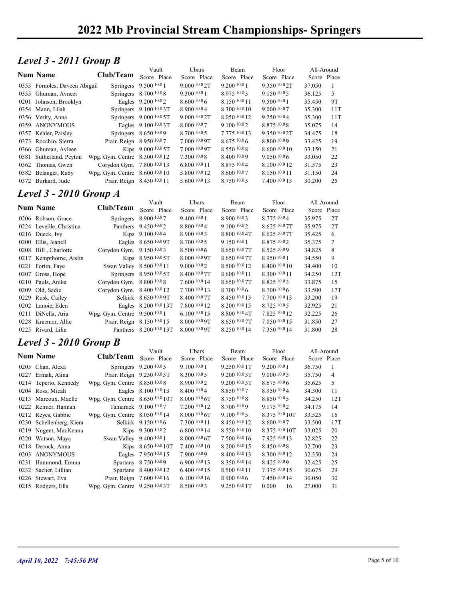### Level 3 - 2011 Group B

|                                         | 2022 Mb Provincial Stream Championships-Springers |                         |                                |                                |                               |                  |          |  |
|-----------------------------------------|---------------------------------------------------|-------------------------|--------------------------------|--------------------------------|-------------------------------|------------------|----------|--|
|                                         |                                                   |                         |                                |                                |                               |                  |          |  |
|                                         |                                                   |                         |                                |                                |                               |                  |          |  |
| Level $3 - 2011$ Group B                |                                                   |                         |                                |                                |                               |                  |          |  |
|                                         |                                                   | Vault                   | Ubars                          | Beam                           | Floor                         | All-Around       |          |  |
| <b>Num Name</b>                         | Club/Team                                         | Score Place             | Score Place                    | Score Place                    | Score Place                   | Score Place      |          |  |
| 0353 Fornoles, Daveen Abigail           |                                                   | Springers 9.500 10.0 1  | 9.000 10.0 2T                  | 9.200 10.0 1                   | 9.350 10.0 2T                 | 37.050           | -1       |  |
| 0355 Ghuman, Avneet                     |                                                   | Springers 8.700 10.08   | 9.3001001                      | 8.975 10.03                    | $9.150\,10.05$                | 36.125           | 5        |  |
| 0201 Johnson, Brooklyn                  |                                                   | Eagles 9.200 10.02      | 8.600 10.0 6                   | 8.150 10.0 11                  | 9.500 10.0 1                  | 35.450           | 9T       |  |
| 0354 Mann, Lilah                        |                                                   | Springers 9.100 10.03T  | 8.900 10.04                    | 8.300 10.0 10                  | 9.000 10.07                   | 35.300           | 11T      |  |
| 0356 Verity, Anna                       |                                                   | Springers 9.000 10.0 5T | 9.000 10.0 2T                  | 8.050 10.0 12                  | 9.250 10.04                   | 35.300           | 11T      |  |
| 0359 ANONYMOUS                          |                                                   | Eagles 9.100 10.0 3T    | 8.000 10.07                    | 9.100 10.02                    | 8.875 10.08                   | 35.075           | 14       |  |
| 0357 Kehler, Paisley                    |                                                   | Springers 8.650 10.09   | 8.700 10.0 5                   | 7.775 10.0 13                  | 9.350 10.0 2T                 | 34.475           | 18       |  |
| 0373 Rocchio, Sierra                    | Prair. Reign 8.950 10.07                          |                         | 7.000 10.0 9T                  | 8.675 10.0 6                   | 8.800 10.09                   | 33.425           | 19       |  |
| 0366 Ghuman, Avleen                     |                                                   | Kips 9.000 10.0 5T      | 7.000 10.0 9T                  | 8.550 10.0 8                   | $8.600\;^{10.0}\,10$          | 33.150           | 21       |  |
| 0381 Sutherland, Peyton                 | Wpg. Gym. Centre 8.300 10.0 12                    |                         | 7.300 10.0 8                   | 8.400 10.09                    | 9.050 10.06                   | 33.050           | 22       |  |
| 0362 Thomas, Gwen                       | Corydon Gym. 7.800 10.0 13                        |                         | 6.800 10.0 11                  | 8.875 10.04                    | 8.100 10.0 12                 | 31.575           | 23       |  |
| 0382 Belanger, Ruby                     | Wpg. Gym. Centre 8.600 10.0 10                    |                         | 5.800 10.0 12                  | 8.600 10.07                    | 8.150 10.0 11                 | 31.150           | 24       |  |
| 0372 Burkard, Jude                      | Prair. Reign 8.450 10.0 11                        |                         | 5.600 10.0 13                  | 8.750 10.05                    | 7.400 10.0 13                 | 30.200           | 25       |  |
| <b>Level 3 - 2010 Group A</b>           |                                                   |                         |                                |                                |                               |                  |          |  |
|                                         |                                                   | Vault                   | Ubars                          | Beam                           | Floor                         | All-Around       |          |  |
| <b>Num Name</b>                         | Club/Team Score Place                             |                         | Score Place                    | Score Place                    | Score Place                   | Score Place      |          |  |
| 0206 Robson, Grace                      |                                                   | Springers 8.900 10.07   | 9.400 10.0 1                   | 8.900 10.03                    | 8.775 10.04                   | 35.975           | 2T       |  |
| 0224 Leveille, Christina                |                                                   | Panthers 9.450 10.02    | 8.800 10.04                    | 9.100 10.02                    | 8.625 10.0 7T                 | 35.975           | 2T       |  |
| 0216 Dueck, Ivy                         |                                                   | Kips 9.100 10.04        | 8.900 10.0 3                   | 8.800 10.0 4T                  | 8.625 10.0 7T                 | 35.425           | 6        |  |
| 0200 Ellis, Jeanell                     |                                                   | Eagles 8.650 10.0 9T    | 8.700 10.0 5                   | 9.150 10.0 1                   | 8.875 10.02                   | 35.375           | 7        |  |
| 0208 Hill, Charlotte                    | Corydon Gym. 9.150 10.03                          |                         | 8.50010.06                     | 8.650 10.0 7T                  | 8.525 10.09                   | 34.825           | 8        |  |
| 0217 Kempthorne, Aislin                 |                                                   | Kips 8.950 10.0 5T      | 8.000 10.0 9T                  | 8.650 10.0 7T                  | 8.950 10.0 1                  | 34.550           | 9        |  |
| 0221 Fortin, Faye                       | Swan Valley 8.500 10.0 11                         |                         | 9.000 10.0 2                   | 8.500 10.0 12                  | 8.400 10.0 10                 | 34.400           | 10       |  |
| 0207 Gross, Hope                        |                                                   | Springers 8.950 10.0 5T | 8.400 10.0 7T                  | $8.600\;^{10.0}\,11$           | 8.300 10.0 11                 | 34.250           | 12T      |  |
| 0210 Pauls, Anika                       | Corydon Gym. 8.800 10.08                          |                         | 7.600 10.0 14                  | 8.650 10.0 7T                  | 8.825 10.03                   | 33.875           | 15       |  |
| 0209 Old, Sadie                         | Corydon Gym. 8.400 10.0 12                        |                         | 7.700 10.0 13                  | 8.700 10.0 6                   | 8.700 10.0 6                  | 33.500           | 17T      |  |
| 0229 Rusk, Cailey                       |                                                   | Selkirk 8.650 10.0 9T   | 8.400 10.0 7T                  | 8.450 10.0 13                  | 7.700 10.0 13                 | 33.200           | 19       |  |
| 0202 Lanoie, Eden<br>0211 DiNella, Aria | Wpg. Gym. Centre 9.500 10.0 1                     | Eagles 8.200 10.0 13T   | 7.800 10.0 12<br>6.100 10.0 15 | 8.200 10.0 15<br>8.800 10.0 4T | 8.725 10.0 5<br>7.825 10.0 12 | 32.925<br>32.225 | 21<br>26 |  |
|                                         |                                                   |                         |                                |                                |                               |                  |          |  |

#### Level 3 - 2010 Group A

|                    | CIUD/ Feam                                                                                                                                                                                                                                                                                                                                                                                                                                                                                                                                                                                                                                                                                                                                                                                                                                                                                                                                                 | Score Place                                                                                                  | Score Place                                                                                                                                                                                                                                                                                                                                                                                                                                                                                                                                                                                                                                                                                                                                                                                                                                                                                                                                                                                                                                                                                                                                                                               | Score Place                                                                                                                                                                                                                                                                                                                                                                                                            | Score Place                                                                                                                                                                                                                                                                                                                                                                                                                     | Score Place                                                                                                                                                                                                                                                                                                                                                                                                    |                                                                                                                                                                                                                                                                                          |
|--------------------|------------------------------------------------------------------------------------------------------------------------------------------------------------------------------------------------------------------------------------------------------------------------------------------------------------------------------------------------------------------------------------------------------------------------------------------------------------------------------------------------------------------------------------------------------------------------------------------------------------------------------------------------------------------------------------------------------------------------------------------------------------------------------------------------------------------------------------------------------------------------------------------------------------------------------------------------------------|--------------------------------------------------------------------------------------------------------------|-------------------------------------------------------------------------------------------------------------------------------------------------------------------------------------------------------------------------------------------------------------------------------------------------------------------------------------------------------------------------------------------------------------------------------------------------------------------------------------------------------------------------------------------------------------------------------------------------------------------------------------------------------------------------------------------------------------------------------------------------------------------------------------------------------------------------------------------------------------------------------------------------------------------------------------------------------------------------------------------------------------------------------------------------------------------------------------------------------------------------------------------------------------------------------------------|------------------------------------------------------------------------------------------------------------------------------------------------------------------------------------------------------------------------------------------------------------------------------------------------------------------------------------------------------------------------------------------------------------------------|---------------------------------------------------------------------------------------------------------------------------------------------------------------------------------------------------------------------------------------------------------------------------------------------------------------------------------------------------------------------------------------------------------------------------------|----------------------------------------------------------------------------------------------------------------------------------------------------------------------------------------------------------------------------------------------------------------------------------------------------------------------------------------------------------------------------------------------------------------|------------------------------------------------------------------------------------------------------------------------------------------------------------------------------------------------------------------------------------------------------------------------------------------|
|                    |                                                                                                                                                                                                                                                                                                                                                                                                                                                                                                                                                                                                                                                                                                                                                                                                                                                                                                                                                            |                                                                                                              | 9.000 10.0 2T                                                                                                                                                                                                                                                                                                                                                                                                                                                                                                                                                                                                                                                                                                                                                                                                                                                                                                                                                                                                                                                                                                                                                                             | 9.200 10.0 1                                                                                                                                                                                                                                                                                                                                                                                                           | 9.350 10.0 2T                                                                                                                                                                                                                                                                                                                                                                                                                   | 37.050                                                                                                                                                                                                                                                                                                                                                                                                         | -1                                                                                                                                                                                                                                                                                       |
|                    |                                                                                                                                                                                                                                                                                                                                                                                                                                                                                                                                                                                                                                                                                                                                                                                                                                                                                                                                                            |                                                                                                              | 9.300 10.0 1                                                                                                                                                                                                                                                                                                                                                                                                                                                                                                                                                                                                                                                                                                                                                                                                                                                                                                                                                                                                                                                                                                                                                                              | 8.975 10.03                                                                                                                                                                                                                                                                                                                                                                                                            | 9.150 10.05                                                                                                                                                                                                                                                                                                                                                                                                                     | 36.125                                                                                                                                                                                                                                                                                                                                                                                                         | 5                                                                                                                                                                                                                                                                                        |
|                    |                                                                                                                                                                                                                                                                                                                                                                                                                                                                                                                                                                                                                                                                                                                                                                                                                                                                                                                                                            |                                                                                                              | 8.60010.06                                                                                                                                                                                                                                                                                                                                                                                                                                                                                                                                                                                                                                                                                                                                                                                                                                                                                                                                                                                                                                                                                                                                                                                | 8.150 10.0 11                                                                                                                                                                                                                                                                                                                                                                                                          | 9.500 10.0 1                                                                                                                                                                                                                                                                                                                                                                                                                    | 35.450                                                                                                                                                                                                                                                                                                                                                                                                         | 9T                                                                                                                                                                                                                                                                                       |
|                    |                                                                                                                                                                                                                                                                                                                                                                                                                                                                                                                                                                                                                                                                                                                                                                                                                                                                                                                                                            |                                                                                                              | 8.900 10.04                                                                                                                                                                                                                                                                                                                                                                                                                                                                                                                                                                                                                                                                                                                                                                                                                                                                                                                                                                                                                                                                                                                                                                               | 8.300 10.0 10                                                                                                                                                                                                                                                                                                                                                                                                          | 9.000 10.07                                                                                                                                                                                                                                                                                                                                                                                                                     | 35.300                                                                                                                                                                                                                                                                                                                                                                                                         | 11T                                                                                                                                                                                                                                                                                      |
|                    |                                                                                                                                                                                                                                                                                                                                                                                                                                                                                                                                                                                                                                                                                                                                                                                                                                                                                                                                                            |                                                                                                              | 9.000 10.0 2T                                                                                                                                                                                                                                                                                                                                                                                                                                                                                                                                                                                                                                                                                                                                                                                                                                                                                                                                                                                                                                                                                                                                                                             | 8.050 10.0 12                                                                                                                                                                                                                                                                                                                                                                                                          | 9.250 10.04                                                                                                                                                                                                                                                                                                                                                                                                                     |                                                                                                                                                                                                                                                                                                                                                                                                                | 11T                                                                                                                                                                                                                                                                                      |
|                    |                                                                                                                                                                                                                                                                                                                                                                                                                                                                                                                                                                                                                                                                                                                                                                                                                                                                                                                                                            |                                                                                                              |                                                                                                                                                                                                                                                                                                                                                                                                                                                                                                                                                                                                                                                                                                                                                                                                                                                                                                                                                                                                                                                                                                                                                                                           |                                                                                                                                                                                                                                                                                                                                                                                                                        |                                                                                                                                                                                                                                                                                                                                                                                                                                 |                                                                                                                                                                                                                                                                                                                                                                                                                | 14                                                                                                                                                                                                                                                                                       |
|                    |                                                                                                                                                                                                                                                                                                                                                                                                                                                                                                                                                                                                                                                                                                                                                                                                                                                                                                                                                            |                                                                                                              |                                                                                                                                                                                                                                                                                                                                                                                                                                                                                                                                                                                                                                                                                                                                                                                                                                                                                                                                                                                                                                                                                                                                                                                           |                                                                                                                                                                                                                                                                                                                                                                                                                        |                                                                                                                                                                                                                                                                                                                                                                                                                                 |                                                                                                                                                                                                                                                                                                                                                                                                                | 18                                                                                                                                                                                                                                                                                       |
|                    |                                                                                                                                                                                                                                                                                                                                                                                                                                                                                                                                                                                                                                                                                                                                                                                                                                                                                                                                                            |                                                                                                              |                                                                                                                                                                                                                                                                                                                                                                                                                                                                                                                                                                                                                                                                                                                                                                                                                                                                                                                                                                                                                                                                                                                                                                                           |                                                                                                                                                                                                                                                                                                                                                                                                                        |                                                                                                                                                                                                                                                                                                                                                                                                                                 |                                                                                                                                                                                                                                                                                                                                                                                                                | 19                                                                                                                                                                                                                                                                                       |
|                    |                                                                                                                                                                                                                                                                                                                                                                                                                                                                                                                                                                                                                                                                                                                                                                                                                                                                                                                                                            |                                                                                                              |                                                                                                                                                                                                                                                                                                                                                                                                                                                                                                                                                                                                                                                                                                                                                                                                                                                                                                                                                                                                                                                                                                                                                                                           |                                                                                                                                                                                                                                                                                                                                                                                                                        |                                                                                                                                                                                                                                                                                                                                                                                                                                 |                                                                                                                                                                                                                                                                                                                                                                                                                | 21                                                                                                                                                                                                                                                                                       |
|                    |                                                                                                                                                                                                                                                                                                                                                                                                                                                                                                                                                                                                                                                                                                                                                                                                                                                                                                                                                            |                                                                                                              |                                                                                                                                                                                                                                                                                                                                                                                                                                                                                                                                                                                                                                                                                                                                                                                                                                                                                                                                                                                                                                                                                                                                                                                           |                                                                                                                                                                                                                                                                                                                                                                                                                        |                                                                                                                                                                                                                                                                                                                                                                                                                                 |                                                                                                                                                                                                                                                                                                                                                                                                                | 22                                                                                                                                                                                                                                                                                       |
|                    |                                                                                                                                                                                                                                                                                                                                                                                                                                                                                                                                                                                                                                                                                                                                                                                                                                                                                                                                                            |                                                                                                              |                                                                                                                                                                                                                                                                                                                                                                                                                                                                                                                                                                                                                                                                                                                                                                                                                                                                                                                                                                                                                                                                                                                                                                                           |                                                                                                                                                                                                                                                                                                                                                                                                                        |                                                                                                                                                                                                                                                                                                                                                                                                                                 |                                                                                                                                                                                                                                                                                                                                                                                                                | 23                                                                                                                                                                                                                                                                                       |
|                    |                                                                                                                                                                                                                                                                                                                                                                                                                                                                                                                                                                                                                                                                                                                                                                                                                                                                                                                                                            |                                                                                                              |                                                                                                                                                                                                                                                                                                                                                                                                                                                                                                                                                                                                                                                                                                                                                                                                                                                                                                                                                                                                                                                                                                                                                                                           |                                                                                                                                                                                                                                                                                                                                                                                                                        |                                                                                                                                                                                                                                                                                                                                                                                                                                 |                                                                                                                                                                                                                                                                                                                                                                                                                | 24                                                                                                                                                                                                                                                                                       |
|                    |                                                                                                                                                                                                                                                                                                                                                                                                                                                                                                                                                                                                                                                                                                                                                                                                                                                                                                                                                            |                                                                                                              |                                                                                                                                                                                                                                                                                                                                                                                                                                                                                                                                                                                                                                                                                                                                                                                                                                                                                                                                                                                                                                                                                                                                                                                           |                                                                                                                                                                                                                                                                                                                                                                                                                        |                                                                                                                                                                                                                                                                                                                                                                                                                                 |                                                                                                                                                                                                                                                                                                                                                                                                                | 25                                                                                                                                                                                                                                                                                       |
|                    |                                                                                                                                                                                                                                                                                                                                                                                                                                                                                                                                                                                                                                                                                                                                                                                                                                                                                                                                                            |                                                                                                              |                                                                                                                                                                                                                                                                                                                                                                                                                                                                                                                                                                                                                                                                                                                                                                                                                                                                                                                                                                                                                                                                                                                                                                                           |                                                                                                                                                                                                                                                                                                                                                                                                                        |                                                                                                                                                                                                                                                                                                                                                                                                                                 |                                                                                                                                                                                                                                                                                                                                                                                                                |                                                                                                                                                                                                                                                                                          |
|                    |                                                                                                                                                                                                                                                                                                                                                                                                                                                                                                                                                                                                                                                                                                                                                                                                                                                                                                                                                            |                                                                                                              |                                                                                                                                                                                                                                                                                                                                                                                                                                                                                                                                                                                                                                                                                                                                                                                                                                                                                                                                                                                                                                                                                                                                                                                           |                                                                                                                                                                                                                                                                                                                                                                                                                        |                                                                                                                                                                                                                                                                                                                                                                                                                                 |                                                                                                                                                                                                                                                                                                                                                                                                                |                                                                                                                                                                                                                                                                                          |
|                    |                                                                                                                                                                                                                                                                                                                                                                                                                                                                                                                                                                                                                                                                                                                                                                                                                                                                                                                                                            |                                                                                                              | Ubars                                                                                                                                                                                                                                                                                                                                                                                                                                                                                                                                                                                                                                                                                                                                                                                                                                                                                                                                                                                                                                                                                                                                                                                     |                                                                                                                                                                                                                                                                                                                                                                                                                        |                                                                                                                                                                                                                                                                                                                                                                                                                                 | All-Around                                                                                                                                                                                                                                                                                                                                                                                                     |                                                                                                                                                                                                                                                                                          |
|                    | Club/Team                                                                                                                                                                                                                                                                                                                                                                                                                                                                                                                                                                                                                                                                                                                                                                                                                                                                                                                                                  | Score Place                                                                                                  |                                                                                                                                                                                                                                                                                                                                                                                                                                                                                                                                                                                                                                                                                                                                                                                                                                                                                                                                                                                                                                                                                                                                                                                           |                                                                                                                                                                                                                                                                                                                                                                                                                        | Score Place                                                                                                                                                                                                                                                                                                                                                                                                                     |                                                                                                                                                                                                                                                                                                                                                                                                                |                                                                                                                                                                                                                                                                                          |
|                    |                                                                                                                                                                                                                                                                                                                                                                                                                                                                                                                                                                                                                                                                                                                                                                                                                                                                                                                                                            |                                                                                                              | 9.400 10.0 1                                                                                                                                                                                                                                                                                                                                                                                                                                                                                                                                                                                                                                                                                                                                                                                                                                                                                                                                                                                                                                                                                                                                                                              |                                                                                                                                                                                                                                                                                                                                                                                                                        |                                                                                                                                                                                                                                                                                                                                                                                                                                 |                                                                                                                                                                                                                                                                                                                                                                                                                | 2T                                                                                                                                                                                                                                                                                       |
|                    |                                                                                                                                                                                                                                                                                                                                                                                                                                                                                                                                                                                                                                                                                                                                                                                                                                                                                                                                                            |                                                                                                              |                                                                                                                                                                                                                                                                                                                                                                                                                                                                                                                                                                                                                                                                                                                                                                                                                                                                                                                                                                                                                                                                                                                                                                                           |                                                                                                                                                                                                                                                                                                                                                                                                                        |                                                                                                                                                                                                                                                                                                                                                                                                                                 |                                                                                                                                                                                                                                                                                                                                                                                                                | 2T                                                                                                                                                                                                                                                                                       |
|                    |                                                                                                                                                                                                                                                                                                                                                                                                                                                                                                                                                                                                                                                                                                                                                                                                                                                                                                                                                            |                                                                                                              |                                                                                                                                                                                                                                                                                                                                                                                                                                                                                                                                                                                                                                                                                                                                                                                                                                                                                                                                                                                                                                                                                                                                                                                           |                                                                                                                                                                                                                                                                                                                                                                                                                        |                                                                                                                                                                                                                                                                                                                                                                                                                                 |                                                                                                                                                                                                                                                                                                                                                                                                                | 6                                                                                                                                                                                                                                                                                        |
|                    |                                                                                                                                                                                                                                                                                                                                                                                                                                                                                                                                                                                                                                                                                                                                                                                                                                                                                                                                                            |                                                                                                              |                                                                                                                                                                                                                                                                                                                                                                                                                                                                                                                                                                                                                                                                                                                                                                                                                                                                                                                                                                                                                                                                                                                                                                                           |                                                                                                                                                                                                                                                                                                                                                                                                                        |                                                                                                                                                                                                                                                                                                                                                                                                                                 |                                                                                                                                                                                                                                                                                                                                                                                                                | $\tau$                                                                                                                                                                                                                                                                                   |
|                    |                                                                                                                                                                                                                                                                                                                                                                                                                                                                                                                                                                                                                                                                                                                                                                                                                                                                                                                                                            |                                                                                                              |                                                                                                                                                                                                                                                                                                                                                                                                                                                                                                                                                                                                                                                                                                                                                                                                                                                                                                                                                                                                                                                                                                                                                                                           |                                                                                                                                                                                                                                                                                                                                                                                                                        |                                                                                                                                                                                                                                                                                                                                                                                                                                 |                                                                                                                                                                                                                                                                                                                                                                                                                | $\,8\,$                                                                                                                                                                                                                                                                                  |
|                    |                                                                                                                                                                                                                                                                                                                                                                                                                                                                                                                                                                                                                                                                                                                                                                                                                                                                                                                                                            |                                                                                                              |                                                                                                                                                                                                                                                                                                                                                                                                                                                                                                                                                                                                                                                                                                                                                                                                                                                                                                                                                                                                                                                                                                                                                                                           |                                                                                                                                                                                                                                                                                                                                                                                                                        |                                                                                                                                                                                                                                                                                                                                                                                                                                 |                                                                                                                                                                                                                                                                                                                                                                                                                | 9                                                                                                                                                                                                                                                                                        |
|                    |                                                                                                                                                                                                                                                                                                                                                                                                                                                                                                                                                                                                                                                                                                                                                                                                                                                                                                                                                            |                                                                                                              |                                                                                                                                                                                                                                                                                                                                                                                                                                                                                                                                                                                                                                                                                                                                                                                                                                                                                                                                                                                                                                                                                                                                                                                           |                                                                                                                                                                                                                                                                                                                                                                                                                        |                                                                                                                                                                                                                                                                                                                                                                                                                                 |                                                                                                                                                                                                                                                                                                                                                                                                                |                                                                                                                                                                                                                                                                                          |
|                    |                                                                                                                                                                                                                                                                                                                                                                                                                                                                                                                                                                                                                                                                                                                                                                                                                                                                                                                                                            |                                                                                                              |                                                                                                                                                                                                                                                                                                                                                                                                                                                                                                                                                                                                                                                                                                                                                                                                                                                                                                                                                                                                                                                                                                                                                                                           |                                                                                                                                                                                                                                                                                                                                                                                                                        |                                                                                                                                                                                                                                                                                                                                                                                                                                 |                                                                                                                                                                                                                                                                                                                                                                                                                | 10                                                                                                                                                                                                                                                                                       |
|                    |                                                                                                                                                                                                                                                                                                                                                                                                                                                                                                                                                                                                                                                                                                                                                                                                                                                                                                                                                            |                                                                                                              |                                                                                                                                                                                                                                                                                                                                                                                                                                                                                                                                                                                                                                                                                                                                                                                                                                                                                                                                                                                                                                                                                                                                                                                           |                                                                                                                                                                                                                                                                                                                                                                                                                        |                                                                                                                                                                                                                                                                                                                                                                                                                                 |                                                                                                                                                                                                                                                                                                                                                                                                                | 12T                                                                                                                                                                                                                                                                                      |
|                    |                                                                                                                                                                                                                                                                                                                                                                                                                                                                                                                                                                                                                                                                                                                                                                                                                                                                                                                                                            |                                                                                                              |                                                                                                                                                                                                                                                                                                                                                                                                                                                                                                                                                                                                                                                                                                                                                                                                                                                                                                                                                                                                                                                                                                                                                                                           |                                                                                                                                                                                                                                                                                                                                                                                                                        |                                                                                                                                                                                                                                                                                                                                                                                                                                 |                                                                                                                                                                                                                                                                                                                                                                                                                | 15                                                                                                                                                                                                                                                                                       |
|                    |                                                                                                                                                                                                                                                                                                                                                                                                                                                                                                                                                                                                                                                                                                                                                                                                                                                                                                                                                            |                                                                                                              |                                                                                                                                                                                                                                                                                                                                                                                                                                                                                                                                                                                                                                                                                                                                                                                                                                                                                                                                                                                                                                                                                                                                                                                           |                                                                                                                                                                                                                                                                                                                                                                                                                        |                                                                                                                                                                                                                                                                                                                                                                                                                                 |                                                                                                                                                                                                                                                                                                                                                                                                                | 17T                                                                                                                                                                                                                                                                                      |
|                    |                                                                                                                                                                                                                                                                                                                                                                                                                                                                                                                                                                                                                                                                                                                                                                                                                                                                                                                                                            |                                                                                                              |                                                                                                                                                                                                                                                                                                                                                                                                                                                                                                                                                                                                                                                                                                                                                                                                                                                                                                                                                                                                                                                                                                                                                                                           |                                                                                                                                                                                                                                                                                                                                                                                                                        |                                                                                                                                                                                                                                                                                                                                                                                                                                 |                                                                                                                                                                                                                                                                                                                                                                                                                | 19                                                                                                                                                                                                                                                                                       |
|                    |                                                                                                                                                                                                                                                                                                                                                                                                                                                                                                                                                                                                                                                                                                                                                                                                                                                                                                                                                            |                                                                                                              | 7.800 10.0 12                                                                                                                                                                                                                                                                                                                                                                                                                                                                                                                                                                                                                                                                                                                                                                                                                                                                                                                                                                                                                                                                                                                                                                             | 8.200 10.0 15                                                                                                                                                                                                                                                                                                                                                                                                          | 8.725 10.0 5                                                                                                                                                                                                                                                                                                                                                                                                                    | 32.925                                                                                                                                                                                                                                                                                                                                                                                                         | 21                                                                                                                                                                                                                                                                                       |
|                    |                                                                                                                                                                                                                                                                                                                                                                                                                                                                                                                                                                                                                                                                                                                                                                                                                                                                                                                                                            |                                                                                                              | 6.100 10.0 15                                                                                                                                                                                                                                                                                                                                                                                                                                                                                                                                                                                                                                                                                                                                                                                                                                                                                                                                                                                                                                                                                                                                                                             | 8.800 10.0 4T                                                                                                                                                                                                                                                                                                                                                                                                          | 7.825 10.0 12                                                                                                                                                                                                                                                                                                                                                                                                                   | 32.225                                                                                                                                                                                                                                                                                                                                                                                                         | 26                                                                                                                                                                                                                                                                                       |
|                    |                                                                                                                                                                                                                                                                                                                                                                                                                                                                                                                                                                                                                                                                                                                                                                                                                                                                                                                                                            |                                                                                                              | 8.000 10.0 9T                                                                                                                                                                                                                                                                                                                                                                                                                                                                                                                                                                                                                                                                                                                                                                                                                                                                                                                                                                                                                                                                                                                                                                             | 8.650 10.0 7T                                                                                                                                                                                                                                                                                                                                                                                                          | 7.050 10.0 15                                                                                                                                                                                                                                                                                                                                                                                                                   | 31.850                                                                                                                                                                                                                                                                                                                                                                                                         | 27                                                                                                                                                                                                                                                                                       |
|                    |                                                                                                                                                                                                                                                                                                                                                                                                                                                                                                                                                                                                                                                                                                                                                                                                                                                                                                                                                            |                                                                                                              | 8.000 10.0 9T                                                                                                                                                                                                                                                                                                                                                                                                                                                                                                                                                                                                                                                                                                                                                                                                                                                                                                                                                                                                                                                                                                                                                                             | 8.250 10.0 14                                                                                                                                                                                                                                                                                                                                                                                                          | 7.350 10.0 14                                                                                                                                                                                                                                                                                                                                                                                                                   | 31.800                                                                                                                                                                                                                                                                                                                                                                                                         | 28                                                                                                                                                                                                                                                                                       |
|                    |                                                                                                                                                                                                                                                                                                                                                                                                                                                                                                                                                                                                                                                                                                                                                                                                                                                                                                                                                            |                                                                                                              |                                                                                                                                                                                                                                                                                                                                                                                                                                                                                                                                                                                                                                                                                                                                                                                                                                                                                                                                                                                                                                                                                                                                                                                           |                                                                                                                                                                                                                                                                                                                                                                                                                        |                                                                                                                                                                                                                                                                                                                                                                                                                                 |                                                                                                                                                                                                                                                                                                                                                                                                                |                                                                                                                                                                                                                                                                                          |
|                    |                                                                                                                                                                                                                                                                                                                                                                                                                                                                                                                                                                                                                                                                                                                                                                                                                                                                                                                                                            |                                                                                                              |                                                                                                                                                                                                                                                                                                                                                                                                                                                                                                                                                                                                                                                                                                                                                                                                                                                                                                                                                                                                                                                                                                                                                                                           |                                                                                                                                                                                                                                                                                                                                                                                                                        |                                                                                                                                                                                                                                                                                                                                                                                                                                 |                                                                                                                                                                                                                                                                                                                                                                                                                |                                                                                                                                                                                                                                                                                          |
|                    |                                                                                                                                                                                                                                                                                                                                                                                                                                                                                                                                                                                                                                                                                                                                                                                                                                                                                                                                                            |                                                                                                              |                                                                                                                                                                                                                                                                                                                                                                                                                                                                                                                                                                                                                                                                                                                                                                                                                                                                                                                                                                                                                                                                                                                                                                                           |                                                                                                                                                                                                                                                                                                                                                                                                                        |                                                                                                                                                                                                                                                                                                                                                                                                                                 |                                                                                                                                                                                                                                                                                                                                                                                                                |                                                                                                                                                                                                                                                                                          |
|                    |                                                                                                                                                                                                                                                                                                                                                                                                                                                                                                                                                                                                                                                                                                                                                                                                                                                                                                                                                            |                                                                                                              |                                                                                                                                                                                                                                                                                                                                                                                                                                                                                                                                                                                                                                                                                                                                                                                                                                                                                                                                                                                                                                                                                                                                                                                           |                                                                                                                                                                                                                                                                                                                                                                                                                        |                                                                                                                                                                                                                                                                                                                                                                                                                                 |                                                                                                                                                                                                                                                                                                                                                                                                                |                                                                                                                                                                                                                                                                                          |
|                    |                                                                                                                                                                                                                                                                                                                                                                                                                                                                                                                                                                                                                                                                                                                                                                                                                                                                                                                                                            |                                                                                                              |                                                                                                                                                                                                                                                                                                                                                                                                                                                                                                                                                                                                                                                                                                                                                                                                                                                                                                                                                                                                                                                                                                                                                                                           |                                                                                                                                                                                                                                                                                                                                                                                                                        |                                                                                                                                                                                                                                                                                                                                                                                                                                 |                                                                                                                                                                                                                                                                                                                                                                                                                | $\mathbf{1}$                                                                                                                                                                                                                                                                             |
|                    |                                                                                                                                                                                                                                                                                                                                                                                                                                                                                                                                                                                                                                                                                                                                                                                                                                                                                                                                                            |                                                                                                              |                                                                                                                                                                                                                                                                                                                                                                                                                                                                                                                                                                                                                                                                                                                                                                                                                                                                                                                                                                                                                                                                                                                                                                                           |                                                                                                                                                                                                                                                                                                                                                                                                                        |                                                                                                                                                                                                                                                                                                                                                                                                                                 |                                                                                                                                                                                                                                                                                                                                                                                                                | $\overline{4}$                                                                                                                                                                                                                                                                           |
|                    |                                                                                                                                                                                                                                                                                                                                                                                                                                                                                                                                                                                                                                                                                                                                                                                                                                                                                                                                                            |                                                                                                              |                                                                                                                                                                                                                                                                                                                                                                                                                                                                                                                                                                                                                                                                                                                                                                                                                                                                                                                                                                                                                                                                                                                                                                                           |                                                                                                                                                                                                                                                                                                                                                                                                                        |                                                                                                                                                                                                                                                                                                                                                                                                                                 |                                                                                                                                                                                                                                                                                                                                                                                                                | 5                                                                                                                                                                                                                                                                                        |
|                    |                                                                                                                                                                                                                                                                                                                                                                                                                                                                                                                                                                                                                                                                                                                                                                                                                                                                                                                                                            |                                                                                                              |                                                                                                                                                                                                                                                                                                                                                                                                                                                                                                                                                                                                                                                                                                                                                                                                                                                                                                                                                                                                                                                                                                                                                                                           |                                                                                                                                                                                                                                                                                                                                                                                                                        |                                                                                                                                                                                                                                                                                                                                                                                                                                 |                                                                                                                                                                                                                                                                                                                                                                                                                | 11                                                                                                                                                                                                                                                                                       |
|                    |                                                                                                                                                                                                                                                                                                                                                                                                                                                                                                                                                                                                                                                                                                                                                                                                                                                                                                                                                            |                                                                                                              |                                                                                                                                                                                                                                                                                                                                                                                                                                                                                                                                                                                                                                                                                                                                                                                                                                                                                                                                                                                                                                                                                                                                                                                           | $8.750\,10.08$                                                                                                                                                                                                                                                                                                                                                                                                         | $8.850\,10.05$                                                                                                                                                                                                                                                                                                                                                                                                                  | 34.250                                                                                                                                                                                                                                                                                                                                                                                                         | 12T                                                                                                                                                                                                                                                                                      |
|                    |                                                                                                                                                                                                                                                                                                                                                                                                                                                                                                                                                                                                                                                                                                                                                                                                                                                                                                                                                            |                                                                                                              | 7.200 10.0 12                                                                                                                                                                                                                                                                                                                                                                                                                                                                                                                                                                                                                                                                                                                                                                                                                                                                                                                                                                                                                                                                                                                                                                             | 8.700 10.09                                                                                                                                                                                                                                                                                                                                                                                                            | 9.175 10.02                                                                                                                                                                                                                                                                                                                                                                                                                     | 34.175                                                                                                                                                                                                                                                                                                                                                                                                         | 14                                                                                                                                                                                                                                                                                       |
|                    |                                                                                                                                                                                                                                                                                                                                                                                                                                                                                                                                                                                                                                                                                                                                                                                                                                                                                                                                                            |                                                                                                              | 8.000 10.0 6T                                                                                                                                                                                                                                                                                                                                                                                                                                                                                                                                                                                                                                                                                                                                                                                                                                                                                                                                                                                                                                                                                                                                                                             | $9.100\,10.05$                                                                                                                                                                                                                                                                                                                                                                                                         | 8.375 10.0 10T                                                                                                                                                                                                                                                                                                                                                                                                                  | 33.525                                                                                                                                                                                                                                                                                                                                                                                                         | 16                                                                                                                                                                                                                                                                                       |
|                    |                                                                                                                                                                                                                                                                                                                                                                                                                                                                                                                                                                                                                                                                                                                                                                                                                                                                                                                                                            |                                                                                                              | 7.300 10.0 11                                                                                                                                                                                                                                                                                                                                                                                                                                                                                                                                                                                                                                                                                                                                                                                                                                                                                                                                                                                                                                                                                                                                                                             | 8.450 10.0 12                                                                                                                                                                                                                                                                                                                                                                                                          | 8.600 10.07                                                                                                                                                                                                                                                                                                                                                                                                                     | 33.500                                                                                                                                                                                                                                                                                                                                                                                                         | 17T                                                                                                                                                                                                                                                                                      |
|                    |                                                                                                                                                                                                                                                                                                                                                                                                                                                                                                                                                                                                                                                                                                                                                                                                                                                                                                                                                            |                                                                                                              | 6.800 10.0 14                                                                                                                                                                                                                                                                                                                                                                                                                                                                                                                                                                                                                                                                                                                                                                                                                                                                                                                                                                                                                                                                                                                                                                             | 8.550 10.0 10                                                                                                                                                                                                                                                                                                                                                                                                          | 8.375 10.0 10T                                                                                                                                                                                                                                                                                                                                                                                                                  | 33.025                                                                                                                                                                                                                                                                                                                                                                                                         | 20                                                                                                                                                                                                                                                                                       |
|                    |                                                                                                                                                                                                                                                                                                                                                                                                                                                                                                                                                                                                                                                                                                                                                                                                                                                                                                                                                            |                                                                                                              | 8.000 10.0 6T                                                                                                                                                                                                                                                                                                                                                                                                                                                                                                                                                                                                                                                                                                                                                                                                                                                                                                                                                                                                                                                                                                                                                                             | 7.500 10.0 16                                                                                                                                                                                                                                                                                                                                                                                                          | 7.925 10.0 13                                                                                                                                                                                                                                                                                                                                                                                                                   | 32.825                                                                                                                                                                                                                                                                                                                                                                                                         | 22                                                                                                                                                                                                                                                                                       |
|                    |                                                                                                                                                                                                                                                                                                                                                                                                                                                                                                                                                                                                                                                                                                                                                                                                                                                                                                                                                            |                                                                                                              | 7.400 10.0 10                                                                                                                                                                                                                                                                                                                                                                                                                                                                                                                                                                                                                                                                                                                                                                                                                                                                                                                                                                                                                                                                                                                                                                             | 8.200 10.0 15                                                                                                                                                                                                                                                                                                                                                                                                          | 8.450 10.08                                                                                                                                                                                                                                                                                                                                                                                                                     | 32.700                                                                                                                                                                                                                                                                                                                                                                                                         | 23                                                                                                                                                                                                                                                                                       |
|                    |                                                                                                                                                                                                                                                                                                                                                                                                                                                                                                                                                                                                                                                                                                                                                                                                                                                                                                                                                            |                                                                                                              | 7.900 10.09                                                                                                                                                                                                                                                                                                                                                                                                                                                                                                                                                                                                                                                                                                                                                                                                                                                                                                                                                                                                                                                                                                                                                                               | 8.400 10.0 13                                                                                                                                                                                                                                                                                                                                                                                                          | 8.300 10.0 12                                                                                                                                                                                                                                                                                                                                                                                                                   | 32.550                                                                                                                                                                                                                                                                                                                                                                                                         | 24                                                                                                                                                                                                                                                                                       |
| 0231 Hammond, Emma |                                                                                                                                                                                                                                                                                                                                                                                                                                                                                                                                                                                                                                                                                                                                                                                                                                                                                                                                                            |                                                                                                              | 6.900 10.0 13                                                                                                                                                                                                                                                                                                                                                                                                                                                                                                                                                                                                                                                                                                                                                                                                                                                                                                                                                                                                                                                                                                                                                                             | 8.350 10.0 14                                                                                                                                                                                                                                                                                                                                                                                                          | 8.425 10.09                                                                                                                                                                                                                                                                                                                                                                                                                     | 32.425                                                                                                                                                                                                                                                                                                                                                                                                         | 25                                                                                                                                                                                                                                                                                       |
|                    | гчин гуанис<br>0355 Ghuman, Avneet<br>0201 Johnson, Brooklyn<br>0354 Mann, Lilah<br>0356 Verity, Anna<br>0359 ANONYMOUS<br>0357 Kehler, Paisley<br>0373 Rocchio, Sierra<br>0366 Ghuman, Avleen<br>0381 Sutherland, Peyton<br>0362 Thomas, Gwen<br>0382 Belanger, Ruby<br>0372 Burkard, Jude<br><b>Num Name</b><br>0206 Robson, Grace<br>0224 Leveille, Christina<br>0216 Dueck, Ivy<br>0200 Ellis, Jeanell<br>0208 Hill, Charlotte<br>0217 Kempthorne, Aislin<br>0221 Fortin, Faye<br>0207 Gross, Hope<br>0210 Pauls, Anika<br>0209 Old, Sadie<br>0229 Rusk, Cailey<br>0202 Lanoie, Eden<br>0211 DiNella, Aria<br>0228 Kraemer, Allie<br>0225 Rivard, Lilia<br><b>Num Name</b><br>0205 Chan, Alexa<br>0227 Ermak, Alina<br>0214 Teperto, Kennedy<br>0204 Ross, Micah<br>0213 Marcoux, Maelle<br>0222 Reimer, Hannah<br>0212 Reyes, Gabbie<br>0230 Schellenberg, Kiera<br>0219 Nugent, MacKenna<br>0220 Watson, Maya<br>0218 Decock, Anna<br>0203 ANONYMOUS | 0353 Fornoles, Daveen Abigail<br><b>Level 3 - 2010 Group A</b><br><b>Level 3 - 2010 Group B</b><br>Club/Team | Springers 9.500 10.0 1<br>Springers 8.700 10.0 8<br>Eagles 9.200 10.0 2<br>Springers 9.100 10.0 3T<br>Springers 9.000 10.0 5T<br>Eagles 9.100 10.03T<br>Springers 8.650 10.09<br>Prair. Reign 8.950 10.07<br>Kips 9.000 10.0 5T<br>Wpg. Gym. Centre 8.300 10.0 12<br>Corydon Gym. 7.800 10.0 13<br>Wpg. Gym. Centre 8.600 10.0 10<br>Prair. Reign 8.450 10.0 11<br>Vault<br>Springers 8.900 10.07<br>Panthers 9.450 10.02<br>Kips 9.100 10.04<br>Eagles 8.650 10.0 9T<br>Corydon Gym. 9.150 10.03<br>Kips 8.950 10.0 5T<br>Swan Valley 8.500 10.0 11<br>Springers 8.950 10.0 5T<br>Corydon Gym. $8.8001008$<br>Corydon Gym. 8.400 10.0 12<br>Selkirk 8.650 10.0 9T<br>Eagles 8.200 10.0 13T<br>Wpg. Gym. Centre 9.500 10.0 1<br>Prair. Reign 8.150 10.0 15<br>Panthers 8.200 10.0 13T<br>Vault<br>Score Place<br>Springers $9.200\,^{10.0}5$<br>Prair. Reign 9.250 10.03T<br>Wpg. Gym. Centre $8.850\,^{10.08}$<br>Eagles 8.100 10.0 13<br>Wpg. Gym. Centre $8.650\,^{10.0}\,10T$<br>Tamarack 9.100 10.07<br>Wpg. Gym. Centre 8.050 10.0 14<br>Selkirk 9.150 10.06<br>Kips 9.300 10.02<br>Swan Valley 9.400 10.0 1<br>Kips 8.650 10.0 10T<br>Eagles 7.950 10.0 15<br>Spartans 8.750 10.09 | 8.000 10.07<br>8.700 10.0 5<br>7.000 10.0 9T<br>7.000 10.0 9T<br>7.300 10.08<br>6.800 10.0 11<br>5.800 10.0 12<br>5.600 10.0 13<br>Score Place<br>8.800 10.04<br>8.900 10.03<br>8.700 10.0 5<br>8.500 10.0 6<br>8.000 10.0 9T<br>9.0001002<br>8.400 10.0 7T<br>7.600 10.0 14<br>7.700 10.0 13<br>8.400 10.0 7T<br>Ubars<br>Score Place<br>$9.100\,10.01$<br>8.300 10.0 5<br>8.900 10.0 2<br>8.400 10.0 4<br>8.00010006 | 9.100 10.02<br>7.775 10.0 13<br>8.67510.06<br>8.550 10.08<br>8.400 10.09<br>8.875 10.04<br>8.600 10.07<br>8.750 10.05<br>Beam<br>Score Place<br>8.900 10.03<br>9.100 10.02<br>8.800 10.0 4T<br>9.150 10.0 1<br>8.650 10.0 7T<br>8.650 10.07T<br>8.500 10.0 12<br>8.600 10.0 11<br>8.650 10.0 7T<br>8.700 10.0 6<br>8.450 10.0 13<br>Beam<br>Score Place<br>$9.250\,10.01$ T<br>9.200 10.0 3T<br>$9.200\,10.03$ T<br>8.850 10.07 | 8.875 10.08<br>9.350 10.0 2T<br>8.800 10.09<br>8.600 10.0 10<br>9.050 10.06<br>8.100 10.0 12<br>8.150 10.0 11<br>7.400 10.0 13<br>Floor<br>8.775 10.04<br>8.625 10.0 7T<br>8.625 10.0 7T<br>8.875 10.02<br>8.525 10.09<br>8.950 10.01<br>8.400 10.0 10<br>8.300 10.0 11<br>8.825 10.03<br>8.700 10.06<br>7.700 10.0 13<br>Floor<br>Score Place<br>9.200 10.0 1<br>9.000 10.03<br>$8.675\,10.06$<br>8.950 10.04 | 35.300<br>35.075<br>34.475<br>33.425<br>33.150<br>33.050<br>31.575<br>31.150<br>30.200<br>Score Place<br>35.975<br>35.975<br>35.425<br>35.375<br>34.825<br>34.550<br>34.400<br>34.250<br>33.875<br>33.500<br>33.200<br>All-Around<br>Score Place<br>36.750<br>35.750<br>35.625<br>34.300 |

#### Level 3 - 2010 Group B

| 0224 Leveille, Christina               |                                 | Panthers 9.450 10.02              | 8.800 10.0 4                   | 9.100 10.02                    | 8.625 10.0 7T                 |        | 35.975           | 2T             |  |
|----------------------------------------|---------------------------------|-----------------------------------|--------------------------------|--------------------------------|-------------------------------|--------|------------------|----------------|--|
| 0216 Dueck, Ivy                        |                                 | Kips 9.100 10.04                  | 8.900 10.03                    | 8.800 10.0 4T                  | 8.625 10.0 7T                 | 35.425 |                  | 6              |  |
| 0200 Ellis, Jeanell                    |                                 | Eagles 8.650 10.0 9T              | 8.700 10.0 5                   | 9.150 10.0 1                   | 8.875 10.02                   |        | 35.375           | $\overline{7}$ |  |
| 0208 Hill, Charlotte                   | Corydon Gym. 9.150 10.03        |                                   | 8.5001006                      | 8.650 10.0 7T                  | 8.525 10.09                   |        | 34.825           | 8              |  |
| 0217 Kempthorne, Aislin                |                                 | Kips 8.950 10.0 5T                | 8.000 10.0 9T                  | 8.650 10.07T                   | 8.950 10.01                   |        | 34.550           | 9              |  |
| 0221 Fortin, Faye                      | Swan Valley 8.500 10.011        |                                   | 9.000 10.02                    | 8.500 10.0 12                  | 8.400 10.0 10                 |        | 34.400           | 10             |  |
| 0207 Gross, Hope                       |                                 | Springers 8.950 10.0 5T           | 8.400 10.0 7T                  | 8.600 10.0 11                  | 8.300 10.0 11                 |        | 34.250           | 12T            |  |
| 0210 Pauls, Anika                      | Corydon Gym. 8.800 10.08        |                                   | 7.600 10.0 14                  | 8.650 10.07T                   | 8.825 10.03                   |        | 33.875           | 15             |  |
| 0209 Old, Sadie                        | Corydon Gym. 8.400 10.0 12      |                                   | 7.700 10.0 13                  | 8.700 10.0 6                   | 8.700 10.0 6                  |        | 33.500           | 17T            |  |
| 0229 Rusk, Cailey                      |                                 | Selkirk 8.650 10.0 9T             | 8.400 10.0 7T                  | 8.450 10.0 13                  | 7.700 10.0 13                 | 33.200 |                  | 19             |  |
| 0202 Lanoie, Eden                      |                                 | Eagles 8.200 10.0 13T             | 7.800 10.0 12                  | 8.200 10.0 15                  | 8.725 10.0 5                  |        | 32.925           | 21             |  |
| 0211 DiNella, Aria                     | Wpg. Gym. Centre 9.500 10.0 1   |                                   | 6.100 10.0 15                  | 8.800 10.0 4T                  | 7.825 10.0 12                 | 32.225 |                  | 26             |  |
| 0228 Kraemer, Allie                    |                                 | Prair. Reign 8.150 10.0 15        | 8.000 10.0 9T                  | 8.650 10.07T                   | 7.050 10.0 15                 | 31.850 |                  | 27             |  |
| 0225 Rivard, Lilia                     |                                 | Panthers 8.200 10.0 13T           | 8.000 10.0 9T                  | 8.250 10.0 14                  | 7.350 10.0 14                 | 31.800 |                  | 28             |  |
|                                        |                                 |                                   |                                |                                |                               |        |                  |                |  |
| <b>Level 3 - 2010 Group B</b>          |                                 |                                   |                                |                                |                               |        |                  |                |  |
| <b>Num Name</b>                        | Club/Team                       | Vault<br>Score Place              | Ubars                          | Beam                           | Floor                         |        | All-Around       |                |  |
|                                        |                                 |                                   | Score Place                    | Score Place                    | Score Place                   |        | Score Place      |                |  |
| 0205 Chan, Alexa                       |                                 | Springers 9.200 <sup>10.0</sup> 5 | 9.100 10.0 1                   | 9.250 10.0 1T                  | 9.200 10.0 1                  |        | 36.750           |                |  |
| 0227 Ermak, Alina                      |                                 | Prair. Reign 9.250 10.03T         | 8.300 10.0 5                   | 9.200 10.0 3T                  | 9.000 10.03                   |        | 35.750           | $\overline{4}$ |  |
| 0214 Teperto, Kennedy                  | Wpg. Gym. Centre 8.850 10.08    |                                   | 8.900 10.0 2                   | 9.200 <sup>10.0</sup> 3T       | 8.675 10.0 6                  |        | 35.625           | 5              |  |
| 0204 Ross, Micah                       |                                 | Eagles 8.100 10.0 13              | 8.400 10.0 4                   | 8.850 10.07                    | 8.950 10.04                   | 34.300 |                  | 11             |  |
| 0213 Marcoux, Maelle                   | Wpg. Gym. Centre 8.650 10.0 10T |                                   | 8.00010006                     | 8.750 10.0 8                   | 8.850 10.05                   |        | 34.250           | 12T            |  |
| 0222 Reimer, Hannah                    |                                 | Tamarack 9.100 10.07              | 7.200 10.0 12                  | 8.700 10.09                    | 9.175 10.02                   | 34.175 |                  | 14             |  |
| 0212 Reyes, Gabbie                     | Wpg. Gym. Centre 8.050 10.014   |                                   | 8.000 10.0 6T                  | 9.100 10.0 5                   | 8.375 10.0 10T                | 33.525 |                  | 16             |  |
| 0230 Schellenberg, Kiera               |                                 | Selkirk 9.150 10.06               | 7.300 10.0 11                  | 8.450 10.0 12                  | 8.600 10.07                   |        | 33.500           | 17T            |  |
| 0219 Nugent, MacKenna                  |                                 | Kips 9.300 10.02                  | 6.800 10.0 14<br>8.000 10.0 6T | 8.550 10.0 10                  | 8.375 10.0 10T                | 33.025 |                  | 20             |  |
| 0220 Watson, Maya<br>0218 Decock, Anna | Swan Valley 9.400 10.0 1        | Kips 8.650 10.0 10T               | 7.400 10.0 10                  | 7.500 10.0 16<br>8.200 10.0 15 | 7.925 10.0 13<br>8.450 10.0 8 |        | 32.825<br>32.700 | 22             |  |
| 0203 ANONYMOUS                         |                                 | Eagles 7.950 10.0 15              | 7.900 10.09                    | 8.400 10.0 13                  | 8.300 10.0 12                 |        | 32.550           | 23<br>24       |  |
| 0231 Hammond, Emma                     |                                 | Spartans 8.750 10.09              | 6.900 10.0 13                  | 8.350 10.0 14                  | 8.425 10.09                   |        | 32.425           | 25             |  |
| 0232 Sacher, Lillian                   |                                 | Spartans 8.400 10.0 12            | 6.400 10.0 15                  | 8.500 10.0 11                  | 7.375 10.0 15                 |        | 30.675           | 29             |  |
| 0226 Stewart, Eva                      |                                 | Prair. Reign 7.600 10.0 16        | 6.10010016                     | 8.900 10.06                    | 7.450 10.0 14                 |        | 30.050           | 30             |  |
| 0215 Rodgers, Ella                     | Wpg. Gym. Centre 9.250 10.03T   |                                   | 8.500 10.03                    | 9.250 10.0 1T                  | 0.000 16                      | 27.000 |                  | 31             |  |
|                                        |                                 |                                   |                                |                                |                               |        |                  |                |  |
|                                        |                                 |                                   |                                |                                |                               |        |                  |                |  |
|                                        |                                 |                                   |                                |                                |                               |        |                  |                |  |
|                                        |                                 |                                   |                                |                                |                               |        |                  |                |  |
|                                        |                                 |                                   |                                |                                |                               |        |                  |                |  |
|                                        |                                 |                                   |                                |                                |                               |        |                  |                |  |
|                                        |                                 |                                   |                                |                                |                               |        |                  |                |  |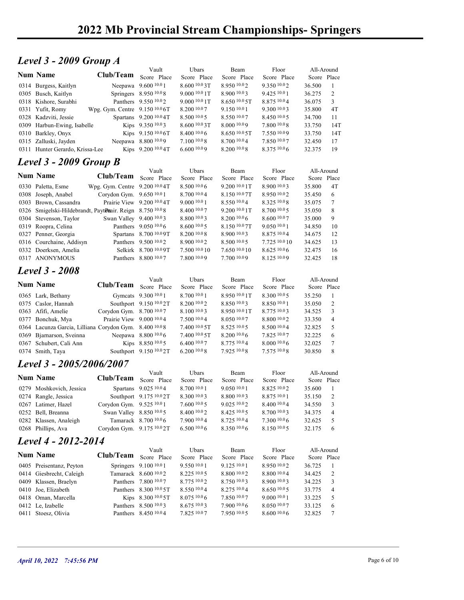# **Level 3 - 2009 Group A** Vault Ubars Beam Floor

| <b>Level 3 - 2009 Group A</b><br>Floor<br>Ubars<br>Beam<br>All-Around<br>Vault<br><b>Num Name</b><br>Club/Team<br>Score Place<br>Score Place<br>Score Place<br>Score Place<br>Score Place<br>Neepawa 9.600 10.0 1<br>8.600 10.0 3T<br>8.950 10.02<br>9.350 10.02<br>36.500<br>0314 Burgess, Kaitlyn<br>-1<br>$9.00010.01$ T<br>9.425 10.0 1<br>0305 Busch, Kaitlyn<br>Springers 8.950 10.08<br>8.900 10.03<br>36.275<br>2<br>Panthers 9.550 10.02<br>0318 Kishore, Surabhi<br>9.0001001<br>8.65010005<br>8.875 10.04<br>36.075<br>3<br>4T<br>Wpg. Gym. Centre 9.150 10.0 6T<br>8.200 10.0 7<br>9.150 10.0 1<br>9.300 10.03<br>35.800<br>0331 Yufit, Romy<br>0328 Kadzviti, Jessie<br>Spartans 9.200 10.0 4T<br>8.50010005<br>8.550 10.07<br>8.450 10.05<br>34.700<br>11<br>Kips 9.350 10.03<br>8.6001003<br>8.000 10.09<br>7.800 10.08<br>14T<br>0309 Harbun-Ewing, Isabelle<br>33.750<br>Kips 9.150 10.0 6T<br>0310 Barkley, Onyx<br>8.40010.06<br>$8.650\,$ $10.0\,5$ $\mathrm{T}$<br>7.550 10.09<br>14T<br>33.750<br>Neepawa 8.800 10.09<br>7.100 10.0 8<br>8.700 10.04<br>7.850 10.07<br>17<br>0315 Zalluski, Jayden<br>32.450<br>Kips 9.200 10.0 4T<br>8.375 10.06<br>19<br>6.60010.09<br>$8.200\,10.08$<br>32.375<br>0311 Hunter Gerardo, Krissa-Lee<br><b>Level 3 - 2009 Group B</b><br>Floor<br>All-Around<br>Vault<br>Ubars<br>Beam<br><b>Num Name</b><br>Club/Team<br>Score Place<br>Score Place<br>Score Place<br>Score Place<br>Score Place<br>Wpg. Gym. Centre 9.200 10.0 4T<br>8.500 10.0 6<br>9.200 10.0 1T<br>8.900 10.03<br>4T<br>0330 Paletta, Esme<br>35.800<br>8.700110.04<br>Corydon Gym. 9.650 10.0 1<br>8.150 10.07T<br>8.950 10.02<br>0308 Joseph, Anabel<br>35.450<br>6<br>8.325 10.08<br>Prairie View 9.200 10.04T<br>9.0001001<br>8.550 10.04<br>35.075<br>7<br>0303 Brown, Cassandra<br>0326 Smigelski-Hildebrandt, PaytDnair. Reign 8.750 10.08<br>8.400 10.07<br>9.200 <sup>10.0</sup> 1T<br>8.700 10.0 5<br>35.050<br>8<br>Swan Valley 9.400 10.03<br>8.800 10.03<br>8.200 10.0 6<br>8.600 10.07<br>35.000<br>9<br>0304 Stevenson, Taylor<br>0319 Roopra, Celina<br>Panthers 9.050 10.0 6<br>8.600 10.0 5<br>8.150 10.0 7T<br>9.050 10.0 1<br>10<br>34.850<br>0327 Penner, Georgia<br>Spartans 8.700 10.0 9T<br>8.200 10.0 8<br>8.900 10.03<br>8.875 10.04<br>34.675<br>12<br>Panthers 9.500 10.02<br>8.900 10.02<br>7.725 10.0 10<br>0316 Courchaine, Addisyn<br>8.500 10.0 5<br>34.625<br>13<br>Selkirk 8.700 10.0 9T<br>7.500 10.0 10<br>7.650 10.0 10<br>8.625 10.06<br>32.475<br>16<br>0332 Doerksen, Amelia<br>0317 ANONYMOUS<br>Panthers 8.800 10.07<br>7.800 10.09<br>7.700 10.09<br>8.125 10.09<br>18<br>32.425<br><b>Level 3 - 2008</b><br>Vault<br>Ubars<br>Floor<br>All-Around<br>Beam<br><b>Num Name</b><br>Club/Team Score Place<br>Score Place<br>Score Place<br>Score Place<br>Score Place<br>Gymcats 9.300 10.0 1<br>8.700 10.0 1<br>8.950 10.0 1T<br>8.300 10.0 5<br>0365 Lark, Bethany<br>35.250<br>-1<br>0375 Caslor, Hannah<br>Southport 9.150 10.02T<br>8.200 10.0 2<br>8.850 10.03<br>8.850 10.0 1<br>2<br>35.050<br>Corydon Gym. 8.700 10.07<br>8.100 10.0 3<br>34.525<br>0363 Afifi, Amelie<br>8.950 <sup>10.0</sup> 1T<br>8.775 10.03<br>3<br>Prairie View 9.000 10.04<br>8.050 10.07<br>33.350<br>0377 Bonchuk, Mya<br>7.500 10.0 4<br>8.800 10.02<br>$\overline{4}$<br>0364 Lacunza Garcia, Lilliana Corydon Gym. 8.400 10.08<br>7.400 10.0 5T<br>8.525 10.0 5<br>8.500 10.04<br>32.825<br>5<br>Neepawa 8.800 10.06<br>7.400 10.0 5T<br>8.200 10.0 6<br>7.825 10.07<br>32.225<br>6<br>0369 Bjarnarson, Sveinna<br>Kips 8.850 10.05<br>32.025<br>0367 Schubert, Cali Ann<br>6.400 10.07<br>8.775 10.04<br>8.000 10.06<br>7<br>0374 Smith, Taya<br>Southport 9.150 10.0 2T<br>6.200 10.0 8<br>7.925 10.08<br>7.575 10.08<br>30.850<br>8<br>Level 3 - 2005/2006/2007<br>Floor<br>Vault<br>Ubars<br>Beam<br>All-Around<br><b>Num Name</b><br>Club/Team<br>Score Place<br>Score Place<br>Score Place<br>Score Place<br>Score Place<br>Spartans 9.025 10.04<br>8.700 10.0 1<br>9.050 10.01<br>8.825 10.02<br>0279 Moshkovich, Jessica<br>35.600<br>$\mathbf{1}$<br>0274 Rangle, Jessica<br>Southport 9.175 10.0 2T<br>8.300 10.0 3<br>$8.800\,10.03$<br>8.875 10.0 1<br>35.150<br>2<br>Corydon Gym. 9.525 10.0 1<br>9.025 10.02<br>8.400 10.04<br>0267 Latimer, Hazel<br>7.60010005<br>34.550<br>3<br>Swan Valley 8.850 10.0 5<br>0252 Bell, Breanna<br>8.400 10.0 2<br>8.425 10.0 5<br>8.700 10.03<br>34.375<br>$\overline{4}$ |
|--------------------------------------------------------------------------------------------------------------------------------------------------------------------------------------------------------------------------------------------------------------------------------------------------------------------------------------------------------------------------------------------------------------------------------------------------------------------------------------------------------------------------------------------------------------------------------------------------------------------------------------------------------------------------------------------------------------------------------------------------------------------------------------------------------------------------------------------------------------------------------------------------------------------------------------------------------------------------------------------------------------------------------------------------------------------------------------------------------------------------------------------------------------------------------------------------------------------------------------------------------------------------------------------------------------------------------------------------------------------------------------------------------------------------------------------------------------------------------------------------------------------------------------------------------------------------------------------------------------------------------------------------------------------------------------------------------------------------------------------------------------------------------------------------------------------------------------------------------------------------------------------------------------------------------------------------------------------------------------------------------------------------------------------------------------------------------------------------------------------------------------------------------------------------------------------------------------------------------------------------------------------------------------------------------------------------------------------------------------------------------------------------------------------------------------------------------------------------------------------------------------------------------------------------------------------------------------------------------------------------------------------------------------------------------------------------------------------------------------------------------------------------------------------------------------------------------------------------------------------------------------------------------------------------------------------------------------------------------------------------------------------------------------------------------------------------------------------------------------------------------------------------------------------------------------------------------------------------------------------------------------------------------------------------------------------------------------------------------------------------------------------------------------------------------------------------------------------------------------------------------------------------------------------------------------------------------------------------------------------------------------------------------------------------------------------------------------------------------------------------------------------------------------------------------------------------------------------------------------------------------------------------------------------------------------------------------------------------------------------------------------------------------------------------------------------------------------------------------------------------------------------------------------------------------------------------------------------------------------------------------------------------------------------------------------------------------------------------------------------------------------------------------------------------------------------------------------------------------------|
|                                                                                                                                                                                                                                                                                                                                                                                                                                                                                                                                                                                                                                                                                                                                                                                                                                                                                                                                                                                                                                                                                                                                                                                                                                                                                                                                                                                                                                                                                                                                                                                                                                                                                                                                                                                                                                                                                                                                                                                                                                                                                                                                                                                                                                                                                                                                                                                                                                                                                                                                                                                                                                                                                                                                                                                                                                                                                                                                                                                                                                                                                                                                                                                                                                                                                                                                                                                                                                                                                                                                                                                                                                                                                                                                                                                                                                                                                                                                                                                                                                                                                                                                                                                                                                                                                                                                                                                                                                                                                      |
|                                                                                                                                                                                                                                                                                                                                                                                                                                                                                                                                                                                                                                                                                                                                                                                                                                                                                                                                                                                                                                                                                                                                                                                                                                                                                                                                                                                                                                                                                                                                                                                                                                                                                                                                                                                                                                                                                                                                                                                                                                                                                                                                                                                                                                                                                                                                                                                                                                                                                                                                                                                                                                                                                                                                                                                                                                                                                                                                                                                                                                                                                                                                                                                                                                                                                                                                                                                                                                                                                                                                                                                                                                                                                                                                                                                                                                                                                                                                                                                                                                                                                                                                                                                                                                                                                                                                                                                                                                                                                      |
|                                                                                                                                                                                                                                                                                                                                                                                                                                                                                                                                                                                                                                                                                                                                                                                                                                                                                                                                                                                                                                                                                                                                                                                                                                                                                                                                                                                                                                                                                                                                                                                                                                                                                                                                                                                                                                                                                                                                                                                                                                                                                                                                                                                                                                                                                                                                                                                                                                                                                                                                                                                                                                                                                                                                                                                                                                                                                                                                                                                                                                                                                                                                                                                                                                                                                                                                                                                                                                                                                                                                                                                                                                                                                                                                                                                                                                                                                                                                                                                                                                                                                                                                                                                                                                                                                                                                                                                                                                                                                      |
|                                                                                                                                                                                                                                                                                                                                                                                                                                                                                                                                                                                                                                                                                                                                                                                                                                                                                                                                                                                                                                                                                                                                                                                                                                                                                                                                                                                                                                                                                                                                                                                                                                                                                                                                                                                                                                                                                                                                                                                                                                                                                                                                                                                                                                                                                                                                                                                                                                                                                                                                                                                                                                                                                                                                                                                                                                                                                                                                                                                                                                                                                                                                                                                                                                                                                                                                                                                                                                                                                                                                                                                                                                                                                                                                                                                                                                                                                                                                                                                                                                                                                                                                                                                                                                                                                                                                                                                                                                                                                      |
|                                                                                                                                                                                                                                                                                                                                                                                                                                                                                                                                                                                                                                                                                                                                                                                                                                                                                                                                                                                                                                                                                                                                                                                                                                                                                                                                                                                                                                                                                                                                                                                                                                                                                                                                                                                                                                                                                                                                                                                                                                                                                                                                                                                                                                                                                                                                                                                                                                                                                                                                                                                                                                                                                                                                                                                                                                                                                                                                                                                                                                                                                                                                                                                                                                                                                                                                                                                                                                                                                                                                                                                                                                                                                                                                                                                                                                                                                                                                                                                                                                                                                                                                                                                                                                                                                                                                                                                                                                                                                      |
|                                                                                                                                                                                                                                                                                                                                                                                                                                                                                                                                                                                                                                                                                                                                                                                                                                                                                                                                                                                                                                                                                                                                                                                                                                                                                                                                                                                                                                                                                                                                                                                                                                                                                                                                                                                                                                                                                                                                                                                                                                                                                                                                                                                                                                                                                                                                                                                                                                                                                                                                                                                                                                                                                                                                                                                                                                                                                                                                                                                                                                                                                                                                                                                                                                                                                                                                                                                                                                                                                                                                                                                                                                                                                                                                                                                                                                                                                                                                                                                                                                                                                                                                                                                                                                                                                                                                                                                                                                                                                      |
|                                                                                                                                                                                                                                                                                                                                                                                                                                                                                                                                                                                                                                                                                                                                                                                                                                                                                                                                                                                                                                                                                                                                                                                                                                                                                                                                                                                                                                                                                                                                                                                                                                                                                                                                                                                                                                                                                                                                                                                                                                                                                                                                                                                                                                                                                                                                                                                                                                                                                                                                                                                                                                                                                                                                                                                                                                                                                                                                                                                                                                                                                                                                                                                                                                                                                                                                                                                                                                                                                                                                                                                                                                                                                                                                                                                                                                                                                                                                                                                                                                                                                                                                                                                                                                                                                                                                                                                                                                                                                      |
|                                                                                                                                                                                                                                                                                                                                                                                                                                                                                                                                                                                                                                                                                                                                                                                                                                                                                                                                                                                                                                                                                                                                                                                                                                                                                                                                                                                                                                                                                                                                                                                                                                                                                                                                                                                                                                                                                                                                                                                                                                                                                                                                                                                                                                                                                                                                                                                                                                                                                                                                                                                                                                                                                                                                                                                                                                                                                                                                                                                                                                                                                                                                                                                                                                                                                                                                                                                                                                                                                                                                                                                                                                                                                                                                                                                                                                                                                                                                                                                                                                                                                                                                                                                                                                                                                                                                                                                                                                                                                      |
|                                                                                                                                                                                                                                                                                                                                                                                                                                                                                                                                                                                                                                                                                                                                                                                                                                                                                                                                                                                                                                                                                                                                                                                                                                                                                                                                                                                                                                                                                                                                                                                                                                                                                                                                                                                                                                                                                                                                                                                                                                                                                                                                                                                                                                                                                                                                                                                                                                                                                                                                                                                                                                                                                                                                                                                                                                                                                                                                                                                                                                                                                                                                                                                                                                                                                                                                                                                                                                                                                                                                                                                                                                                                                                                                                                                                                                                                                                                                                                                                                                                                                                                                                                                                                                                                                                                                                                                                                                                                                      |
|                                                                                                                                                                                                                                                                                                                                                                                                                                                                                                                                                                                                                                                                                                                                                                                                                                                                                                                                                                                                                                                                                                                                                                                                                                                                                                                                                                                                                                                                                                                                                                                                                                                                                                                                                                                                                                                                                                                                                                                                                                                                                                                                                                                                                                                                                                                                                                                                                                                                                                                                                                                                                                                                                                                                                                                                                                                                                                                                                                                                                                                                                                                                                                                                                                                                                                                                                                                                                                                                                                                                                                                                                                                                                                                                                                                                                                                                                                                                                                                                                                                                                                                                                                                                                                                                                                                                                                                                                                                                                      |
|                                                                                                                                                                                                                                                                                                                                                                                                                                                                                                                                                                                                                                                                                                                                                                                                                                                                                                                                                                                                                                                                                                                                                                                                                                                                                                                                                                                                                                                                                                                                                                                                                                                                                                                                                                                                                                                                                                                                                                                                                                                                                                                                                                                                                                                                                                                                                                                                                                                                                                                                                                                                                                                                                                                                                                                                                                                                                                                                                                                                                                                                                                                                                                                                                                                                                                                                                                                                                                                                                                                                                                                                                                                                                                                                                                                                                                                                                                                                                                                                                                                                                                                                                                                                                                                                                                                                                                                                                                                                                      |
|                                                                                                                                                                                                                                                                                                                                                                                                                                                                                                                                                                                                                                                                                                                                                                                                                                                                                                                                                                                                                                                                                                                                                                                                                                                                                                                                                                                                                                                                                                                                                                                                                                                                                                                                                                                                                                                                                                                                                                                                                                                                                                                                                                                                                                                                                                                                                                                                                                                                                                                                                                                                                                                                                                                                                                                                                                                                                                                                                                                                                                                                                                                                                                                                                                                                                                                                                                                                                                                                                                                                                                                                                                                                                                                                                                                                                                                                                                                                                                                                                                                                                                                                                                                                                                                                                                                                                                                                                                                                                      |
|                                                                                                                                                                                                                                                                                                                                                                                                                                                                                                                                                                                                                                                                                                                                                                                                                                                                                                                                                                                                                                                                                                                                                                                                                                                                                                                                                                                                                                                                                                                                                                                                                                                                                                                                                                                                                                                                                                                                                                                                                                                                                                                                                                                                                                                                                                                                                                                                                                                                                                                                                                                                                                                                                                                                                                                                                                                                                                                                                                                                                                                                                                                                                                                                                                                                                                                                                                                                                                                                                                                                                                                                                                                                                                                                                                                                                                                                                                                                                                                                                                                                                                                                                                                                                                                                                                                                                                                                                                                                                      |
|                                                                                                                                                                                                                                                                                                                                                                                                                                                                                                                                                                                                                                                                                                                                                                                                                                                                                                                                                                                                                                                                                                                                                                                                                                                                                                                                                                                                                                                                                                                                                                                                                                                                                                                                                                                                                                                                                                                                                                                                                                                                                                                                                                                                                                                                                                                                                                                                                                                                                                                                                                                                                                                                                                                                                                                                                                                                                                                                                                                                                                                                                                                                                                                                                                                                                                                                                                                                                                                                                                                                                                                                                                                                                                                                                                                                                                                                                                                                                                                                                                                                                                                                                                                                                                                                                                                                                                                                                                                                                      |
|                                                                                                                                                                                                                                                                                                                                                                                                                                                                                                                                                                                                                                                                                                                                                                                                                                                                                                                                                                                                                                                                                                                                                                                                                                                                                                                                                                                                                                                                                                                                                                                                                                                                                                                                                                                                                                                                                                                                                                                                                                                                                                                                                                                                                                                                                                                                                                                                                                                                                                                                                                                                                                                                                                                                                                                                                                                                                                                                                                                                                                                                                                                                                                                                                                                                                                                                                                                                                                                                                                                                                                                                                                                                                                                                                                                                                                                                                                                                                                                                                                                                                                                                                                                                                                                                                                                                                                                                                                                                                      |
|                                                                                                                                                                                                                                                                                                                                                                                                                                                                                                                                                                                                                                                                                                                                                                                                                                                                                                                                                                                                                                                                                                                                                                                                                                                                                                                                                                                                                                                                                                                                                                                                                                                                                                                                                                                                                                                                                                                                                                                                                                                                                                                                                                                                                                                                                                                                                                                                                                                                                                                                                                                                                                                                                                                                                                                                                                                                                                                                                                                                                                                                                                                                                                                                                                                                                                                                                                                                                                                                                                                                                                                                                                                                                                                                                                                                                                                                                                                                                                                                                                                                                                                                                                                                                                                                                                                                                                                                                                                                                      |
|                                                                                                                                                                                                                                                                                                                                                                                                                                                                                                                                                                                                                                                                                                                                                                                                                                                                                                                                                                                                                                                                                                                                                                                                                                                                                                                                                                                                                                                                                                                                                                                                                                                                                                                                                                                                                                                                                                                                                                                                                                                                                                                                                                                                                                                                                                                                                                                                                                                                                                                                                                                                                                                                                                                                                                                                                                                                                                                                                                                                                                                                                                                                                                                                                                                                                                                                                                                                                                                                                                                                                                                                                                                                                                                                                                                                                                                                                                                                                                                                                                                                                                                                                                                                                                                                                                                                                                                                                                                                                      |
|                                                                                                                                                                                                                                                                                                                                                                                                                                                                                                                                                                                                                                                                                                                                                                                                                                                                                                                                                                                                                                                                                                                                                                                                                                                                                                                                                                                                                                                                                                                                                                                                                                                                                                                                                                                                                                                                                                                                                                                                                                                                                                                                                                                                                                                                                                                                                                                                                                                                                                                                                                                                                                                                                                                                                                                                                                                                                                                                                                                                                                                                                                                                                                                                                                                                                                                                                                                                                                                                                                                                                                                                                                                                                                                                                                                                                                                                                                                                                                                                                                                                                                                                                                                                                                                                                                                                                                                                                                                                                      |
|                                                                                                                                                                                                                                                                                                                                                                                                                                                                                                                                                                                                                                                                                                                                                                                                                                                                                                                                                                                                                                                                                                                                                                                                                                                                                                                                                                                                                                                                                                                                                                                                                                                                                                                                                                                                                                                                                                                                                                                                                                                                                                                                                                                                                                                                                                                                                                                                                                                                                                                                                                                                                                                                                                                                                                                                                                                                                                                                                                                                                                                                                                                                                                                                                                                                                                                                                                                                                                                                                                                                                                                                                                                                                                                                                                                                                                                                                                                                                                                                                                                                                                                                                                                                                                                                                                                                                                                                                                                                                      |
|                                                                                                                                                                                                                                                                                                                                                                                                                                                                                                                                                                                                                                                                                                                                                                                                                                                                                                                                                                                                                                                                                                                                                                                                                                                                                                                                                                                                                                                                                                                                                                                                                                                                                                                                                                                                                                                                                                                                                                                                                                                                                                                                                                                                                                                                                                                                                                                                                                                                                                                                                                                                                                                                                                                                                                                                                                                                                                                                                                                                                                                                                                                                                                                                                                                                                                                                                                                                                                                                                                                                                                                                                                                                                                                                                                                                                                                                                                                                                                                                                                                                                                                                                                                                                                                                                                                                                                                                                                                                                      |
|                                                                                                                                                                                                                                                                                                                                                                                                                                                                                                                                                                                                                                                                                                                                                                                                                                                                                                                                                                                                                                                                                                                                                                                                                                                                                                                                                                                                                                                                                                                                                                                                                                                                                                                                                                                                                                                                                                                                                                                                                                                                                                                                                                                                                                                                                                                                                                                                                                                                                                                                                                                                                                                                                                                                                                                                                                                                                                                                                                                                                                                                                                                                                                                                                                                                                                                                                                                                                                                                                                                                                                                                                                                                                                                                                                                                                                                                                                                                                                                                                                                                                                                                                                                                                                                                                                                                                                                                                                                                                      |
|                                                                                                                                                                                                                                                                                                                                                                                                                                                                                                                                                                                                                                                                                                                                                                                                                                                                                                                                                                                                                                                                                                                                                                                                                                                                                                                                                                                                                                                                                                                                                                                                                                                                                                                                                                                                                                                                                                                                                                                                                                                                                                                                                                                                                                                                                                                                                                                                                                                                                                                                                                                                                                                                                                                                                                                                                                                                                                                                                                                                                                                                                                                                                                                                                                                                                                                                                                                                                                                                                                                                                                                                                                                                                                                                                                                                                                                                                                                                                                                                                                                                                                                                                                                                                                                                                                                                                                                                                                                                                      |
|                                                                                                                                                                                                                                                                                                                                                                                                                                                                                                                                                                                                                                                                                                                                                                                                                                                                                                                                                                                                                                                                                                                                                                                                                                                                                                                                                                                                                                                                                                                                                                                                                                                                                                                                                                                                                                                                                                                                                                                                                                                                                                                                                                                                                                                                                                                                                                                                                                                                                                                                                                                                                                                                                                                                                                                                                                                                                                                                                                                                                                                                                                                                                                                                                                                                                                                                                                                                                                                                                                                                                                                                                                                                                                                                                                                                                                                                                                                                                                                                                                                                                                                                                                                                                                                                                                                                                                                                                                                                                      |
|                                                                                                                                                                                                                                                                                                                                                                                                                                                                                                                                                                                                                                                                                                                                                                                                                                                                                                                                                                                                                                                                                                                                                                                                                                                                                                                                                                                                                                                                                                                                                                                                                                                                                                                                                                                                                                                                                                                                                                                                                                                                                                                                                                                                                                                                                                                                                                                                                                                                                                                                                                                                                                                                                                                                                                                                                                                                                                                                                                                                                                                                                                                                                                                                                                                                                                                                                                                                                                                                                                                                                                                                                                                                                                                                                                                                                                                                                                                                                                                                                                                                                                                                                                                                                                                                                                                                                                                                                                                                                      |
|                                                                                                                                                                                                                                                                                                                                                                                                                                                                                                                                                                                                                                                                                                                                                                                                                                                                                                                                                                                                                                                                                                                                                                                                                                                                                                                                                                                                                                                                                                                                                                                                                                                                                                                                                                                                                                                                                                                                                                                                                                                                                                                                                                                                                                                                                                                                                                                                                                                                                                                                                                                                                                                                                                                                                                                                                                                                                                                                                                                                                                                                                                                                                                                                                                                                                                                                                                                                                                                                                                                                                                                                                                                                                                                                                                                                                                                                                                                                                                                                                                                                                                                                                                                                                                                                                                                                                                                                                                                                                      |
|                                                                                                                                                                                                                                                                                                                                                                                                                                                                                                                                                                                                                                                                                                                                                                                                                                                                                                                                                                                                                                                                                                                                                                                                                                                                                                                                                                                                                                                                                                                                                                                                                                                                                                                                                                                                                                                                                                                                                                                                                                                                                                                                                                                                                                                                                                                                                                                                                                                                                                                                                                                                                                                                                                                                                                                                                                                                                                                                                                                                                                                                                                                                                                                                                                                                                                                                                                                                                                                                                                                                                                                                                                                                                                                                                                                                                                                                                                                                                                                                                                                                                                                                                                                                                                                                                                                                                                                                                                                                                      |
|                                                                                                                                                                                                                                                                                                                                                                                                                                                                                                                                                                                                                                                                                                                                                                                                                                                                                                                                                                                                                                                                                                                                                                                                                                                                                                                                                                                                                                                                                                                                                                                                                                                                                                                                                                                                                                                                                                                                                                                                                                                                                                                                                                                                                                                                                                                                                                                                                                                                                                                                                                                                                                                                                                                                                                                                                                                                                                                                                                                                                                                                                                                                                                                                                                                                                                                                                                                                                                                                                                                                                                                                                                                                                                                                                                                                                                                                                                                                                                                                                                                                                                                                                                                                                                                                                                                                                                                                                                                                                      |
|                                                                                                                                                                                                                                                                                                                                                                                                                                                                                                                                                                                                                                                                                                                                                                                                                                                                                                                                                                                                                                                                                                                                                                                                                                                                                                                                                                                                                                                                                                                                                                                                                                                                                                                                                                                                                                                                                                                                                                                                                                                                                                                                                                                                                                                                                                                                                                                                                                                                                                                                                                                                                                                                                                                                                                                                                                                                                                                                                                                                                                                                                                                                                                                                                                                                                                                                                                                                                                                                                                                                                                                                                                                                                                                                                                                                                                                                                                                                                                                                                                                                                                                                                                                                                                                                                                                                                                                                                                                                                      |
|                                                                                                                                                                                                                                                                                                                                                                                                                                                                                                                                                                                                                                                                                                                                                                                                                                                                                                                                                                                                                                                                                                                                                                                                                                                                                                                                                                                                                                                                                                                                                                                                                                                                                                                                                                                                                                                                                                                                                                                                                                                                                                                                                                                                                                                                                                                                                                                                                                                                                                                                                                                                                                                                                                                                                                                                                                                                                                                                                                                                                                                                                                                                                                                                                                                                                                                                                                                                                                                                                                                                                                                                                                                                                                                                                                                                                                                                                                                                                                                                                                                                                                                                                                                                                                                                                                                                                                                                                                                                                      |
|                                                                                                                                                                                                                                                                                                                                                                                                                                                                                                                                                                                                                                                                                                                                                                                                                                                                                                                                                                                                                                                                                                                                                                                                                                                                                                                                                                                                                                                                                                                                                                                                                                                                                                                                                                                                                                                                                                                                                                                                                                                                                                                                                                                                                                                                                                                                                                                                                                                                                                                                                                                                                                                                                                                                                                                                                                                                                                                                                                                                                                                                                                                                                                                                                                                                                                                                                                                                                                                                                                                                                                                                                                                                                                                                                                                                                                                                                                                                                                                                                                                                                                                                                                                                                                                                                                                                                                                                                                                                                      |
|                                                                                                                                                                                                                                                                                                                                                                                                                                                                                                                                                                                                                                                                                                                                                                                                                                                                                                                                                                                                                                                                                                                                                                                                                                                                                                                                                                                                                                                                                                                                                                                                                                                                                                                                                                                                                                                                                                                                                                                                                                                                                                                                                                                                                                                                                                                                                                                                                                                                                                                                                                                                                                                                                                                                                                                                                                                                                                                                                                                                                                                                                                                                                                                                                                                                                                                                                                                                                                                                                                                                                                                                                                                                                                                                                                                                                                                                                                                                                                                                                                                                                                                                                                                                                                                                                                                                                                                                                                                                                      |
|                                                                                                                                                                                                                                                                                                                                                                                                                                                                                                                                                                                                                                                                                                                                                                                                                                                                                                                                                                                                                                                                                                                                                                                                                                                                                                                                                                                                                                                                                                                                                                                                                                                                                                                                                                                                                                                                                                                                                                                                                                                                                                                                                                                                                                                                                                                                                                                                                                                                                                                                                                                                                                                                                                                                                                                                                                                                                                                                                                                                                                                                                                                                                                                                                                                                                                                                                                                                                                                                                                                                                                                                                                                                                                                                                                                                                                                                                                                                                                                                                                                                                                                                                                                                                                                                                                                                                                                                                                                                                      |
|                                                                                                                                                                                                                                                                                                                                                                                                                                                                                                                                                                                                                                                                                                                                                                                                                                                                                                                                                                                                                                                                                                                                                                                                                                                                                                                                                                                                                                                                                                                                                                                                                                                                                                                                                                                                                                                                                                                                                                                                                                                                                                                                                                                                                                                                                                                                                                                                                                                                                                                                                                                                                                                                                                                                                                                                                                                                                                                                                                                                                                                                                                                                                                                                                                                                                                                                                                                                                                                                                                                                                                                                                                                                                                                                                                                                                                                                                                                                                                                                                                                                                                                                                                                                                                                                                                                                                                                                                                                                                      |
|                                                                                                                                                                                                                                                                                                                                                                                                                                                                                                                                                                                                                                                                                                                                                                                                                                                                                                                                                                                                                                                                                                                                                                                                                                                                                                                                                                                                                                                                                                                                                                                                                                                                                                                                                                                                                                                                                                                                                                                                                                                                                                                                                                                                                                                                                                                                                                                                                                                                                                                                                                                                                                                                                                                                                                                                                                                                                                                                                                                                                                                                                                                                                                                                                                                                                                                                                                                                                                                                                                                                                                                                                                                                                                                                                                                                                                                                                                                                                                                                                                                                                                                                                                                                                                                                                                                                                                                                                                                                                      |
|                                                                                                                                                                                                                                                                                                                                                                                                                                                                                                                                                                                                                                                                                                                                                                                                                                                                                                                                                                                                                                                                                                                                                                                                                                                                                                                                                                                                                                                                                                                                                                                                                                                                                                                                                                                                                                                                                                                                                                                                                                                                                                                                                                                                                                                                                                                                                                                                                                                                                                                                                                                                                                                                                                                                                                                                                                                                                                                                                                                                                                                                                                                                                                                                                                                                                                                                                                                                                                                                                                                                                                                                                                                                                                                                                                                                                                                                                                                                                                                                                                                                                                                                                                                                                                                                                                                                                                                                                                                                                      |
|                                                                                                                                                                                                                                                                                                                                                                                                                                                                                                                                                                                                                                                                                                                                                                                                                                                                                                                                                                                                                                                                                                                                                                                                                                                                                                                                                                                                                                                                                                                                                                                                                                                                                                                                                                                                                                                                                                                                                                                                                                                                                                                                                                                                                                                                                                                                                                                                                                                                                                                                                                                                                                                                                                                                                                                                                                                                                                                                                                                                                                                                                                                                                                                                                                                                                                                                                                                                                                                                                                                                                                                                                                                                                                                                                                                                                                                                                                                                                                                                                                                                                                                                                                                                                                                                                                                                                                                                                                                                                      |
|                                                                                                                                                                                                                                                                                                                                                                                                                                                                                                                                                                                                                                                                                                                                                                                                                                                                                                                                                                                                                                                                                                                                                                                                                                                                                                                                                                                                                                                                                                                                                                                                                                                                                                                                                                                                                                                                                                                                                                                                                                                                                                                                                                                                                                                                                                                                                                                                                                                                                                                                                                                                                                                                                                                                                                                                                                                                                                                                                                                                                                                                                                                                                                                                                                                                                                                                                                                                                                                                                                                                                                                                                                                                                                                                                                                                                                                                                                                                                                                                                                                                                                                                                                                                                                                                                                                                                                                                                                                                                      |
| Tamarack 8.700 10.0 6<br>7.900 10.04<br>8.725 10.04<br>7.300 10.06<br>0282 Klassen, Analeigh<br>32.625<br>5                                                                                                                                                                                                                                                                                                                                                                                                                                                                                                                                                                                                                                                                                                                                                                                                                                                                                                                                                                                                                                                                                                                                                                                                                                                                                                                                                                                                                                                                                                                                                                                                                                                                                                                                                                                                                                                                                                                                                                                                                                                                                                                                                                                                                                                                                                                                                                                                                                                                                                                                                                                                                                                                                                                                                                                                                                                                                                                                                                                                                                                                                                                                                                                                                                                                                                                                                                                                                                                                                                                                                                                                                                                                                                                                                                                                                                                                                                                                                                                                                                                                                                                                                                                                                                                                                                                                                                          |
| 8.150 10.05<br>32.175 6<br>0268 Phillips, Ava<br>Corydon Gym. 9.175 10.0 2T<br>6.5001006<br>8.350 10.06                                                                                                                                                                                                                                                                                                                                                                                                                                                                                                                                                                                                                                                                                                                                                                                                                                                                                                                                                                                                                                                                                                                                                                                                                                                                                                                                                                                                                                                                                                                                                                                                                                                                                                                                                                                                                                                                                                                                                                                                                                                                                                                                                                                                                                                                                                                                                                                                                                                                                                                                                                                                                                                                                                                                                                                                                                                                                                                                                                                                                                                                                                                                                                                                                                                                                                                                                                                                                                                                                                                                                                                                                                                                                                                                                                                                                                                                                                                                                                                                                                                                                                                                                                                                                                                                                                                                                                              |
| Level 4 - 2012-2014                                                                                                                                                                                                                                                                                                                                                                                                                                                                                                                                                                                                                                                                                                                                                                                                                                                                                                                                                                                                                                                                                                                                                                                                                                                                                                                                                                                                                                                                                                                                                                                                                                                                                                                                                                                                                                                                                                                                                                                                                                                                                                                                                                                                                                                                                                                                                                                                                                                                                                                                                                                                                                                                                                                                                                                                                                                                                                                                                                                                                                                                                                                                                                                                                                                                                                                                                                                                                                                                                                                                                                                                                                                                                                                                                                                                                                                                                                                                                                                                                                                                                                                                                                                                                                                                                                                                                                                                                                                                  |
| Vault<br>Ubars<br>Floor<br>All-Around<br>Beam                                                                                                                                                                                                                                                                                                                                                                                                                                                                                                                                                                                                                                                                                                                                                                                                                                                                                                                                                                                                                                                                                                                                                                                                                                                                                                                                                                                                                                                                                                                                                                                                                                                                                                                                                                                                                                                                                                                                                                                                                                                                                                                                                                                                                                                                                                                                                                                                                                                                                                                                                                                                                                                                                                                                                                                                                                                                                                                                                                                                                                                                                                                                                                                                                                                                                                                                                                                                                                                                                                                                                                                                                                                                                                                                                                                                                                                                                                                                                                                                                                                                                                                                                                                                                                                                                                                                                                                                                                        |
| <b>Num Name</b><br>Club/Team Score Place<br>Score Place<br>Score Place<br>Score Place<br>Score Place                                                                                                                                                                                                                                                                                                                                                                                                                                                                                                                                                                                                                                                                                                                                                                                                                                                                                                                                                                                                                                                                                                                                                                                                                                                                                                                                                                                                                                                                                                                                                                                                                                                                                                                                                                                                                                                                                                                                                                                                                                                                                                                                                                                                                                                                                                                                                                                                                                                                                                                                                                                                                                                                                                                                                                                                                                                                                                                                                                                                                                                                                                                                                                                                                                                                                                                                                                                                                                                                                                                                                                                                                                                                                                                                                                                                                                                                                                                                                                                                                                                                                                                                                                                                                                                                                                                                                                                 |
| 0405 Preisentanz, Peyton<br>Springers 9.100 10.0 1<br>9.550 10.0 1<br>9.125 10.01<br>8.950 10.02<br>36.725<br>-1                                                                                                                                                                                                                                                                                                                                                                                                                                                                                                                                                                                                                                                                                                                                                                                                                                                                                                                                                                                                                                                                                                                                                                                                                                                                                                                                                                                                                                                                                                                                                                                                                                                                                                                                                                                                                                                                                                                                                                                                                                                                                                                                                                                                                                                                                                                                                                                                                                                                                                                                                                                                                                                                                                                                                                                                                                                                                                                                                                                                                                                                                                                                                                                                                                                                                                                                                                                                                                                                                                                                                                                                                                                                                                                                                                                                                                                                                                                                                                                                                                                                                                                                                                                                                                                                                                                                                                     |
| Tamarack 8.600 10.02<br>2<br>0414 Giesbrecht, Caleigh<br>8.2251005<br>8.800 10.02<br>8.800 10.04<br>34.425                                                                                                                                                                                                                                                                                                                                                                                                                                                                                                                                                                                                                                                                                                                                                                                                                                                                                                                                                                                                                                                                                                                                                                                                                                                                                                                                                                                                                                                                                                                                                                                                                                                                                                                                                                                                                                                                                                                                                                                                                                                                                                                                                                                                                                                                                                                                                                                                                                                                                                                                                                                                                                                                                                                                                                                                                                                                                                                                                                                                                                                                                                                                                                                                                                                                                                                                                                                                                                                                                                                                                                                                                                                                                                                                                                                                                                                                                                                                                                                                                                                                                                                                                                                                                                                                                                                                                                           |
| 0409 Klassen, Braelyn<br>Panthers 7.800 10.07<br>8.775 10.02<br>8.750 10.03<br>8.900 10.03<br>34.225<br>3                                                                                                                                                                                                                                                                                                                                                                                                                                                                                                                                                                                                                                                                                                                                                                                                                                                                                                                                                                                                                                                                                                                                                                                                                                                                                                                                                                                                                                                                                                                                                                                                                                                                                                                                                                                                                                                                                                                                                                                                                                                                                                                                                                                                                                                                                                                                                                                                                                                                                                                                                                                                                                                                                                                                                                                                                                                                                                                                                                                                                                                                                                                                                                                                                                                                                                                                                                                                                                                                                                                                                                                                                                                                                                                                                                                                                                                                                                                                                                                                                                                                                                                                                                                                                                                                                                                                                                            |
| Panthers 8.300 10.0 5T<br>8.275 10.04<br>0410 Joe, Elizabeth<br>8.550 10.0 4<br>8.65010005<br>33.775<br>$\overline{4}$<br>Kips 8.300 10.0 5T<br>8.075 10.0 6<br>7.850 10.07<br>9.000 10.0 1<br>0418 Oman, Marcella<br>33.225<br>5                                                                                                                                                                                                                                                                                                                                                                                                                                                                                                                                                                                                                                                                                                                                                                                                                                                                                                                                                                                                                                                                                                                                                                                                                                                                                                                                                                                                                                                                                                                                                                                                                                                                                                                                                                                                                                                                                                                                                                                                                                                                                                                                                                                                                                                                                                                                                                                                                                                                                                                                                                                                                                                                                                                                                                                                                                                                                                                                                                                                                                                                                                                                                                                                                                                                                                                                                                                                                                                                                                                                                                                                                                                                                                                                                                                                                                                                                                                                                                                                                                                                                                                                                                                                                                                    |
| 0412 Le, Izabelle<br>Panthers 8.500 10.03<br>8.675 10.03<br>7.900 10.06<br>8.050 10.07<br>33.125<br>6                                                                                                                                                                                                                                                                                                                                                                                                                                                                                                                                                                                                                                                                                                                                                                                                                                                                                                                                                                                                                                                                                                                                                                                                                                                                                                                                                                                                                                                                                                                                                                                                                                                                                                                                                                                                                                                                                                                                                                                                                                                                                                                                                                                                                                                                                                                                                                                                                                                                                                                                                                                                                                                                                                                                                                                                                                                                                                                                                                                                                                                                                                                                                                                                                                                                                                                                                                                                                                                                                                                                                                                                                                                                                                                                                                                                                                                                                                                                                                                                                                                                                                                                                                                                                                                                                                                                                                                |
| Panthers 8.450 10.0 4<br>7.825 10.07<br>7.950 10.05<br>8.600 10.06<br>32.825<br>0411 Stoesz, Olivia<br>7                                                                                                                                                                                                                                                                                                                                                                                                                                                                                                                                                                                                                                                                                                                                                                                                                                                                                                                                                                                                                                                                                                                                                                                                                                                                                                                                                                                                                                                                                                                                                                                                                                                                                                                                                                                                                                                                                                                                                                                                                                                                                                                                                                                                                                                                                                                                                                                                                                                                                                                                                                                                                                                                                                                                                                                                                                                                                                                                                                                                                                                                                                                                                                                                                                                                                                                                                                                                                                                                                                                                                                                                                                                                                                                                                                                                                                                                                                                                                                                                                                                                                                                                                                                                                                                                                                                                                                             |
|                                                                                                                                                                                                                                                                                                                                                                                                                                                                                                                                                                                                                                                                                                                                                                                                                                                                                                                                                                                                                                                                                                                                                                                                                                                                                                                                                                                                                                                                                                                                                                                                                                                                                                                                                                                                                                                                                                                                                                                                                                                                                                                                                                                                                                                                                                                                                                                                                                                                                                                                                                                                                                                                                                                                                                                                                                                                                                                                                                                                                                                                                                                                                                                                                                                                                                                                                                                                                                                                                                                                                                                                                                                                                                                                                                                                                                                                                                                                                                                                                                                                                                                                                                                                                                                                                                                                                                                                                                                                                      |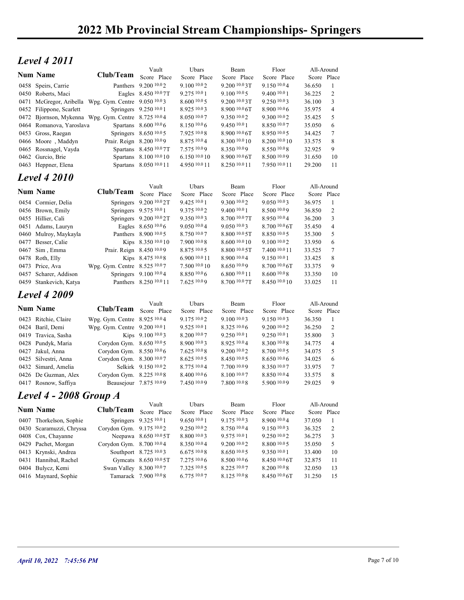## $Level\ 4\ 2011$

|                                                                                              | <b>2022 Mb Provincial Stream Championships- Springers</b> |                                                 |                                |                                   |                                  |                       |                |  |
|----------------------------------------------------------------------------------------------|-----------------------------------------------------------|-------------------------------------------------|--------------------------------|-----------------------------------|----------------------------------|-----------------------|----------------|--|
|                                                                                              |                                                           |                                                 |                                |                                   |                                  |                       |                |  |
| <b>Level 4 2011</b>                                                                          |                                                           |                                                 |                                |                                   | Floor                            |                       | All-Around     |  |
| <b>Num Name</b>                                                                              | Club/Team                                                 | Vault<br>Score Place                            | Ubars<br>Score Place           | Beam<br>Score Place               | Score Place                      | Score Place           |                |  |
| 0458 Speirs, Carrie                                                                          |                                                           | Panthers 9.200 10.02                            | 9.1001002                      | 9.200 10.0 3T                     | 9.150 10.04                      | 36.650                | -1             |  |
| 0450 Roberts, Maci                                                                           |                                                           | Eagles 8.450 10.0 7T                            | 9.275 10.0 1                   | $9.100\,10.05$                    | 9.400 10.0 1                     | 36.225                | $\overline{c}$ |  |
| 0471 McGregor, Aribella Wpg. Gym. Centre 9.050 <sup>10.0</sup> 3<br>0452 Filippone, Scarlett |                                                           | Springers 9.250 10.0 1                          | 8.600 10.0 5<br>8.925 10.03    | 9.200 10.0 3T<br>8.900 10.0 6T    | 9.2501003<br>8.900 10.06         | 36.100<br>35.975      | 3<br>4         |  |
| 0472 Bjornson, Mykenna Wpg. Gym. Centre 8.725 10.04                                          |                                                           |                                                 | 8.050 10.07                    | 9.35010.02                        | 9.300 10.02                      | 35.425                | 5              |  |
| 0464 Romanova, Yaroslava                                                                     |                                                           | Spartans 8.600 10.0 6                           | 8.150 10.0 6                   | 9.450 10.0 1                      | 8.850 10.07                      | 35.050                | 6              |  |
| 0453 Gross, Raegan<br>0466 Moore, Maddyn                                                     | Prair. Reign 8.200 10.0 9                                 | Springers 8.650 10.0 5                          | 7.925 10.08<br>8.875 10.04     | $8.900\,10.06$ T<br>8.300 10.0 10 | 8.950 10.05<br>8.200 10.0 10     | 34.425<br>33.575      | 7<br>8         |  |
| 0465 Rossnagel, Vayda                                                                        |                                                           | Spartans 8.450 10.0 7T                          | 7.575 10.09                    | 8.350 10.09                       | 8.550 10.0 8                     | 32.925                | 9              |  |
| 0462 Gurcio, Brie                                                                            |                                                           | Spartans 8.100 10.0 10                          | 6.150 10.0 10                  | 8.900 10.0 6T                     | 8.500 10.09                      | 31.650                | 10             |  |
| 0463 Heppner, Elena                                                                          |                                                           | Spartans 8.050 10.0 11                          | 4.950 10.0 11                  | 8.250 10.0 11                     | 7.950 10.0 11                    | 29.200                | -11            |  |
| <b>Level 4 2010</b>                                                                          |                                                           |                                                 |                                |                                   |                                  |                       |                |  |
| <b>Num Name</b>                                                                              | Club/Team                                                 | Vault<br>Score Place                            | Ubars<br>Score Place           | Beam<br>Score Place               | Floor<br>Score Place             | Score Place           | All-Around     |  |
| 0454 Cormier, Delia                                                                          |                                                           | Springers 9.200 10.0 2T                         | 9.425 10.0 1                   | 9.300 10.02                       | 9.050 10.03                      | 36.975                | $\mathbf{1}$   |  |
| 0456 Brown, Emily                                                                            |                                                           | Springers 9.575 10.0 1                          | 9.375 10.02                    | 9.400 10.0 1                      | 8.500 10.09                      | 36.850                | 2              |  |
| 0455 Hillier, Cali                                                                           |                                                           | Springers 9.200 10.0 2T                         | 9.350 10.03                    | 8.700 10.07T                      | 8.950 10.04                      | 36.200                | 3              |  |
| 0451 Adams, Lauryn                                                                           |                                                           | Eagles 8.650 10.0 6                             | 9.050 10.04<br>8.750 10.07     | 9.050 10.03<br>8.800 10.0 5T      | 8.700 10.0 6T<br>8.850 10.05     | 35.450                | 4              |  |
| 0460 Mulroy, Maykayla<br>0477 Besser, Calie                                                  |                                                           | Panthers 8.900 10.0 5<br>Kips 8.350 10.0 10     | 7.900 10.08                    | 8.600 10.0 10                     | 9.100 10.02                      | 35.300<br>33.950      | 5<br>6         |  |
| 0467 Sim, Emma                                                                               | Prair. Reign 8.450 10.09                                  |                                                 | 8.875 10.0 5                   | 8.800 10.0 5T                     | 7.400 10.0 11                    | 33.525                | 7              |  |
| 0478 Roth, Elly                                                                              |                                                           | Kips 8.475 10.08                                | 6.900 10.0 11                  | 8.900 10.04                       | 9.150 10.0 1                     | 33.425                | 8              |  |
| 0473 Price, Ava                                                                              | Wpg. Gym. Centre 8.525 10.07                              |                                                 | 7.500 10.0 10                  | 8.650 10.09                       | 8.700 10.0 6T                    | 33.375                | 9              |  |
| 0457 Scharer, Addison<br>0459 Stankevich, Katya                                              |                                                           | Springers 9.100 10.04<br>Panthers 8.250 10.0 11 | 8.850 10.06<br>7.625 10.09     | 6.800 10.0 11<br>8.700 10.0 7T    | 8.600 10.0 8<br>8.450 10.0 10    | 33.350<br>33.025      | 10<br>-11      |  |
| <b>Level 4 2009</b>                                                                          |                                                           |                                                 |                                |                                   |                                  |                       |                |  |
|                                                                                              |                                                           | Vault                                           | Ubars                          | Beam                              | Floor                            | All-Around            |                |  |
| <b>Num Name</b>                                                                              | Club/Team                                                 | Score Place                                     | Score Place                    | Score Place                       | Score Place                      | Score Place           |                |  |
| 0423 Ritchie, Claire                                                                         | Wpg. Gym. Centre 8.925 10.04                              |                                                 | 9.175 10.02                    | 9.100 10.0 3                      | 9.150 10.03                      | 36.350                | -1             |  |
| 0424 Baril, Demi<br>0419 Travica, Sasha                                                      | Wpg. Gym. Centre 9.200 10.0 1                             | Kips 9.100 10.03                                | 9.525 10.0 1<br>8.200 10.07    | 8.325 10.0 6<br>9.250 10.01       | 9.200 10.0 2<br>9.250 10.0 1     | 36.250<br>35.800      | 2<br>3         |  |
| 0428 Pundyk, Maria                                                                           | Corydon Gym. 8.650 10.05                                  |                                                 | 8.900 10.03                    | 8.925 10.04                       | 8.300 10.08                      | 34.775                | 4              |  |
| 0427 Jakul, Anna                                                                             | Corydon Gym. 8.550 10.06                                  |                                                 | 7.625 10.0 8                   | 9.200 10.0 2                      | 8.700 10.0 5                     | 34.075                | 5              |  |
| 0425 Silvestri, Anna                                                                         | Corydon Gym. 8.300 10.07                                  |                                                 | 8.625 10.0 5                   | 8.450 10.0 5                      | 8.650 10.0 6                     | 34.025                | 6              |  |
| 0432 Simard, Amelia<br>0426 De Guzman, Alex                                                  | Corydon Gym. 8.225 10.08                                  | Selkirk 9.150 <sup>10.0</sup> 2                 | $8.775\,10.04$<br>8.400 10.0 6 | 7.700 10.09<br>8.100 10.07        | 8.350 10.07<br>8.850 10.04       | 33.975<br>33.575      | 7<br>8         |  |
| 0417 Rosnow, Saffiya                                                                         |                                                           | Beausejour 7.875 10.09                          | 7.450 10.09                    | $7.800\,10.08$                    | 5.900 10.09                      | 29.025                | 9              |  |
| Level 4 - 2008 Group A                                                                       |                                                           |                                                 |                                |                                   |                                  |                       |                |  |
| <b>Num Name</b>                                                                              | Club/Team                                                 | Vault                                           | Ubars                          | Beam                              | Floor                            | All-Around            |                |  |
| 0407 Thorkelson, Sophie                                                                      |                                                           | Score Place<br>Springers 9.325 10.0 1           | Score Place<br>9.650 10.0 1    | Score Place<br>9.175 10.03        | Score Place<br>8.900 10.04       | Score Place<br>37.050 | 1              |  |
| 0430 Scaramuzzi, Chryssa                                                                     | Corydon Gym. 9.175 10.02                                  |                                                 | 9.250 10.02                    | 8.750 10.04                       | 9.150 10.03                      | 36.325                | 2              |  |
| 0408 Cox, Chayanne                                                                           |                                                           | Neepawa 8.650 10.0 5T                           | 8.800 10.03                    | 9.575 10.0 1                      | 9.250 10.02                      | 36.275                | 3              |  |
| 0429 Pachet, Morgan                                                                          | Corydon Gym. 8.700 10.04                                  |                                                 | 8.350 10.04                    | 9.200 10.0 2                      | 8.800 10.0 5                     | 35.050                | 5              |  |
| 0413 Krynski, Andrea                                                                         |                                                           | Southport 8.725 10.03                           | 6.67510.08<br>7.275 10.0 6     | 8.650 10.0 5                      | 9.350 10.0 1                     | 33.400                | 10             |  |
| 0431 Hannibal, Rachel<br>0404 Bulycz, Kemi                                                   | Swan Valley 8.300 10.07                                   | Gymcats 8.650 10.0 5T                           | 7.325 10.0 5                   | 8.5001006<br>8.225 10.07          | $8.450\,10.06$ T<br>8.200 10.0 8 | 32.875<br>32.050      | 11<br>13       |  |
| 0416 Maynard, Sophie                                                                         |                                                           | Tamarack 7.900 10.0 8                           | 6.775 10.07                    | 8.125 10.0 8                      | 8.450 10.0 6T                    | 31.250                | 15             |  |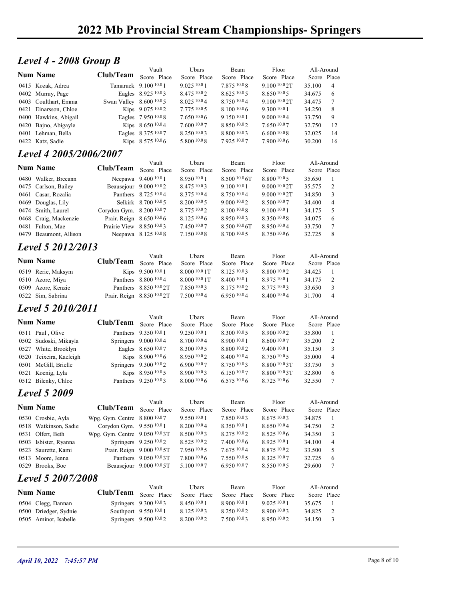#### Level 4 - 2008 Group B

|                                            |                           |                        |                            | 2022 Mb Provincial Stream Championships-Springers |                            |                           |                       |  |
|--------------------------------------------|---------------------------|------------------------|----------------------------|---------------------------------------------------|----------------------------|---------------------------|-----------------------|--|
|                                            |                           |                        |                            |                                                   |                            |                           |                       |  |
|                                            |                           |                        |                            |                                                   |                            |                           |                       |  |
|                                            |                           |                        |                            |                                                   |                            |                           |                       |  |
|                                            |                           |                        |                            |                                                   |                            |                           |                       |  |
|                                            |                           |                        |                            |                                                   |                            |                           |                       |  |
|                                            |                           |                        |                            |                                                   |                            |                           |                       |  |
|                                            |                           |                        |                            |                                                   |                            |                           |                       |  |
|                                            |                           |                        |                            |                                                   |                            |                           |                       |  |
|                                            |                           |                        |                            |                                                   |                            |                           |                       |  |
|                                            |                           |                        |                            |                                                   |                            |                           |                       |  |
|                                            |                           |                        |                            |                                                   |                            |                           |                       |  |
|                                            |                           |                        |                            |                                                   |                            |                           |                       |  |
|                                            |                           |                        |                            |                                                   |                            |                           |                       |  |
|                                            |                           |                        |                            |                                                   |                            |                           |                       |  |
|                                            |                           |                        |                            |                                                   |                            |                           |                       |  |
|                                            |                           |                        |                            |                                                   |                            |                           |                       |  |
|                                            |                           |                        |                            |                                                   |                            |                           |                       |  |
|                                            |                           |                        |                            |                                                   |                            |                           |                       |  |
|                                            |                           |                        |                            |                                                   |                            |                           |                       |  |
| Level 4 - 2008 Group B                     |                           |                        |                            |                                                   |                            |                           |                       |  |
| <b>Num Name</b>                            | Club/Team                 | Vault<br>Score Place   | Ubars<br>Score Place       | Beam<br>Score Place                               | Floor<br>Score Place       | All-Around<br>Score Place |                       |  |
| 0415 Kozak, Adrea                          |                           | Tamarack 9.100 10.0 1  | 9.025 10.0 1               | 7.875 10.08                                       | 9.100 10.0 2T              | 35.100                    | $\overline{4}$        |  |
| 0402 Murray, Page                          |                           | Eagles 8.925 10.03     | 8.475 10.02                | 8.625 10.0 5                                      | 8.650 10.05                | 34.675                    | 6                     |  |
| 0403 Coulthart, Emma                       | Swan Valley 8.600 10.0 5  |                        | 8.025 10.04                | 8.750 10.04                                       | 9.100 10.0 2T              | 34.475                    | $\tau$                |  |
| 0421 Einarsson, Chloe                      |                           | Kips 9.075 10.02       | 7.775 10.0 5               | 8.100 10.0 6                                      | 9.300 10.0 1               | 34.250                    | 8                     |  |
| 0400 Hawkins, Abigail                      |                           | Eagles 7.950 10.08     | 7.65010.06                 | 9.150 10.0 1                                      | 9.000 10.04                | 33.750                    | 9                     |  |
| 0420 Bajno, Abigayle                       |                           | Kips 8.650 10.04       | 7.600 10.07                | 8.850 10.02                                       | 7.650 10.07                | 32.750                    | 12                    |  |
| 0401 Lehman, Bella                         |                           | Eagles 8.375 10.07     | 8.250 10.03                | 8.800 10.03                                       | 6.60010.08                 | 32.025                    | 14                    |  |
| 0422 Katz, Sadie                           |                           | Kips 8.575 10.06       | 5.800 10.08                | 7.925 10.07                                       | 7.900 10.06                | 30.200                    | 16                    |  |
|                                            |                           |                        |                            |                                                   |                            |                           |                       |  |
| Level 4 2005/2006/2007                     |                           | Vault                  | Ubars                      | Beam                                              | Floor                      | All-Around                |                       |  |
|                                            |                           |                        | Score Place                | Score Place                                       | Score Place                | Score Place               |                       |  |
| <b>Num Name</b>                            | Club/Team                 | Score Place            |                            |                                                   | 8.800 10.0 5               | 35.650                    | -1                    |  |
| 0480 Walker, Breeann                       |                           | Neepawa 9.400 10.0 1   | 8.950 10.0 1               | 8.500 10.0 6T                                     |                            |                           | 2                     |  |
| 0475 Carlson, Bailey                       |                           | Beausejour 9.000 10.02 | 8.475 10.03                | 9.100 10.0 1                                      | 9.000 10.0 2T              | 35.575                    |                       |  |
| 0461 Casar, Rozalia                        |                           | Panthers 8.725 10.04   | 8.375 10.04                | 8.750 10.04                                       | 9.000 10.0 2T              | 34.850                    | 3                     |  |
| 0469 Douglas, Lily                         |                           | Selkirk 8.700 10.0 5   | 8.200 10.0 5               | 9.000 10.02                                       | 8.500 10.07                | 34.400                    | $\overline{4}$        |  |
| 0474 Smith, Laurel                         | Corydon Gym. 8.200 10.07  |                        | 8.775 10.02                | 8.100 10.08                                       | 9.100 10.0 1               | 34.175                    | 5                     |  |
| 0468 Craig, Mackenzie                      | Prair. Reign 8.650 10.0 6 |                        | 8.125 10.0 6               | 8.950 10.03                                       | 8.350 10.08                | 34.075                    | 6                     |  |
| 0481 Fulton, Mae<br>0479 Beaumont, Allison | Prairie View 8.850 10.03  | Neepawa 8.125 10.08    | 7.450 10.07<br>7.150 10.08 | 8.500 10.0 6T<br>8.700 10.0 5                     | 8.950 10.04<br>8.750 10.06 | 33.750<br>32.725          | $\boldsymbol{7}$<br>8 |  |

#### Level 4 2005/2006/2007

|                          | 2022 Mb Provincial Stream Championships-Springers |                             |                |                  |                  |             |                 |
|--------------------------|---------------------------------------------------|-----------------------------|----------------|------------------|------------------|-------------|-----------------|
| Level 4 - 2008 Group B   |                                                   |                             |                |                  |                  |             |                 |
|                          |                                                   | Vault                       | Ubars          | Beam             | Floor            | All-Around  |                 |
| <b>Num Name</b>          | Club/Team                                         | Score Place                 | Score Place    | Score Place      | Score Place      | Score Place |                 |
| 0415 Kozak, Adrea        |                                                   | Tamarack 9.100 10.0 1       | 9.025 10.0 1   | 7.875 10.08      | 9.100 10.0 2T    | 35.100      | $\overline{4}$  |
| 0402 Murray, Page        |                                                   | Eagles 8.925 10.03          | 8.475 10.0 2   | 8.62510.05       | 8.65010005       | 34.675      | 6               |
| 0403 Coulthart, Emma     | Swan Valley 8.600 10.0 5                          |                             | 8.02510.04     | 8.750 10.04      | $9.100\,10.02$ T | 34.475      | 7               |
| 0421 Einarsson, Chloe    |                                                   | Kips 9.075 10.02            | 7.775 10.0 5   | 8.100 10.0 6     | 9.300 10.0 1     | 34.250      | 8               |
| 0400 Hawkins, Abigail    |                                                   | Eagles 7.950 10.0 8         | 7.65010.06     | 9.150 10.0 1     | 9.000 10.04      | 33.750      | 9               |
| 0420 Bajno, Abigayle     |                                                   | Kips 8.650 10.04            | 7.600 10.0 7   | 8.850 10.02      | 7.650 10.07      | 32.750      | 12              |
| 0401 Lehman, Bella       |                                                   | Eagles 8.375 10.07          | 8.250 10.03    | 8.800 10.03      | 6.6001008        | 32.025      | 14              |
| 0422 Katz, Sadie         |                                                   | Kips 8.575 10.06            | 5.800 10.0 8   | 7.925 10.07      | 7.900 10.06      | 30.200      | 16              |
|                          |                                                   |                             |                |                  |                  |             |                 |
| Level 4 2005/2006/2007   |                                                   |                             |                |                  |                  |             |                 |
| <b>Num Name</b>          | Club/Team                                         | Vault                       | Ubars          | Beam             | Floor            | All-Around  |                 |
|                          |                                                   | Score Place                 | Score Place    | Score Place      | Score Place      | Score Place |                 |
| 0480 Walker, Breeann     |                                                   | Neepawa 9.400 10.0 1        | 8.950 10.0 1   | 8.500 10.0 6T    | 8.800 10.0 5     | 35.650      | - 1             |
| 0475 Carlson, Bailey     |                                                   | Beausejour 9.000 10.02      | 8.475 10.03    | 9.100 10.0 1     | 9.000 10.0 2T    | 35.575      | 2               |
| 0461 Casar, Rozalia      |                                                   | Panthers 8.725 10.04        | 8.375 10.04    | 8.750 10.04      | 9.0001002        | 34.850      | 3               |
| 0469 Douglas, Lily       |                                                   | Selkirk 8.700 10.0 5        | 8.200 10.0 5   | 9.000 10.02      | 8.500 10.07      | 34.400      | $\overline{4}$  |
| 0474 Smith, Laurel       | Corydon Gym. 8.200 10.07                          |                             | 8.775 10.02    | 8.100 10.08      | 9.100 10.0 1     | 34.175      | 5               |
| 0468 Craig, Mackenzie    | Prair. Reign 8.650 10.0 6                         |                             | $8.125\,10.06$ | 8.950 10.03      | 8.350 10.08      | 34.075      | 6               |
| 0481 Fulton, Mae         | Prairie View 8.850 10.03                          |                             | 7.450 10.07    | $8.500\,10.06$ T | 8.950 10.04      | 33.750      | $\tau$          |
| 0479 Beaumont, Allison   |                                                   | Neepawa 8.125 10.08         | 7.150 10.0 8   | 8.700 10.0 5     | 8.750 10.06      | 32.725      | 8               |
| <b>Level 5 2012/2013</b> |                                                   |                             |                |                  |                  |             |                 |
|                          |                                                   | Vault                       | Ubars          | Beam             | Floor            | All-Around  |                 |
| <b>Num Name</b>          | Club/Team                                         | Score Place                 | Score Place    | Score Place      | Score Place      | Score Place |                 |
| 0519 Rerie, Maksym       |                                                   | Kips 9.500 10.0 1           | 8.000 10.0 1T  | 8.125 10.03      | 8.800 10.02      | 34.425      | -1              |
| 0510 Azore, Miya         |                                                   | Panthers 8.800 10.04        | 8.000 10.0 1T  | 8.400 10.0 1     | 8.975 10.0 1     | 34.175      | 2               |
| 0509 Azore, Kenzie       |                                                   | Panthers 8.850 10.0 2T      | 7.850 10.03    | 8.175 10.02      | 8.775 10.03      | 33.650      | 3               |
| 0522 Sim, Sabrina        |                                                   | Prair. Reign 8.850 10.0 2T  | 7.500 10.0 4   | 6.950 10.04      | 8.400 10.04      | 31.700      | $\overline{4}$  |
|                          |                                                   |                             |                |                  |                  |             |                 |
| Level 5 2010/2011        |                                                   |                             |                |                  |                  |             |                 |
| Num Name                 |                                                   | Vault                       | Ubars          | Beam             | Floor            | All-Around  |                 |
|                          | Club/Team                                         | Score Place                 | Score Place    | Score Place      | Score Place      | Score Place |                 |
| 0511 Paul, Olive         |                                                   | Panthers 9.350 10.0 1       | 9.250 10.0 1   | 8.300 10.0 5     | $8.900\ 10.02$   | 35.800      |                 |
| 0502 Sudoski, Mikayla    |                                                   | Springers 9.000 10.0 4      | 8.700 10.04    | 8.900 10.0 1     | 8.600 10.07      | 35.200      | $\overline{c}$  |
| 0527 White, Brooklyn     |                                                   | Eagles 8.650 10.07          | 8.300 10.0 5   | 8.800 10.02      | 9.400 10.0 1     | 35.150      | 3               |
| 0520 Teixeira, Kaeleigh  |                                                   | Kips 8.900 10.0 6           | 8.950 10.02    | 8.400 10.04      | 8.750 10.05      | 35.000      | $\overline{4}$  |
| 0501 McGill, Brielle     |                                                   | Springers $9.300\,^{10.0}2$ | $6.900\,10.07$ | 8.750 10.03      | 8.800 10.0 3T    | 33.750      | 5               |
| 0521 Koenig, Lyla        |                                                   | Kips 8.950 10.05            | 8.900 10.03    | 6.150 10.07      | 8.800 10.0 3T    | 32.800      | 6               |
| 0512 Bilenky, Chloe      |                                                   | Panthers 9.250 10.03        | 8.0001006      | $6.575\,10.06$   | 8.725 10.06      | 32.550      | $7\phantom{.0}$ |
| <b>Level 5 2009</b>      |                                                   |                             |                |                  |                  |             |                 |
|                          |                                                   | Vault                       | Ubars          | Beam             | Floor            | All-Around  |                 |
| <b>Num Name</b>          | Club/Team                                         | Score Place                 | Score Place    | Score Place      | Score Place      | Score Place |                 |
| 0530 Crosbie, Ayla       | Wpg. Gym. Centre 8.800 10.07                      |                             | 9.550 10.0 1   | 7.850 10.03      | 8.675 10.03      | 34.875 1    |                 |

## **Level 5 2012/2013**

|                    |           | Vault                        | Ubars          | Beam        | Floor.      | All-Around  |                |
|--------------------|-----------|------------------------------|----------------|-------------|-------------|-------------|----------------|
| <b>Num Name</b>    | Club/Team | Score Place                  | Score Place    | Score Place | Score Place | Score Place |                |
| 0519 Rerie, Maksym |           | Kips $9.50010.01$            | 8.000 10.0 1 T | 8.12510.03  | 8.800 10.02 | 34.425      |                |
| 0510 Azore, Miya   |           | Panthers 8.800 10.0 4        | $8.0001001$ T  | 8.40010.01  | 8.975 10.01 | 34.175      |                |
| 0509 Azore, Kenzie |           | Panthers 8.850 10.0 2T       | 7.850 10.03    | 8.17510.02  | 8.77510.03  | 33.650      |                |
| 0522 Sim, Sabrina  |           | Prair. Reign $8.850\,10.02T$ | 7.50010.04     | 6.95010.04  | 8.400 10.04 | 31.700      | $\overline{4}$ |
|                    |           |                              |                |             |             |             |                |

#### Level 5 2010/2011

| 0475 Carlson, Bailey    | Beausejour 9.000 10.02        |                                   | 8.475 10.03          | 9.100 10.0 1        | 9.000 10.0 2T        | 35.575                    | 2                        |
|-------------------------|-------------------------------|-----------------------------------|----------------------|---------------------|----------------------|---------------------------|--------------------------|
| 0461 Casar, Rozalia     |                               | Panthers 8.725 10.04              | 8.375 10.04          | 8.750 10.04         | 9.000 10.0 2T        | 34.850                    | 3                        |
| 0469 Douglas, Lily      |                               | Selkirk 8.700 10.0 5              | 8.200 10.0 5         | 9.000 10.02         | 8.500 10.07          | 34.400                    | $\overline{\mathcal{L}}$ |
| 0474 Smith, Laurel      | Corydon Gym. 8.200 10.07      |                                   | 8.775 10.02          | 8.100 10.08         | 9.100 10.0 1         | 34.175                    | 5                        |
| 0468 Craig, Mackenzie   | Prair. Reign 8.650 10.0 6     |                                   | $8.125\,10.06$       | 8.950 10.03         | 8.350 10.08          | 34.075                    | 6                        |
| 0481 Fulton, Mae        | Prairie View 8.850 10.03      |                                   | 7.450 10.07          | 8.500 10.0 6T       | 8.950 10.04          | 33.750                    | 7                        |
| 0479 Beaumont, Allison  |                               | Neepawa 8.125 10.08               | 7.150 10.0 8         | 8.700 10.0 5        | 8.750 10.0 6         | 32.725                    | 8                        |
| Level 5 2012/2013       |                               |                                   |                      |                     |                      |                           |                          |
|                         |                               | Vault                             | Ubars                | Beam                | Floor                | All-Around                |                          |
| <b>Num Name</b>         | Club/Team Score Place         |                                   | Score Place          | Score Place         | Score Place          | Score Place               |                          |
| 0519 Rerie, Maksym      |                               | Kips 9.500 10.0 1                 | 8.000 10.0 1T        | 8.125 10.03         | 8.800 10.02          | 34.425                    |                          |
| 0510 Azore, Miya        |                               | Panthers 8.800 10.04              | 8.000 10.0 1T        | 8.400 10.0 1        | 8.975 10.0 1         | 34.175                    | 2                        |
| 0509 Azore, Kenzie      |                               | Panthers 8.850 10.0 2T            | 7.850 10.03          | 8.175 10.02         | 8.775 10.03          | 33.650                    | 3                        |
| 0522 Sim, Sabrina       |                               | Prair. Reign 8.850 10.0 2T        | 7.500 10.0 4         | 6.950 10.04         | 8.400 10.04          | 31.700 4                  |                          |
| Level 5 2010/2011       |                               |                                   |                      |                     |                      |                           |                          |
|                         |                               | Vault                             | Ubars                | Beam                | Floor                | All-Around                |                          |
| Num Name                | Club/Team                     | Score Place                       | Score Place          | Score Place         | Score Place          | Score Place               |                          |
| 0511 Paul, Olive        |                               | Panthers 9.350 10.0 1             | 9.250 10.0 1         | 8.300 10.0 5        | 8.900 10.02          | 35.800                    |                          |
| 0502 Sudoski, Mikayla   |                               | Springers 9.000 10.04             | 8.700 10.04          | 8.900 10.0 1        | 8.600 10.07          | 35.200                    | 2                        |
| 0527 White, Brooklyn    |                               | Eagles 8.650 10.07                | 8.300 10.0 5         | 8.800 10.02         | 9.400 10.0 1         | 35.150                    | 3                        |
| 0520 Teixeira, Kaeleigh |                               | Kips 8.900 10.06                  | 8.950 10.02          | 8.400 10.04         | 8.750 10.05          | 35.000                    | $\overline{4}$           |
| 0501 McGill, Brielle    |                               | Springers 9.300 <sup>10.0</sup> 2 | 6.90010007           | 8.750 10.03         | 8.800 10.0 3T        | 33.750                    | 5                        |
| 0521 Koenig, Lyla       |                               | Kips 8.950 10.05                  | 8.900 10.03          | 6.150 10.07         | 8.800 10.0 3T        | 32.800                    | 6                        |
| 0512 Bilenky, Chloe     |                               | Panthers 9.250 10.03              | $8.000\,10.06$       | $6.575\,10.06$      | $8.725\ 10.06$       | 32.550                    | 7                        |
| <b>Level 5 2009</b>     |                               |                                   |                      |                     |                      |                           |                          |
| Num Name                | Club/Team Score Place         | Vault                             | Ubars<br>Score Place | Beam<br>Score Place | Floor<br>Score Place | All-Around<br>Score Place |                          |
| 0530 Crosbie, Ayla      | Wpg. Gym. Centre 8.800 10.07  |                                   | 9.550 10.0 1         | 7.850 10.03         | 8.675 10.03          | 34.875                    |                          |
| 0518 Watkinson, Sadie   | Corydon Gym. 9.550 10.01      |                                   | 8.200 10.0 4         | 8.350 10.0 1        | 8.650 10.04          | 34.750                    | 2                        |
| 0531 Olfert, Beth       | Wpg. Gym. Centre 9.050 10.03T |                                   | 8.500 10.03          | 8.275 10.02         | 8.525 10.06          | 34.350                    | 3                        |
| 0503 Isbister, Ryanna   |                               | Springers 9.250 10.02             | 8.525 10.02          | 7.400 10.0 6        | 8.925 10.0 1         | 34.100                    | $\overline{4}$           |
| 0523 Saurette, Kami     |                               | Prair. Reign 9.000 10.0 5T        | 7.950 10.0 5         | 7.675 10.04         | 8.875 10.02          | 33.500                    | 5                        |
| 0513 Moore, Jenna       |                               | Panthers 9.050 10.03T             | 7.800 10.0 6         | 7.550 10.05         | 8.325 10.07          | 32.725                    | 6                        |
|                         |                               |                                   | 5.100 10.0 7         | 6.950 10.07         | 8.550 10.05          | 29.600                    |                          |
| 0529 Brooks, Boe        |                               | Beausejour 9.000 10.0 5T          |                      |                     |                      |                           |                          |

#### Level 5 2009

| $0 - 1$ unon, $ma$        |                               | 0.000                             | 7.700          | 0.500<br>$\mathbf{u}$ | 0.750            | <i>JJ.IJ</i> V |                         |              |  |
|---------------------------|-------------------------------|-----------------------------------|----------------|-----------------------|------------------|----------------|-------------------------|--------------|--|
| 0479 Beaumont, Allison    |                               | Neepawa 8.125 10.08               | 7.150 10.0 8   | 8.700 10.0 5          | 8.750 10.06      | 32.725         | 8                       |              |  |
| Level 5 2012/2013         |                               |                                   |                |                       |                  |                |                         |              |  |
|                           |                               | Vault                             | Ubars          | Beam                  | Floor            | All-Around     |                         |              |  |
| <b>Num Name</b>           | Club/Team Score Place         |                                   | Score Place    | Score Place           | Score Place      | Score Place    |                         |              |  |
| 0519 Rerie, Maksym        |                               | Kips 9.500 10.0 1                 | 8.000 10.0 1T  | 8.125 10.03           | 8.800 10.02      | 34.425         | -1                      |              |  |
| 0510 Azore, Miya          |                               | Panthers 8.800 10.0 4             | 8.000 10.0 1T  | 8.400 10.0 1          | 8.975 10.01      | 34.175         | 2                       |              |  |
| 0509 Azore, Kenzie        |                               | Panthers 8.850 10.0 2T            | 7.850 10.03    | 8.175 10.02           | 8.775 10.03      | 33.650         | 3                       |              |  |
| 0522 Sim, Sabrina         | Prair. Reign 8.850 10.0 2T    |                                   | 7.500 10.04    | 6.950 10.04           | 8.400 10.04      | 31.700         | $\overline{4}$          |              |  |
| Level 5 2010/2011         |                               |                                   |                |                       |                  |                |                         |              |  |
|                           |                               | Vault                             | Ubars          | Beam                  | Floor            | All-Around     |                         |              |  |
| <b>Num Name</b>           | Club/Team Score Place         |                                   | Score Place    | Score Place           | Score Place      | Score Place    |                         |              |  |
| 0511 Paul, Olive          |                               | Panthers 9.350 10.0 1             | 9.250 10.0 1   | 8.300 10.0 5          | 8.900 10.02      | 35.800         |                         |              |  |
| 0502 Sudoski, Mikayla     |                               | Springers 9.000 10.0 4            | 8.700 10.0 4   | 8.900 10.0 1          | 8.600 10.07      | 35.200         | 2                       |              |  |
| 0527 White, Brooklyn      |                               | Eagles 8.650 10.07                | 8.300 10.0 5   | 8.800 10.02           | 9.400 10.0 1     | 35.150         | 3                       |              |  |
| 0520 Teixeira, Kaeleigh   |                               | Kips 8.900 10.0 6                 | 8.950 10.02    | 8.400 10.04           | 8.750 10.05      | 35.000         | 4                       |              |  |
| 0501 McGill, Brielle      |                               | Springers 9.300 <sup>10.0</sup> 2 | 6.900 10.07    | 8.750 10.03           | $8.800\,10.03$ T | 33.750         | 5                       |              |  |
| 0521 Koenig, Lyla         |                               | Kips 8.950 10.05                  | 8.900 10.0 3   | 6.150 10.07           | 8.800 10.0 3T    | 32.800         | 6                       |              |  |
| 0512 Bilenky, Chloe       |                               | Panthers 9.250 10.03              | $8.000\,10.06$ | $6.575\,10.06$        | $8.725\ 10.06$   | 32.550         | $\tau$                  |              |  |
| <b>Level 5 2009</b>       |                               |                                   |                |                       |                  |                |                         |              |  |
|                           |                               | Vault                             | Ubars          | Beam                  | Floor            | All-Around     |                         |              |  |
| <b>Num Name</b>           | Club/Team Score Place         |                                   | Score Place    | Score Place           | Score Place      | Score Place    |                         |              |  |
| 0530 Crosbie, Ayla        | Wpg. Gym. Centre 8.800 10.07  |                                   | 9.5501001      | 7.850 10.03           | 8.675 10.03      | 34.875         | - 1                     |              |  |
| 0518 Watkinson, Sadie     | Corydon Gym. 9.550 10.0 1     |                                   | 8.200 10.0 4   | 8.350 10.01           | 8.650 10.04      | 34.750         | 2                       |              |  |
| 0531 Olfert, Beth         | Wpg. Gym. Centre 9.050 10.03T |                                   | 8.5001003      | 8.275 10.02           | 8.525 10.06      | 34.350         | 3                       |              |  |
| 0503 Isbister, Ryanna     |                               | Springers 9.250 10.02             | 8.525 10.02    | 7.400 10.0 6          | 8.925 10.01      | 34.100         | $\overline{4}$          |              |  |
| 0523 Saurette, Kami       |                               | Prair. Reign 9.000 10.0 5T        | 7.950 10.0 5   | 7.675 10.04           | 8.875 10.02      | 33.500         | 5                       |              |  |
| 0513 Moore, Jenna         |                               | Panthers 9.050 10.03T             | 7.800 10.0 6   | 7.550 10.05           | 8.325 10.07      | 32.725         | 6                       |              |  |
| 0529 Brooks, Boe          |                               | Beausejour 9.000 10.0 5T          | 5.100 10.0 7   | 6.950 10.07           | 8.550 10.05      | 29.600         | 7                       |              |  |
| <b>Level 5 2007/2008</b>  |                               |                                   |                |                       |                  |                |                         |              |  |
|                           |                               | Vault                             | Ubars          | Beam                  | Floor            | All-Around     |                         |              |  |
| <b>Num Name</b>           | Club/Team Score Place         |                                   | Score Place    | Score Place           | Score Place      | Score Place    |                         |              |  |
| 0504 Clegg, Dannan        |                               | Springers 9.300 10.03             | 8.450 10.0 1   | 8.900 10.0 1          | 9.025 10.0 1     | 35.675         | -1                      |              |  |
| 0500 Driedger, Sydnie     |                               | Southport 9.550 10.0 1            | 8.125 10.03    | 8.250 10.02           | 8.900 10.03      | 34.825         | 2                       |              |  |
| 0505 Aminot, Isabelle     |                               | Springers 9.500 10.02             | 8.200110.02    | 7.500 10.03           | 8.950 10.02      | 34.150         | $\overline{\mathbf{3}}$ |              |  |
|                           |                               |                                   |                |                       |                  |                |                         |              |  |
| April 10, 2022 7:45:57 PM |                               |                                   |                |                       |                  |                |                         | Page 8 of 10 |  |

| <b>Num Name</b>       | Club/Team | Vault<br>Score Place     | Ubars<br>Score Place | Beam<br>Score Place | Floor<br>Score Place | All-Around<br>Score Place |  |
|-----------------------|-----------|--------------------------|----------------------|---------------------|----------------------|---------------------------|--|
| 0504 Clegg, Dannan    |           | Springers $9.300\,10.03$ | 8.450 10.0 1         | 8.900 10.0 1        | 9.0251001            | 35.675                    |  |
| 0500 Driedger, Sydnie |           | Southport 9.550 10.0 1   | 8.125 10.03          | 8.250 10.02         | 8.900 10.03          | 34.825                    |  |
| 0505 Aminot, Isabelle |           | Springers 9.500 10.02    | 8.200 10.0 2         | 7.500 10.03         | 8.950 10.02          | 34.150                    |  |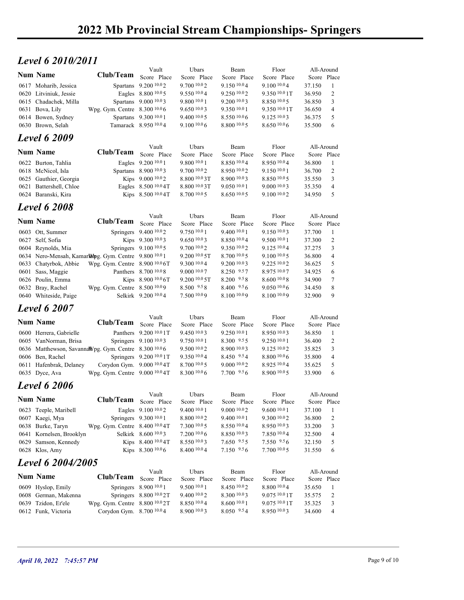# **Level 6 2010/2011** Vault Ubars

|                         | 2022 Mb Provincial Stream Championships-Springers                                                                                                                                                                                                                                                                                                                                                                                                        |                                                                    |                                                                                                                                                                                                                                                                                                                                                                                                                                                                                                                                                                                                                                                                                                                                                                                                                                                                                                                                                                                                                                                                                                                                                                                     |                                                                                                                                                                                                                                                                                                                                                       |                                                                                                                                                                                                                                                                                                          |                                                                                                                                                                                                                                                                                                                   |                                                                                                                                                                                  |                                                                                                                                                                                                                                                                 |
|-------------------------|----------------------------------------------------------------------------------------------------------------------------------------------------------------------------------------------------------------------------------------------------------------------------------------------------------------------------------------------------------------------------------------------------------------------------------------------------------|--------------------------------------------------------------------|-------------------------------------------------------------------------------------------------------------------------------------------------------------------------------------------------------------------------------------------------------------------------------------------------------------------------------------------------------------------------------------------------------------------------------------------------------------------------------------------------------------------------------------------------------------------------------------------------------------------------------------------------------------------------------------------------------------------------------------------------------------------------------------------------------------------------------------------------------------------------------------------------------------------------------------------------------------------------------------------------------------------------------------------------------------------------------------------------------------------------------------------------------------------------------------|-------------------------------------------------------------------------------------------------------------------------------------------------------------------------------------------------------------------------------------------------------------------------------------------------------------------------------------------------------|----------------------------------------------------------------------------------------------------------------------------------------------------------------------------------------------------------------------------------------------------------------------------------------------------------|-------------------------------------------------------------------------------------------------------------------------------------------------------------------------------------------------------------------------------------------------------------------------------------------------------------------|----------------------------------------------------------------------------------------------------------------------------------------------------------------------------------|-----------------------------------------------------------------------------------------------------------------------------------------------------------------------------------------------------------------------------------------------------------------|
|                         |                                                                                                                                                                                                                                                                                                                                                                                                                                                          |                                                                    |                                                                                                                                                                                                                                                                                                                                                                                                                                                                                                                                                                                                                                                                                                                                                                                                                                                                                                                                                                                                                                                                                                                                                                                     |                                                                                                                                                                                                                                                                                                                                                       |                                                                                                                                                                                                                                                                                                          |                                                                                                                                                                                                                                                                                                                   |                                                                                                                                                                                  |                                                                                                                                                                                                                                                                 |
|                         |                                                                                                                                                                                                                                                                                                                                                                                                                                                          |                                                                    |                                                                                                                                                                                                                                                                                                                                                                                                                                                                                                                                                                                                                                                                                                                                                                                                                                                                                                                                                                                                                                                                                                                                                                                     |                                                                                                                                                                                                                                                                                                                                                       |                                                                                                                                                                                                                                                                                                          |                                                                                                                                                                                                                                                                                                                   |                                                                                                                                                                                  |                                                                                                                                                                                                                                                                 |
|                         |                                                                                                                                                                                                                                                                                                                                                                                                                                                          | Vault                                                              | Ubars                                                                                                                                                                                                                                                                                                                                                                                                                                                                                                                                                                                                                                                                                                                                                                                                                                                                                                                                                                                                                                                                                                                                                                               | Beam                                                                                                                                                                                                                                                                                                                                                  | Floor                                                                                                                                                                                                                                                                                                    |                                                                                                                                                                                                                                                                                                                   |                                                                                                                                                                                  |                                                                                                                                                                                                                                                                 |
|                         |                                                                                                                                                                                                                                                                                                                                                                                                                                                          | Score Place                                                        | Score Place                                                                                                                                                                                                                                                                                                                                                                                                                                                                                                                                                                                                                                                                                                                                                                                                                                                                                                                                                                                                                                                                                                                                                                         | Score Place                                                                                                                                                                                                                                                                                                                                           | Score Place                                                                                                                                                                                                                                                                                              |                                                                                                                                                                                                                                                                                                                   |                                                                                                                                                                                  |                                                                                                                                                                                                                                                                 |
|                         |                                                                                                                                                                                                                                                                                                                                                                                                                                                          |                                                                    |                                                                                                                                                                                                                                                                                                                                                                                                                                                                                                                                                                                                                                                                                                                                                                                                                                                                                                                                                                                                                                                                                                                                                                                     |                                                                                                                                                                                                                                                                                                                                                       |                                                                                                                                                                                                                                                                                                          |                                                                                                                                                                                                                                                                                                                   |                                                                                                                                                                                  |                                                                                                                                                                                                                                                                 |
| 0615 Chadachek, Milla   |                                                                                                                                                                                                                                                                                                                                                                                                                                                          |                                                                    | 9.800 10.0 1                                                                                                                                                                                                                                                                                                                                                                                                                                                                                                                                                                                                                                                                                                                                                                                                                                                                                                                                                                                                                                                                                                                                                                        | 9.200 10.03                                                                                                                                                                                                                                                                                                                                           | 8.850 10.05                                                                                                                                                                                                                                                                                              | 36.850                                                                                                                                                                                                                                                                                                            | 3                                                                                                                                                                                |                                                                                                                                                                                                                                                                 |
| 0631 Bova, Lily         |                                                                                                                                                                                                                                                                                                                                                                                                                                                          |                                                                    | 9.6501003                                                                                                                                                                                                                                                                                                                                                                                                                                                                                                                                                                                                                                                                                                                                                                                                                                                                                                                                                                                                                                                                                                                                                                           | 9.350 10.0 1                                                                                                                                                                                                                                                                                                                                          | 9.350 10.0 1T                                                                                                                                                                                                                                                                                            | 36.650                                                                                                                                                                                                                                                                                                            | $\overline{4}$                                                                                                                                                                   |                                                                                                                                                                                                                                                                 |
| 0630 Brown, Selah       |                                                                                                                                                                                                                                                                                                                                                                                                                                                          |                                                                    | $9.100\,10.06$                                                                                                                                                                                                                                                                                                                                                                                                                                                                                                                                                                                                                                                                                                                                                                                                                                                                                                                                                                                                                                                                                                                                                                      | 8.800 10.0 5                                                                                                                                                                                                                                                                                                                                          | 8.650 10.06                                                                                                                                                                                                                                                                                              | 35.500                                                                                                                                                                                                                                                                                                            | 6                                                                                                                                                                                |                                                                                                                                                                                                                                                                 |
|                         |                                                                                                                                                                                                                                                                                                                                                                                                                                                          |                                                                    |                                                                                                                                                                                                                                                                                                                                                                                                                                                                                                                                                                                                                                                                                                                                                                                                                                                                                                                                                                                                                                                                                                                                                                                     |                                                                                                                                                                                                                                                                                                                                                       |                                                                                                                                                                                                                                                                                                          |                                                                                                                                                                                                                                                                                                                   |                                                                                                                                                                                  |                                                                                                                                                                                                                                                                 |
|                         |                                                                                                                                                                                                                                                                                                                                                                                                                                                          | Vault                                                              | Ubars                                                                                                                                                                                                                                                                                                                                                                                                                                                                                                                                                                                                                                                                                                                                                                                                                                                                                                                                                                                                                                                                                                                                                                               | Beam                                                                                                                                                                                                                                                                                                                                                  | Floor                                                                                                                                                                                                                                                                                                    |                                                                                                                                                                                                                                                                                                                   |                                                                                                                                                                                  |                                                                                                                                                                                                                                                                 |
|                         |                                                                                                                                                                                                                                                                                                                                                                                                                                                          |                                                                    | Score Place                                                                                                                                                                                                                                                                                                                                                                                                                                                                                                                                                                                                                                                                                                                                                                                                                                                                                                                                                                                                                                                                                                                                                                         | Score Place                                                                                                                                                                                                                                                                                                                                           | Score Place                                                                                                                                                                                                                                                                                              |                                                                                                                                                                                                                                                                                                                   |                                                                                                                                                                                  |                                                                                                                                                                                                                                                                 |
| 0618 McNicol, Isla      |                                                                                                                                                                                                                                                                                                                                                                                                                                                          |                                                                    | 9.7001002                                                                                                                                                                                                                                                                                                                                                                                                                                                                                                                                                                                                                                                                                                                                                                                                                                                                                                                                                                                                                                                                                                                                                                           | 8.950 10.02                                                                                                                                                                                                                                                                                                                                           | 9.1501001                                                                                                                                                                                                                                                                                                | 36.700                                                                                                                                                                                                                                                                                                            | 2                                                                                                                                                                                |                                                                                                                                                                                                                                                                 |
| 0625 Gauthier, Georgia  |                                                                                                                                                                                                                                                                                                                                                                                                                                                          |                                                                    | 8.800 10.0 3T                                                                                                                                                                                                                                                                                                                                                                                                                                                                                                                                                                                                                                                                                                                                                                                                                                                                                                                                                                                                                                                                                                                                                                       | 8.900 10.03                                                                                                                                                                                                                                                                                                                                           | 8.850 10.05                                                                                                                                                                                                                                                                                              | 35.550                                                                                                                                                                                                                                                                                                            | 3                                                                                                                                                                                |                                                                                                                                                                                                                                                                 |
|                         |                                                                                                                                                                                                                                                                                                                                                                                                                                                          |                                                                    |                                                                                                                                                                                                                                                                                                                                                                                                                                                                                                                                                                                                                                                                                                                                                                                                                                                                                                                                                                                                                                                                                                                                                                                     |                                                                                                                                                                                                                                                                                                                                                       |                                                                                                                                                                                                                                                                                                          |                                                                                                                                                                                                                                                                                                                   |                                                                                                                                                                                  |                                                                                                                                                                                                                                                                 |
|                         |                                                                                                                                                                                                                                                                                                                                                                                                                                                          |                                                                    |                                                                                                                                                                                                                                                                                                                                                                                                                                                                                                                                                                                                                                                                                                                                                                                                                                                                                                                                                                                                                                                                                                                                                                                     |                                                                                                                                                                                                                                                                                                                                                       |                                                                                                                                                                                                                                                                                                          |                                                                                                                                                                                                                                                                                                                   |                                                                                                                                                                                  |                                                                                                                                                                                                                                                                 |
|                         |                                                                                                                                                                                                                                                                                                                                                                                                                                                          |                                                                    |                                                                                                                                                                                                                                                                                                                                                                                                                                                                                                                                                                                                                                                                                                                                                                                                                                                                                                                                                                                                                                                                                                                                                                                     |                                                                                                                                                                                                                                                                                                                                                       |                                                                                                                                                                                                                                                                                                          |                                                                                                                                                                                                                                                                                                                   |                                                                                                                                                                                  |                                                                                                                                                                                                                                                                 |
| <b>Num Name</b>         |                                                                                                                                                                                                                                                                                                                                                                                                                                                          |                                                                    | Score Place                                                                                                                                                                                                                                                                                                                                                                                                                                                                                                                                                                                                                                                                                                                                                                                                                                                                                                                                                                                                                                                                                                                                                                         | Score Place                                                                                                                                                                                                                                                                                                                                           | Score Place                                                                                                                                                                                                                                                                                              |                                                                                                                                                                                                                                                                                                                   |                                                                                                                                                                                  |                                                                                                                                                                                                                                                                 |
| 0603 Ott, Summer        |                                                                                                                                                                                                                                                                                                                                                                                                                                                          |                                                                    | 9.750 10.0 1                                                                                                                                                                                                                                                                                                                                                                                                                                                                                                                                                                                                                                                                                                                                                                                                                                                                                                                                                                                                                                                                                                                                                                        | 9.400 10.0 1                                                                                                                                                                                                                                                                                                                                          | 9.150 10.03                                                                                                                                                                                                                                                                                              | 37.700                                                                                                                                                                                                                                                                                                            | $\mathbf{1}$                                                                                                                                                                     |                                                                                                                                                                                                                                                                 |
|                         |                                                                                                                                                                                                                                                                                                                                                                                                                                                          |                                                                    |                                                                                                                                                                                                                                                                                                                                                                                                                                                                                                                                                                                                                                                                                                                                                                                                                                                                                                                                                                                                                                                                                                                                                                                     | 9.350 10.02                                                                                                                                                                                                                                                                                                                                           | 9.125 10.04                                                                                                                                                                                                                                                                                              |                                                                                                                                                                                                                                                                                                                   |                                                                                                                                                                                  |                                                                                                                                                                                                                                                                 |
|                         |                                                                                                                                                                                                                                                                                                                                                                                                                                                          |                                                                    | 9.200 <sup>10.0</sup> 5T                                                                                                                                                                                                                                                                                                                                                                                                                                                                                                                                                                                                                                                                                                                                                                                                                                                                                                                                                                                                                                                                                                                                                            | 8.700 10.0 5                                                                                                                                                                                                                                                                                                                                          | $9.100\,10.05$                                                                                                                                                                                                                                                                                           | 36.800                                                                                                                                                                                                                                                                                                            | $\overline{4}$                                                                                                                                                                   |                                                                                                                                                                                                                                                                 |
| 0633 Chatyrbok, Abbie   |                                                                                                                                                                                                                                                                                                                                                                                                                                                          |                                                                    |                                                                                                                                                                                                                                                                                                                                                                                                                                                                                                                                                                                                                                                                                                                                                                                                                                                                                                                                                                                                                                                                                                                                                                                     |                                                                                                                                                                                                                                                                                                                                                       |                                                                                                                                                                                                                                                                                                          |                                                                                                                                                                                                                                                                                                                   | 5                                                                                                                                                                                |                                                                                                                                                                                                                                                                 |
|                         |                                                                                                                                                                                                                                                                                                                                                                                                                                                          |                                                                    | 9.200 10.0 5T                                                                                                                                                                                                                                                                                                                                                                                                                                                                                                                                                                                                                                                                                                                                                                                                                                                                                                                                                                                                                                                                                                                                                                       | 8.200 9.58                                                                                                                                                                                                                                                                                                                                            | 8.600 10.08                                                                                                                                                                                                                                                                                              |                                                                                                                                                                                                                                                                                                                   | 7                                                                                                                                                                                |                                                                                                                                                                                                                                                                 |
| 0632 Bray, Rachel       |                                                                                                                                                                                                                                                                                                                                                                                                                                                          |                                                                    | 8.500 9.58                                                                                                                                                                                                                                                                                                                                                                                                                                                                                                                                                                                                                                                                                                                                                                                                                                                                                                                                                                                                                                                                                                                                                                          | 8.400 9.56                                                                                                                                                                                                                                                                                                                                            | 9.050 10.06                                                                                                                                                                                                                                                                                              | 34.450                                                                                                                                                                                                                                                                                                            | 8                                                                                                                                                                                |                                                                                                                                                                                                                                                                 |
|                         |                                                                                                                                                                                                                                                                                                                                                                                                                                                          |                                                                    |                                                                                                                                                                                                                                                                                                                                                                                                                                                                                                                                                                                                                                                                                                                                                                                                                                                                                                                                                                                                                                                                                                                                                                                     |                                                                                                                                                                                                                                                                                                                                                       |                                                                                                                                                                                                                                                                                                          |                                                                                                                                                                                                                                                                                                                   |                                                                                                                                                                                  |                                                                                                                                                                                                                                                                 |
|                         |                                                                                                                                                                                                                                                                                                                                                                                                                                                          |                                                                    |                                                                                                                                                                                                                                                                                                                                                                                                                                                                                                                                                                                                                                                                                                                                                                                                                                                                                                                                                                                                                                                                                                                                                                                     |                                                                                                                                                                                                                                                                                                                                                       |                                                                                                                                                                                                                                                                                                          |                                                                                                                                                                                                                                                                                                                   |                                                                                                                                                                                  |                                                                                                                                                                                                                                                                 |
| <b>Num Name</b>         |                                                                                                                                                                                                                                                                                                                                                                                                                                                          |                                                                    |                                                                                                                                                                                                                                                                                                                                                                                                                                                                                                                                                                                                                                                                                                                                                                                                                                                                                                                                                                                                                                                                                                                                                                                     |                                                                                                                                                                                                                                                                                                                                                       |                                                                                                                                                                                                                                                                                                          |                                                                                                                                                                                                                                                                                                                   |                                                                                                                                                                                  |                                                                                                                                                                                                                                                                 |
| 0600 Herrera, Gabrielle |                                                                                                                                                                                                                                                                                                                                                                                                                                                          |                                                                    | 9.450 10.03                                                                                                                                                                                                                                                                                                                                                                                                                                                                                                                                                                                                                                                                                                                                                                                                                                                                                                                                                                                                                                                                                                                                                                         | 9.250 10.0 1                                                                                                                                                                                                                                                                                                                                          | 8.950 10.03                                                                                                                                                                                                                                                                                              | 36.850                                                                                                                                                                                                                                                                                                            |                                                                                                                                                                                  |                                                                                                                                                                                                                                                                 |
| 0605 VanNorman, Brisa   |                                                                                                                                                                                                                                                                                                                                                                                                                                                          |                                                                    | 9.750 10.0 1                                                                                                                                                                                                                                                                                                                                                                                                                                                                                                                                                                                                                                                                                                                                                                                                                                                                                                                                                                                                                                                                                                                                                                        | 8.300 9.55                                                                                                                                                                                                                                                                                                                                            | 9.250 10.0 1                                                                                                                                                                                                                                                                                             | 36.400                                                                                                                                                                                                                                                                                                            | 2                                                                                                                                                                                |                                                                                                                                                                                                                                                                 |
|                         |                                                                                                                                                                                                                                                                                                                                                                                                                                                          |                                                                    |                                                                                                                                                                                                                                                                                                                                                                                                                                                                                                                                                                                                                                                                                                                                                                                                                                                                                                                                                                                                                                                                                                                                                                                     |                                                                                                                                                                                                                                                                                                                                                       |                                                                                                                                                                                                                                                                                                          |                                                                                                                                                                                                                                                                                                                   | $\overline{4}$                                                                                                                                                                   |                                                                                                                                                                                                                                                                 |
| 0611 Hafenbrak, Delaney |                                                                                                                                                                                                                                                                                                                                                                                                                                                          |                                                                    | 8.700 10.0 5                                                                                                                                                                                                                                                                                                                                                                                                                                                                                                                                                                                                                                                                                                                                                                                                                                                                                                                                                                                                                                                                                                                                                                        | $9.000\,10.02$                                                                                                                                                                                                                                                                                                                                        | $8.925\ 10.04$                                                                                                                                                                                                                                                                                           | 35.625                                                                                                                                                                                                                                                                                                            | 5                                                                                                                                                                                |                                                                                                                                                                                                                                                                 |
|                         |                                                                                                                                                                                                                                                                                                                                                                                                                                                          |                                                                    |                                                                                                                                                                                                                                                                                                                                                                                                                                                                                                                                                                                                                                                                                                                                                                                                                                                                                                                                                                                                                                                                                                                                                                                     |                                                                                                                                                                                                                                                                                                                                                       |                                                                                                                                                                                                                                                                                                          |                                                                                                                                                                                                                                                                                                                   |                                                                                                                                                                                  |                                                                                                                                                                                                                                                                 |
| <b>Level 6 2006</b>     |                                                                                                                                                                                                                                                                                                                                                                                                                                                          |                                                                    |                                                                                                                                                                                                                                                                                                                                                                                                                                                                                                                                                                                                                                                                                                                                                                                                                                                                                                                                                                                                                                                                                                                                                                                     |                                                                                                                                                                                                                                                                                                                                                       |                                                                                                                                                                                                                                                                                                          |                                                                                                                                                                                                                                                                                                                   |                                                                                                                                                                                  |                                                                                                                                                                                                                                                                 |
| <b>Num Name</b>         |                                                                                                                                                                                                                                                                                                                                                                                                                                                          |                                                                    |                                                                                                                                                                                                                                                                                                                                                                                                                                                                                                                                                                                                                                                                                                                                                                                                                                                                                                                                                                                                                                                                                                                                                                                     |                                                                                                                                                                                                                                                                                                                                                       |                                                                                                                                                                                                                                                                                                          |                                                                                                                                                                                                                                                                                                                   |                                                                                                                                                                                  |                                                                                                                                                                                                                                                                 |
| 0623 Teeple, Maribell   |                                                                                                                                                                                                                                                                                                                                                                                                                                                          |                                                                    | 9.400 10.0 1                                                                                                                                                                                                                                                                                                                                                                                                                                                                                                                                                                                                                                                                                                                                                                                                                                                                                                                                                                                                                                                                                                                                                                        | $9.000\;{}^{10.0}2$                                                                                                                                                                                                                                                                                                                                   | 9.600 10.0 1                                                                                                                                                                                                                                                                                             | 37.100                                                                                                                                                                                                                                                                                                            | -1                                                                                                                                                                               |                                                                                                                                                                                                                                                                 |
| 0607 Kaegi, Mya         |                                                                                                                                                                                                                                                                                                                                                                                                                                                          |                                                                    | 8.800 10.02                                                                                                                                                                                                                                                                                                                                                                                                                                                                                                                                                                                                                                                                                                                                                                                                                                                                                                                                                                                                                                                                                                                                                                         | 9.400 10.0 1                                                                                                                                                                                                                                                                                                                                          | 9.300 10.02                                                                                                                                                                                                                                                                                              | 36.800                                                                                                                                                                                                                                                                                                            | 2                                                                                                                                                                                |                                                                                                                                                                                                                                                                 |
|                         |                                                                                                                                                                                                                                                                                                                                                                                                                                                          |                                                                    |                                                                                                                                                                                                                                                                                                                                                                                                                                                                                                                                                                                                                                                                                                                                                                                                                                                                                                                                                                                                                                                                                                                                                                                     |                                                                                                                                                                                                                                                                                                                                                       |                                                                                                                                                                                                                                                                                                          |                                                                                                                                                                                                                                                                                                                   | $\overline{4}$                                                                                                                                                                   |                                                                                                                                                                                                                                                                 |
| 0629 Samson, Kennedy    |                                                                                                                                                                                                                                                                                                                                                                                                                                                          |                                                                    | 8.550 10.03                                                                                                                                                                                                                                                                                                                                                                                                                                                                                                                                                                                                                                                                                                                                                                                                                                                                                                                                                                                                                                                                                                                                                                         | $7.650$ $9.55$                                                                                                                                                                                                                                                                                                                                        | 7.550 9.56                                                                                                                                                                                                                                                                                               | 32.150                                                                                                                                                                                                                                                                                                            | 5                                                                                                                                                                                |                                                                                                                                                                                                                                                                 |
| 0628 Klos, Amy          |                                                                                                                                                                                                                                                                                                                                                                                                                                                          |                                                                    | 8.400 10.0 4                                                                                                                                                                                                                                                                                                                                                                                                                                                                                                                                                                                                                                                                                                                                                                                                                                                                                                                                                                                                                                                                                                                                                                        | 7.150 9.56                                                                                                                                                                                                                                                                                                                                            | 7.700 10.0 5                                                                                                                                                                                                                                                                                             | 31.550                                                                                                                                                                                                                                                                                                            | 6                                                                                                                                                                                |                                                                                                                                                                                                                                                                 |
|                         |                                                                                                                                                                                                                                                                                                                                                                                                                                                          |                                                                    |                                                                                                                                                                                                                                                                                                                                                                                                                                                                                                                                                                                                                                                                                                                                                                                                                                                                                                                                                                                                                                                                                                                                                                                     |                                                                                                                                                                                                                                                                                                                                                       |                                                                                                                                                                                                                                                                                                          |                                                                                                                                                                                                                                                                                                                   |                                                                                                                                                                                  |                                                                                                                                                                                                                                                                 |
| <b>Num Name</b>         |                                                                                                                                                                                                                                                                                                                                                                                                                                                          | Score Place                                                        |                                                                                                                                                                                                                                                                                                                                                                                                                                                                                                                                                                                                                                                                                                                                                                                                                                                                                                                                                                                                                                                                                                                                                                                     | Score Place                                                                                                                                                                                                                                                                                                                                           | Score Place                                                                                                                                                                                                                                                                                              |                                                                                                                                                                                                                                                                                                                   |                                                                                                                                                                                  |                                                                                                                                                                                                                                                                 |
| 0609 Hyslop, Emily      |                                                                                                                                                                                                                                                                                                                                                                                                                                                          |                                                                    | 9.500 10.0 1                                                                                                                                                                                                                                                                                                                                                                                                                                                                                                                                                                                                                                                                                                                                                                                                                                                                                                                                                                                                                                                                                                                                                                        | 8.450 10.02                                                                                                                                                                                                                                                                                                                                           | 8.800 10.04                                                                                                                                                                                                                                                                                              | 35.650                                                                                                                                                                                                                                                                                                            | -1                                                                                                                                                                               |                                                                                                                                                                                                                                                                 |
| 0608 German, Makenna    |                                                                                                                                                                                                                                                                                                                                                                                                                                                          |                                                                    | 9.40010.02                                                                                                                                                                                                                                                                                                                                                                                                                                                                                                                                                                                                                                                                                                                                                                                                                                                                                                                                                                                                                                                                                                                                                                          | 8.300 10.03                                                                                                                                                                                                                                                                                                                                           | 9.075 10.0 1T                                                                                                                                                                                                                                                                                            | 35.575                                                                                                                                                                                                                                                                                                            | 2                                                                                                                                                                                |                                                                                                                                                                                                                                                                 |
| 0612 Funk, Victoria     | Corydon Gym. 8.700 10.04                                                                                                                                                                                                                                                                                                                                                                                                                                 |                                                                    | 8.900 10.03                                                                                                                                                                                                                                                                                                                                                                                                                                                                                                                                                                                                                                                                                                                                                                                                                                                                                                                                                                                                                                                                                                                                                                         | 8.050 9.54                                                                                                                                                                                                                                                                                                                                            | 8.950 10.03                                                                                                                                                                                                                                                                                              | 34.600                                                                                                                                                                                                                                                                                                            | $\overline{4}$                                                                                                                                                                   |                                                                                                                                                                                                                                                                 |
|                         |                                                                                                                                                                                                                                                                                                                                                                                                                                                          |                                                                    |                                                                                                                                                                                                                                                                                                                                                                                                                                                                                                                                                                                                                                                                                                                                                                                                                                                                                                                                                                                                                                                                                                                                                                                     |                                                                                                                                                                                                                                                                                                                                                       |                                                                                                                                                                                                                                                                                                          |                                                                                                                                                                                                                                                                                                                   |                                                                                                                                                                                  |                                                                                                                                                                                                                                                                 |
|                         | <b>Num Name</b><br>0617 Moharib, Jessica<br>0620 Litviniuk, Jessie<br>0614 Bowen, Sydney<br><b>Level 6 2009</b><br><b>Num Name</b><br>0622 Burton, Tahlia<br>0621 Battershell, Chloe<br>0624 Baranski, Kira<br><b>Level 6 2008</b><br>0627 Self, Sofia<br>0604 Reynolds, Mia<br>0601 Sass, Maggie<br>0626 Poulin, Emma<br>0640 Whiteside, Paige<br><b>Level 6 2007</b><br>0606 Ben, Rachel<br>0635 Dyce, Ava<br>0638 Burke, Taryn<br>0639 Tzidon, Er'ele | Level 6 2010/2011<br>0641 Kornelsen, Brooklyn<br>Level 6 2004/2005 | Club/Team<br>Spartans 9.200 <sup>10.0</sup> 2<br>Eagles 8.800 10.0 5<br>Spartans 9.000 10.03<br>Wpg. Gym. Centre 8.300 10.06<br>Spartans 9.300 10.0 1<br>Tamarack 8.950 10.04<br>Club/Team<br>Score Place<br>Eagles 9.200 10.0 1<br>Spartans 8.900 10.03<br>Kips 9.000 10.02<br>Eagles 8.500 10.0 4T<br>Kips 8.500 10.0 4T<br>Vault<br>Club/Team Score Place<br>Springers 9.400 10.02<br>Kips 9.300 10.03<br>Springers 9.100 10.0 5<br>0634 Nero-Mensah, Kamarlampg. Gym. Centre 9.800 10.01<br>Wpg. Gym. Centre $8.900\,10.06$ T<br>Panthers 8.700 10.0 8<br>Kips 8.900 10.0 6T<br>Wpg. Gym. Centre 8.500 10.09<br>Selkirk 9.200 10.04<br>Vault<br>Club/Team<br>Score Place<br>Panthers 9.200 10.0 1T<br>Springers 9.100 10.03<br>0636 Matthewson, SavannaWpg. Gym. Centre 8.300 10.06<br>Springers 9.200 10.0 1T<br>Corydon Gym. 9.000 10.04T<br>Wpg. Gym. Centre 9.000 10.04T<br>Vault<br>Club/Team Score Place<br>Eagles 9.100 10.02<br>Springers 9.300 10.0 1<br>Wpg. Gym. Centre 8.400 10.0 4T<br>Selkirk 8.600 10.03<br>Kips 8.400 10.0 4T<br>Kips 8.300 10.0 6<br>Vault<br>Club/Team<br>Springers 8.900 10.0 1<br>Springers 8.800 10.0 2T<br>Wpg. Gym. Centre 8.800 10.0 2T | 9.700 10.02<br>9.550 10.04<br>9.40010005<br>9.800 10.0 1<br>8.800 10.0 3T<br>8.700 10.0 5<br>Ubars<br>9.650 10.03<br>9.700 10.0 2<br>9.300 10.0 4<br>9.000 10.07<br>7.500 10.09<br>Ubars<br>Score Place<br>9.500 10.0 2<br>9.350 10.04<br>8.300 10.0 6<br>Ubars<br>Score Place<br>7.300 10.0 5<br>7.200 10.0 6<br>Ubars<br>Score Place<br>8.850 10.04 | 9.150 10.04<br>9.250 10.02<br>8.550 10.06<br>8.850 10.04<br>9.050 10.01<br>8.650 10.05<br>Beam<br>8.850 10.04<br>9.200 10.03<br>8.250 9.57<br>8.100 10.09<br>Beam<br>Score Place<br>8.900 10.03<br>8.450 9.54<br>7.700 9.56<br>Beam<br>Score Place<br>8.550 10.04<br>8.850 10.03<br>Beam<br>8.600 10.0 1 | 9.100 10.04<br>9.350 10.0 1T<br>9.125 10.03<br>8.950 10.04<br>9.0001003<br>9.100 10.02<br>Floor<br>9.500 10.0 1<br>9.225 10.02<br>8.975 10.07<br>8.100 10.09<br>Floor<br>Score Place<br>9.125 10.02<br>8.80010.06<br>8.900 10.0 5<br>Floor<br>Score Place<br>8.950 10.03<br>7.850 10.04<br>Floor<br>9.075 10.0 1T | 37.150<br>36.950<br>36.375<br>36.800<br>35.350<br>34.950<br>37.300<br>37.275<br>36.625<br>34.925<br>34.900<br>32.900<br>35.825<br>35.800<br>33.900<br>33.200<br>32.500<br>35.325 | All-Around<br>Score Place<br>-1<br>2<br>5<br>All-Around<br>Score Place<br>-1<br>$\overline{4}$<br>5<br>All-Around<br>Score Place<br>2<br>3<br>6<br>9<br>All-Around<br>Score Place<br>3<br>6<br>All-Around<br>Score Place<br>3<br>All-Around<br>Score Place<br>3 |